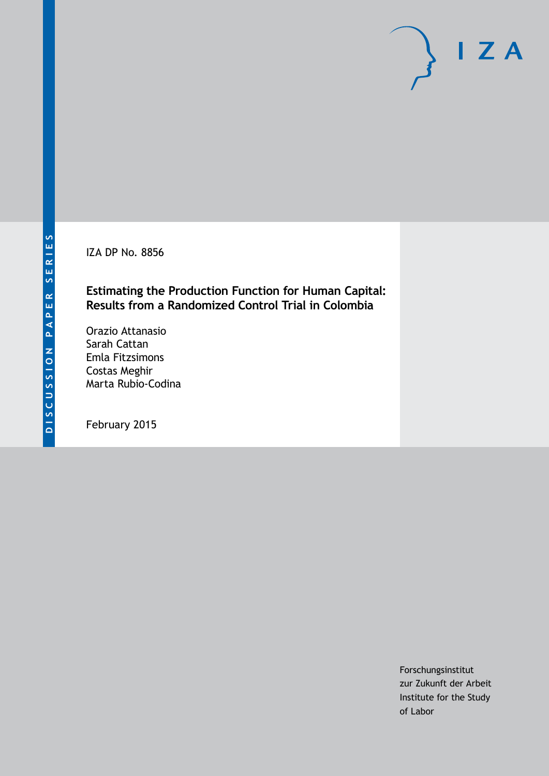IZA DP No. 8856

### **Estimating the Production Function for Human Capital: Results from a Randomized Control Trial in Colombia**

Orazio Attanasio Sarah Cattan Emla Fitzsimons Costas Meghir Marta Rubio-Codina

February 2015

Forschungsinstitut zur Zukunft der Arbeit Institute for the Study of Labor

 $I Z A$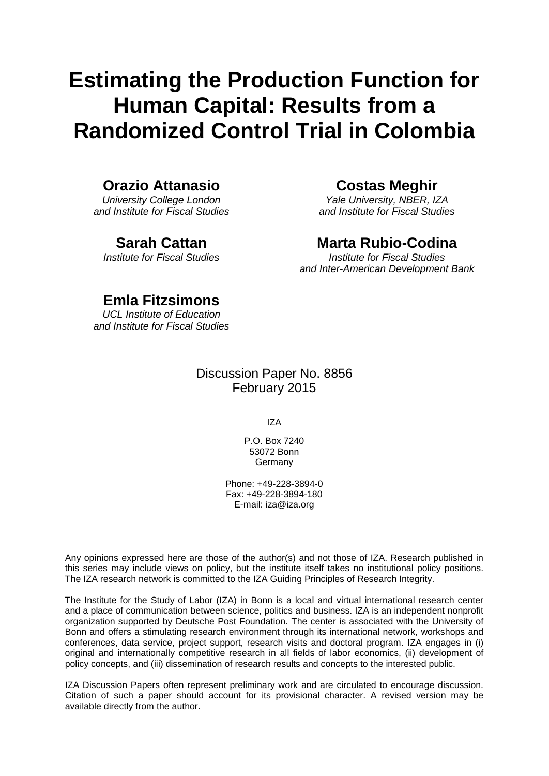# **Estimating the Production Function for Human Capital: Results from a Randomized Control Trial in Colombia**

## **Orazio Attanasio**

*University College London and Institute for Fiscal Studies*

## **Sarah Cattan**

*Institute for Fiscal Studies*

# **Costas Meghir**

*Yale University, NBER, IZA and Institute for Fiscal Studies*

# **Marta Rubio-Codina**

*Institute for Fiscal Studies and Inter-American Development Bank*

# **Emla Fitzsimons**

*UCL Institute of Education and Institute for Fiscal Studies*

### Discussion Paper No. 8856 February 2015

IZA

P.O. Box 7240 53072 Bonn Germany

Phone: +49-228-3894-0 Fax: +49-228-3894-180 E-mail: [iza@iza.org](mailto:iza@iza.org)

Any opinions expressed here are those of the author(s) and not those of IZA. Research published in this series may include views on policy, but the institute itself takes no institutional policy positions. The IZA research network is committed to the IZA Guiding Principles of Research Integrity.

<span id="page-1-0"></span>The Institute for the Study of Labor (IZA) in Bonn is a local and virtual international research center and a place of communication between science, politics and business. IZA is an independent nonprofit organization supported by Deutsche Post Foundation. The center is associated with the University of Bonn and offers a stimulating research environment through its international network, workshops and conferences, data service, project support, research visits and doctoral program. IZA engages in (i) original and internationally competitive research in all fields of labor economics, (ii) development of policy concepts, and (iii) dissemination of research results and concepts to the interested public.

IZA Discussion Papers often represent preliminary work and are circulated to encourage discussion. Citation of such a paper should account for its provisional character. A revised version may be available directly from the author.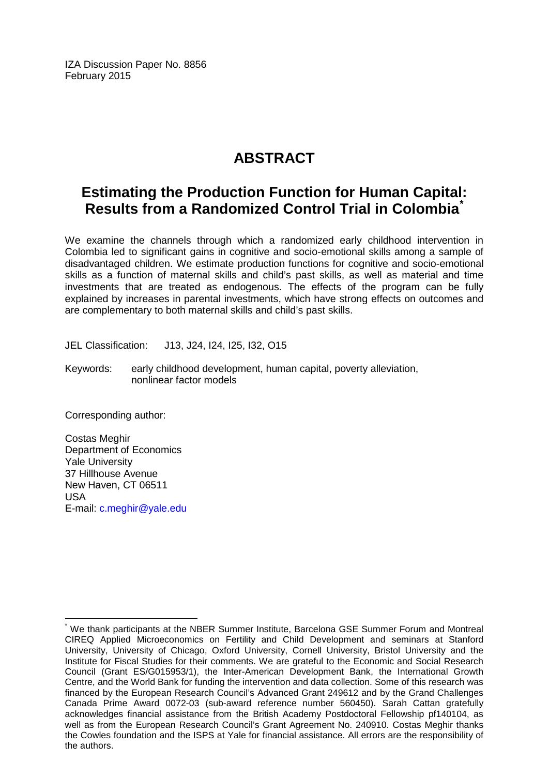IZA Discussion Paper No. 8856 February 2015

# **ABSTRACT**

# **Estimating the Production Function for Human Capital: Results from a Randomized Control Trial in Colombia[\\*](#page-1-0)**

We examine the channels through which a randomized early childhood intervention in Colombia led to significant gains in cognitive and socio-emotional skills among a sample of disadvantaged children. We estimate production functions for cognitive and socio-emotional skills as a function of maternal skills and child's past skills, as well as material and time investments that are treated as endogenous. The effects of the program can be fully explained by increases in parental investments, which have strong effects on outcomes and are complementary to both maternal skills and child's past skills.

JEL Classification: J13, J24, I24, I25, I32, O15

Keywords: early childhood development, human capital, poverty alleviation, nonlinear factor models

Corresponding author:

Costas Meghir Department of Economics Yale University 37 Hillhouse Avenue New Haven, CT 06511 USA E-mail: [c.meghir@yale.edu](mailto:c.meghir@yale.edu)

We thank participants at the NBER Summer Institute, Barcelona GSE Summer Forum and Montreal CIREQ Applied Microeconomics on Fertility and Child Development and seminars at Stanford University, University of Chicago, Oxford University, Cornell University, Bristol University and the Institute for Fiscal Studies for their comments. We are grateful to the Economic and Social Research Council (Grant ES/G015953/1), the Inter-American Development Bank, the International Growth Centre, and the World Bank for funding the intervention and data collection. Some of this research was financed by the European Research Council's Advanced Grant 249612 and by the Grand Challenges Canada Prime Award 0072-03 (sub-award reference number 560450). Sarah Cattan gratefully acknowledges financial assistance from the British Academy Postdoctoral Fellowship pf140104, as well as from the European Research Council's Grant Agreement No. 240910. Costas Meghir thanks the Cowles foundation and the ISPS at Yale for financial assistance. All errors are the responsibility of the authors.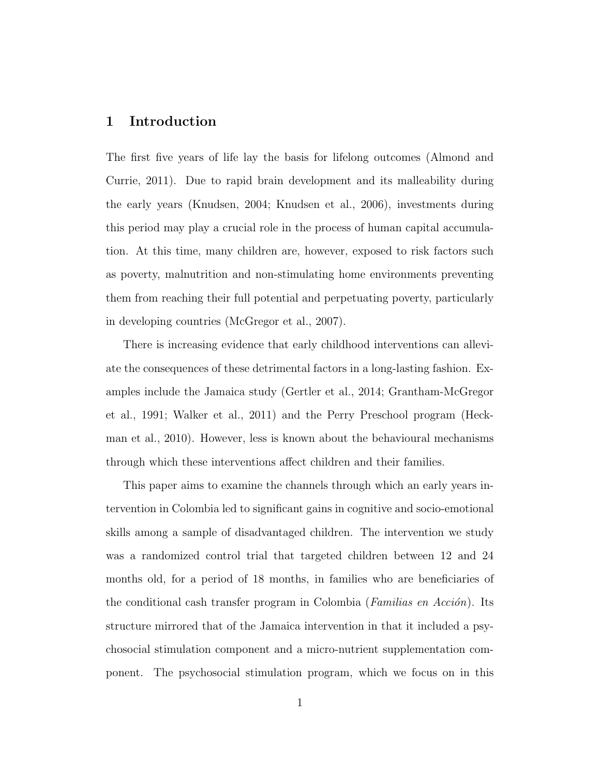### 1 Introduction

The first five years of life lay the basis for lifelong outcomes [\(Almond and](#page-50-0) [Currie,](#page-50-0) [2011\)](#page-50-0). Due to rapid brain development and its malleability during the early years [\(Knudsen,](#page-52-0) [2004;](#page-52-0) [Knudsen et al.,](#page-52-1) [2006\)](#page-52-1), investments during this period may play a crucial role in the process of human capital accumulation. At this time, many children are, however, exposed to risk factors such as poverty, malnutrition and non-stimulating home environments preventing them from reaching their full potential and perpetuating poverty, particularly in developing countries [\(McGregor et al.,](#page-52-2) [2007\)](#page-52-2).

There is increasing evidence that early childhood interventions can alleviate the consequences of these detrimental factors in a long-lasting fashion. Examples include the Jamaica study [\(Gertler et al.,](#page-51-0) [2014;](#page-51-0) [Grantham-McGregor](#page-51-1) [et al.,](#page-51-1) [1991;](#page-51-1) [Walker et al.,](#page-52-3) [2011\)](#page-52-3) and the Perry Preschool program [\(Heck](#page-51-2)[man et al.,](#page-51-2) [2010\)](#page-51-2). However, less is known about the behavioural mechanisms through which these interventions affect children and their families.

This paper aims to examine the channels through which an early years intervention in Colombia led to significant gains in cognitive and socio-emotional skills among a sample of disadvantaged children. The intervention we study was a randomized control trial that targeted children between 12 and 24 months old, for a period of 18 months, in families who are beneficiaries of the conditional cash transfer program in Colombia (Familias en Acción). Its structure mirrored that of the Jamaica intervention in that it included a psychosocial stimulation component and a micro-nutrient supplementation component. The psychosocial stimulation program, which we focus on in this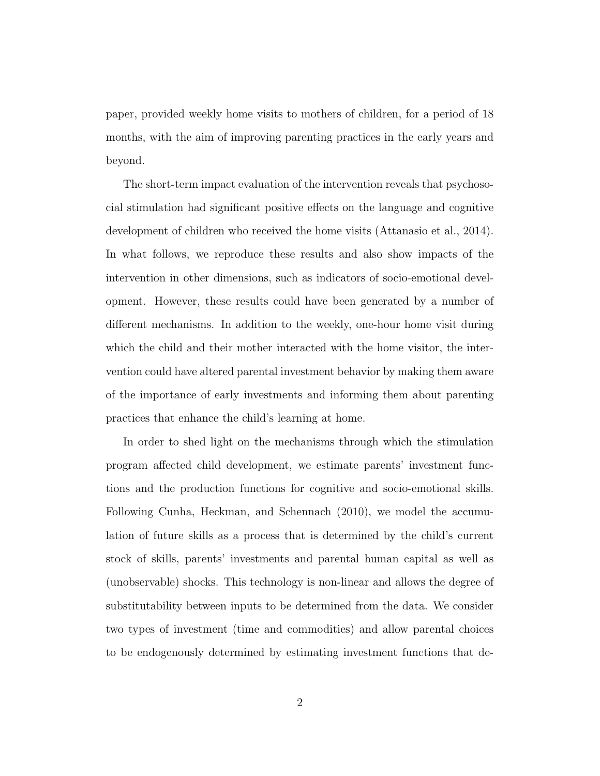paper, provided weekly home visits to mothers of children, for a period of 18 months, with the aim of improving parenting practices in the early years and beyond.

The short-term impact evaluation of the intervention reveals that psychosocial stimulation had significant positive effects on the language and cognitive development of children who received the home visits [\(Attanasio et al.,](#page-50-1) [2014\)](#page-50-1). In what follows, we reproduce these results and also show impacts of the intervention in other dimensions, such as indicators of socio-emotional development. However, these results could have been generated by a number of different mechanisms. In addition to the weekly, one-hour home visit during which the child and their mother interacted with the home visitor, the intervention could have altered parental investment behavior by making them aware of the importance of early investments and informing them about parenting practices that enhance the child's learning at home.

In order to shed light on the mechanisms through which the stimulation program affected child development, we estimate parents' investment functions and the production functions for cognitive and socio-emotional skills. Following [Cunha, Heckman, and Schennach](#page-51-3) [\(2010\)](#page-51-3), we model the accumulation of future skills as a process that is determined by the child's current stock of skills, parents' investments and parental human capital as well as (unobservable) shocks. This technology is non-linear and allows the degree of substitutability between inputs to be determined from the data. We consider two types of investment (time and commodities) and allow parental choices to be endogenously determined by estimating investment functions that de-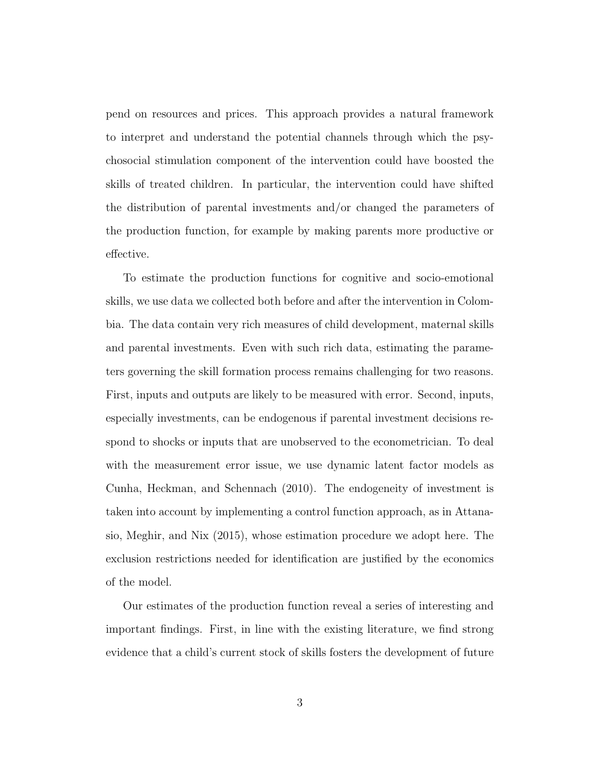pend on resources and prices. This approach provides a natural framework to interpret and understand the potential channels through which the psychosocial stimulation component of the intervention could have boosted the skills of treated children. In particular, the intervention could have shifted the distribution of parental investments and/or changed the parameters of the production function, for example by making parents more productive or effective.

To estimate the production functions for cognitive and socio-emotional skills, we use data we collected both before and after the intervention in Colombia. The data contain very rich measures of child development, maternal skills and parental investments. Even with such rich data, estimating the parameters governing the skill formation process remains challenging for two reasons. First, inputs and outputs are likely to be measured with error. Second, inputs, especially investments, can be endogenous if parental investment decisions respond to shocks or inputs that are unobserved to the econometrician. To deal with the measurement error issue, we use dynamic latent factor models as [Cunha, Heckman, and Schennach](#page-51-3) [\(2010\)](#page-51-3). The endogeneity of investment is taken into account by implementing a control function approach, as in [Attana](#page-50-2)[sio, Meghir, and Nix](#page-50-2) [\(2015\)](#page-50-2), whose estimation procedure we adopt here. The exclusion restrictions needed for identification are justified by the economics of the model.

Our estimates of the production function reveal a series of interesting and important findings. First, in line with the existing literature, we find strong evidence that a child's current stock of skills fosters the development of future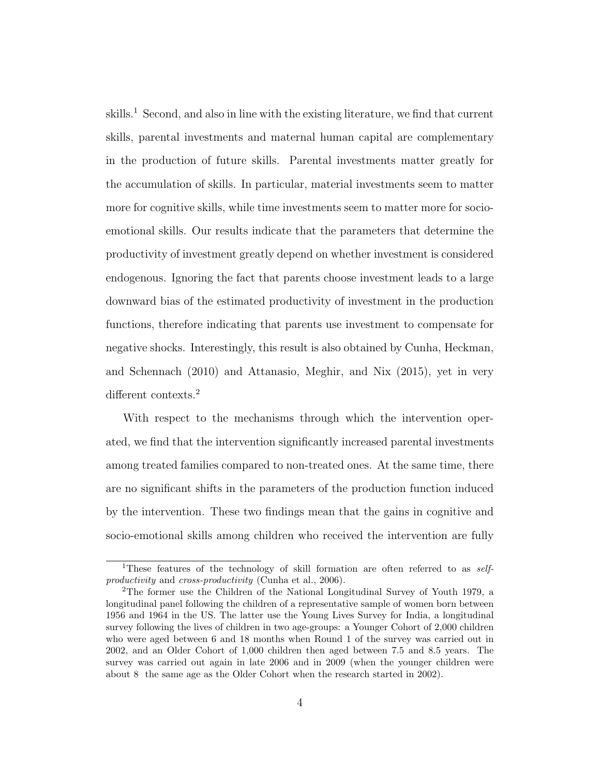skills.<sup>1</sup> Second, and also in line with the existing literature, we find that current skills, parental investments and maternal human capital are complementary in the production of future skills. Parental investments matter greatly for the accumulation of skills. In particular, material investments seem to matter more for cognitive skills, while time investments seem to matter more for socioemotional skills. Our results indicate that the parameters that determine the productivity of investment greatly depend on whether investment is considered endogenous. Ignoring the fact that parents choose investment leads to a large downward bias of the estimated productivity of investment in the production functions, therefore indicating that parents use investment to compensate for negative shocks. Interestingly, this result is also obtained by [Cunha, Heckman,](#page-51-3) [and Schennach](#page-51-3) [\(2010\)](#page-51-3) and [Attanasio, Meghir, and Nix](#page-50-2) [\(2015\)](#page-50-2), yet in very different contexts.<sup>2</sup>

With respect to the mechanisms through which the intervention operated, we find that the intervention significantly increased parental investments among treated families compared to non-treated ones. At the same time, there are no significant shifts in the parameters of the production function induced by the intervention. These two findings mean that the gains in cognitive and socio-emotional skills among children who received the intervention are fully

<sup>&</sup>lt;sup>1</sup>These features of the technology of skill formation are often referred to as *self*-productivity and cross-productivity [\(Cunha et al.,](#page-51-4) [2006\)](#page-51-4).

<sup>2</sup>The former use the Children of the National Longitudinal Survey of Youth 1979, a longitudinal panel following the children of a representative sample of women born between 1956 and 1964 in the US. The latter use the Young Lives Survey for India, a longitudinal survey following the lives of children in two age-groups: a Younger Cohort of 2,000 children who were aged between 6 and 18 months when Round 1 of the survey was carried out in 2002, and an Older Cohort of 1,000 children then aged between 7.5 and 8.5 years. The survey was carried out again in late 2006 and in 2009 (when the younger children were about 8 the same age as the Older Cohort when the research started in 2002).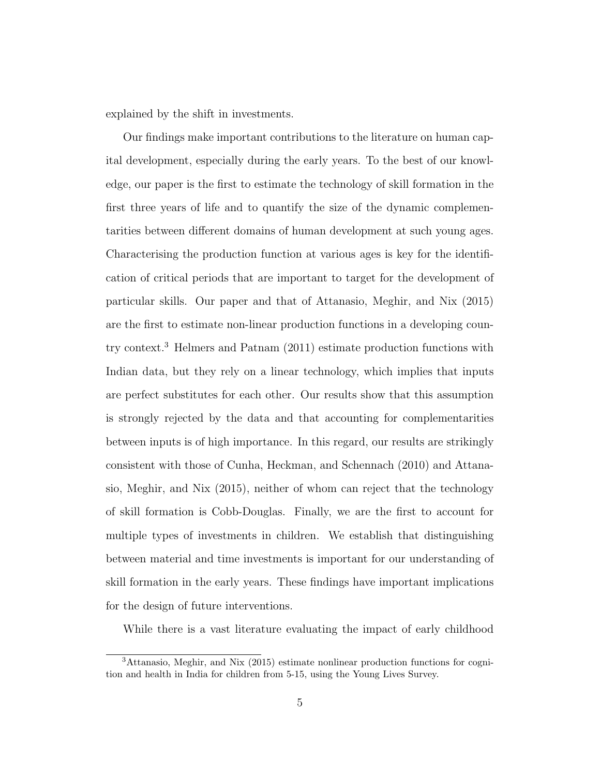explained by the shift in investments.

Our findings make important contributions to the literature on human capital development, especially during the early years. To the best of our knowledge, our paper is the first to estimate the technology of skill formation in the first three years of life and to quantify the size of the dynamic complementarities between different domains of human development at such young ages. Characterising the production function at various ages is key for the identification of critical periods that are important to target for the development of particular skills. Our paper and that of [Attanasio, Meghir, and Nix](#page-50-2) [\(2015\)](#page-50-2) are the first to estimate non-linear production functions in a developing country context.<sup>3</sup> [Helmers and Patnam](#page-51-5) [\(2011\)](#page-51-5) estimate production functions with Indian data, but they rely on a linear technology, which implies that inputs are perfect substitutes for each other. Our results show that this assumption is strongly rejected by the data and that accounting for complementarities between inputs is of high importance. In this regard, our results are strikingly consistent with those of [Cunha, Heckman, and Schennach](#page-51-3) [\(2010\)](#page-51-3) and [Attana](#page-50-2)[sio, Meghir, and Nix](#page-50-2) [\(2015\)](#page-50-2), neither of whom can reject that the technology of skill formation is Cobb-Douglas. Finally, we are the first to account for multiple types of investments in children. We establish that distinguishing between material and time investments is important for our understanding of skill formation in the early years. These findings have important implications for the design of future interventions.

While there is a vast literature evaluating the impact of early childhood

<sup>3</sup>[Attanasio, Meghir, and Nix](#page-50-2) [\(2015\)](#page-50-2) estimate nonlinear production functions for cognition and health in India for children from 5-15, using the Young Lives Survey.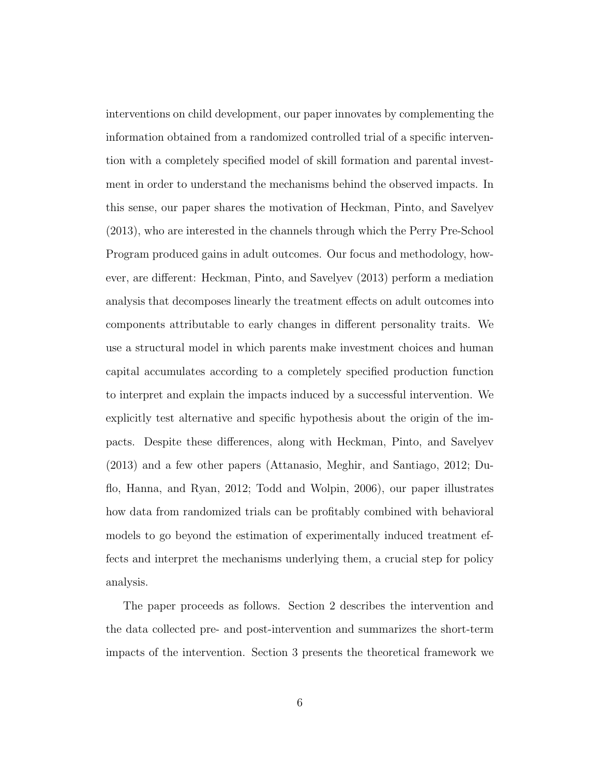interventions on child development, our paper innovates by complementing the information obtained from a randomized controlled trial of a specific intervention with a completely specified model of skill formation and parental investment in order to understand the mechanisms behind the observed impacts. In this sense, our paper shares the motivation of [Heckman, Pinto, and Savelyev](#page-51-6) [\(2013\)](#page-51-6), who are interested in the channels through which the Perry Pre-School Program produced gains in adult outcomes. Our focus and methodology, however, are different: [Heckman, Pinto, and Savelyev](#page-51-6) [\(2013\)](#page-51-6) perform a mediation analysis that decomposes linearly the treatment effects on adult outcomes into components attributable to early changes in different personality traits. We use a structural model in which parents make investment choices and human capital accumulates according to a completely specified production function to interpret and explain the impacts induced by a successful intervention. We explicitly test alternative and specific hypothesis about the origin of the impacts. Despite these differences, along with [Heckman, Pinto, and Savelyev](#page-51-6) [\(2013\)](#page-51-6) and a few other papers [\(Attanasio, Meghir, and Santiago,](#page-50-3) [2012;](#page-50-3) [Du](#page-51-7)[flo, Hanna, and Ryan,](#page-51-7) [2012;](#page-51-7) [Todd and Wolpin,](#page-52-4) [2006\)](#page-52-4), our paper illustrates how data from randomized trials can be profitably combined with behavioral models to go beyond the estimation of experimentally induced treatment effects and interpret the mechanisms underlying them, a crucial step for policy analysis.

The paper proceeds as follows. Section 2 describes the intervention and the data collected pre- and post-intervention and summarizes the short-term impacts of the intervention. Section 3 presents the theoretical framework we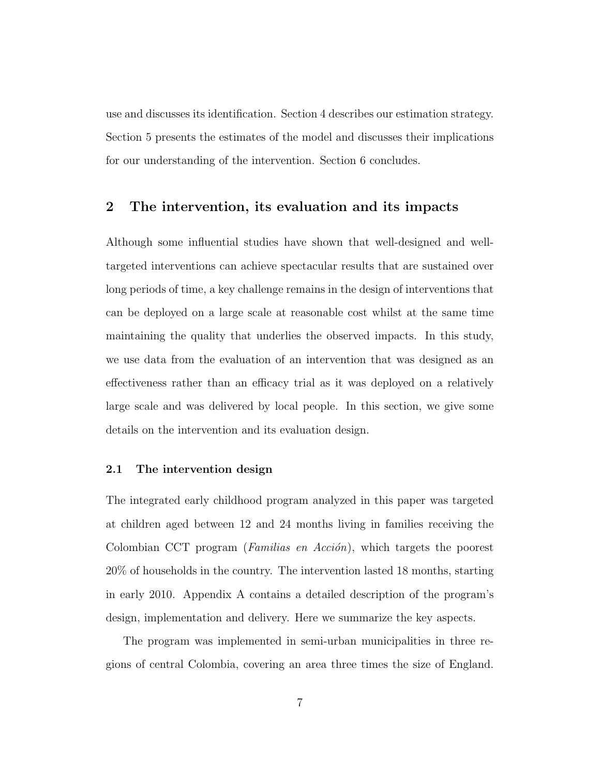use and discusses its identification. Section 4 describes our estimation strategy. Section 5 presents the estimates of the model and discusses their implications for our understanding of the intervention. Section 6 concludes.

### 2 The intervention, its evaluation and its impacts

Although some influential studies have shown that well-designed and welltargeted interventions can achieve spectacular results that are sustained over long periods of time, a key challenge remains in the design of interventions that can be deployed on a large scale at reasonable cost whilst at the same time maintaining the quality that underlies the observed impacts. In this study, we use data from the evaluation of an intervention that was designed as an effectiveness rather than an efficacy trial as it was deployed on a relatively large scale and was delivered by local people. In this section, we give some details on the intervention and its evaluation design.

#### 2.1 The intervention design

The integrated early childhood program analyzed in this paper was targeted at children aged between 12 and 24 months living in families receiving the Colombian CCT program (*Familias en Acción*), which targets the poorest 20% of households in the country. The intervention lasted 18 months, starting in early 2010. Appendix A contains a detailed description of the program's design, implementation and delivery. Here we summarize the key aspects.

The program was implemented in semi-urban municipalities in three regions of central Colombia, covering an area three times the size of England.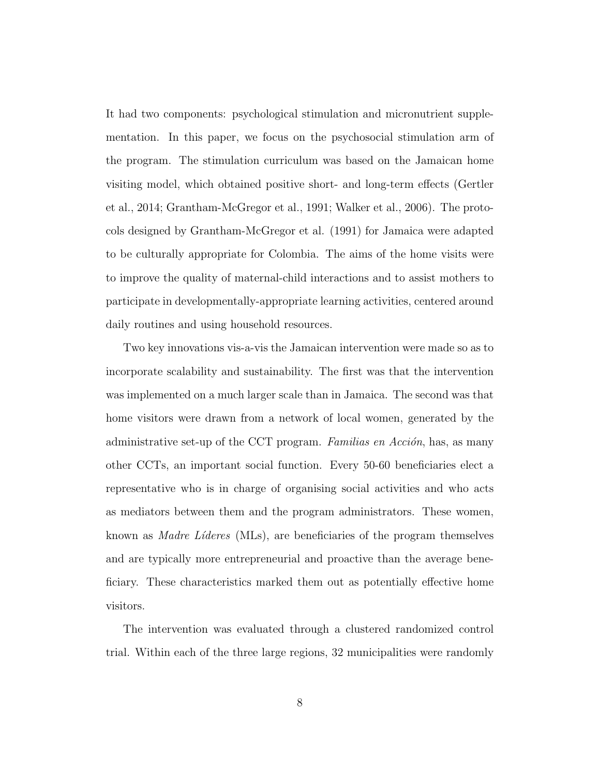It had two components: psychological stimulation and micronutrient supplementation. In this paper, we focus on the psychosocial stimulation arm of the program. The stimulation curriculum was based on the Jamaican home visiting model, which obtained positive short- and long-term effects [\(Gertler](#page-51-0) [et al.,](#page-51-0) [2014;](#page-51-0) [Grantham-McGregor et al.,](#page-51-1) [1991;](#page-51-1) [Walker et al.,](#page-52-5) [2006\)](#page-52-5). The protocols designed by Grantham-McGregor et al. (1991) for Jamaica were adapted to be culturally appropriate for Colombia. The aims of the home visits were to improve the quality of maternal-child interactions and to assist mothers to participate in developmentally-appropriate learning activities, centered around daily routines and using household resources.

Two key innovations vis-a-vis the Jamaican intervention were made so as to incorporate scalability and sustainability. The first was that the intervention was implemented on a much larger scale than in Jamaica. The second was that home visitors were drawn from a network of local women, generated by the administrative set-up of the CCT program. Familias en  $Acción$ , has, as many other CCTs, an important social function. Every 50-60 beneficiaries elect a representative who is in charge of organising social activities and who acts as mediators between them and the program administrators. These women, known as *Madre Líderes* (MLs), are beneficiaries of the program themselves and are typically more entrepreneurial and proactive than the average beneficiary. These characteristics marked them out as potentially effective home visitors.

The intervention was evaluated through a clustered randomized control trial. Within each of the three large regions, 32 municipalities were randomly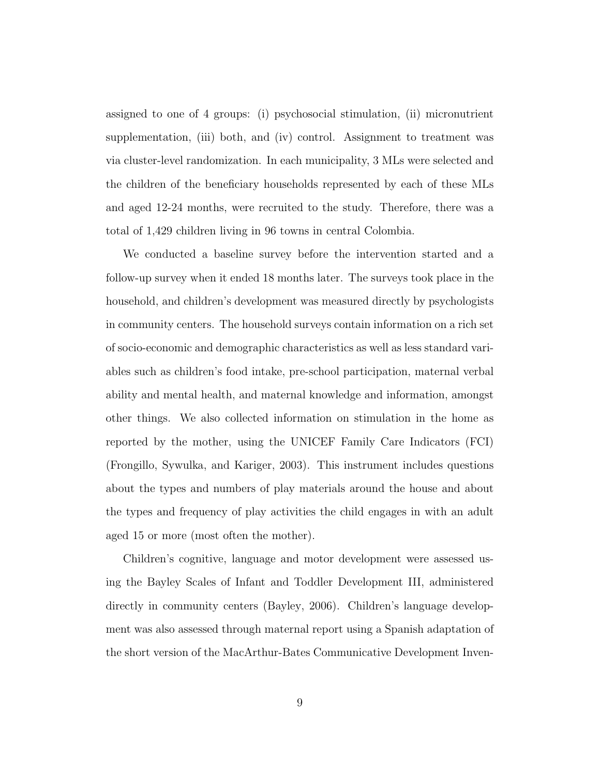assigned to one of 4 groups: (i) psychosocial stimulation, (ii) micronutrient supplementation, (iii) both, and (iv) control. Assignment to treatment was via cluster-level randomization. In each municipality, 3 MLs were selected and the children of the beneficiary households represented by each of these MLs and aged 12-24 months, were recruited to the study. Therefore, there was a total of 1,429 children living in 96 towns in central Colombia.

We conducted a baseline survey before the intervention started and a follow-up survey when it ended 18 months later. The surveys took place in the household, and children's development was measured directly by psychologists in community centers. The household surveys contain information on a rich set of socio-economic and demographic characteristics as well as less standard variables such as children's food intake, pre-school participation, maternal verbal ability and mental health, and maternal knowledge and information, amongst other things. We also collected information on stimulation in the home as reported by the mother, using the UNICEF Family Care Indicators (FCI) [\(Frongillo, Sywulka, and Kariger,](#page-51-8) [2003\)](#page-51-8). This instrument includes questions about the types and numbers of play materials around the house and about the types and frequency of play activities the child engages in with an adult aged 15 or more (most often the mother).

Children's cognitive, language and motor development were assessed using the Bayley Scales of Infant and Toddler Development III, administered directly in community centers [\(Bayley,](#page-50-4) [2006\)](#page-50-4). Children's language development was also assessed through maternal report using a Spanish adaptation of the short version of the MacArthur-Bates Communicative Development Inven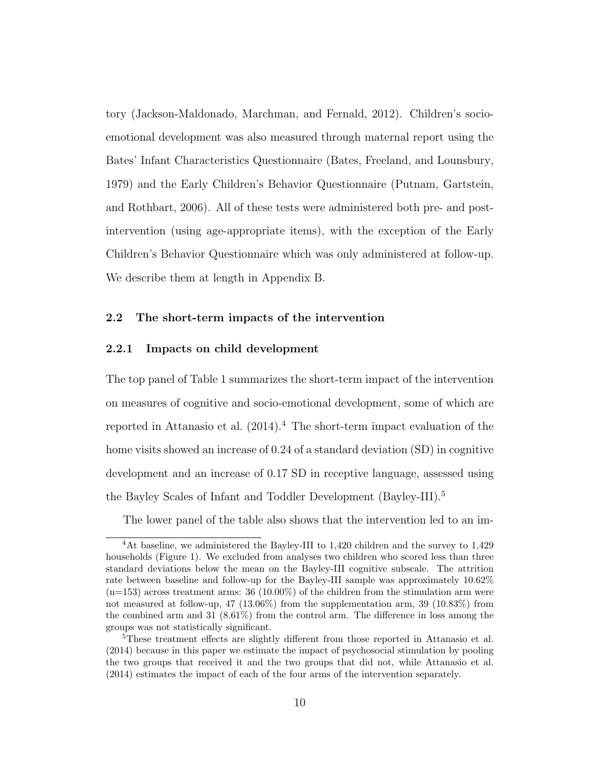tory [\(Jackson-Maldonado, Marchman, and Fernald,](#page-52-6) [2012\)](#page-52-6). Children's socioemotional development was also measured through maternal report using the Bates' Infant Characteristics Questionnaire [\(Bates, Freeland, and Lounsbury,](#page-50-5) [1979\)](#page-50-5) and the Early Children's Behavior Questionnaire [\(Putnam, Gartstein,](#page-52-7) [and Rothbart,](#page-52-7) [2006\)](#page-52-7). All of these tests were administered both pre- and postintervention (using age-appropriate items), with the exception of the Early Children's Behavior Questionnaire which was only administered at follow-up. We describe them at length in Appendix B.

### 2.2 The short-term impacts of the intervention

#### 2.2.1 Impacts on child development

The top panel of Table 1 summarizes the short-term impact of the intervention on measures of cognitive and socio-emotional development, some of which are reported in [Attanasio et al.](#page-50-1)  $(2014).4$  $(2014).4$  The short-term impact evaluation of the home visits showed an increase of 0.24 of a standard deviation (SD) in cognitive development and an increase of 0.17 SD in receptive language, assessed using the Bayley Scales of Infant and Toddler Development (Bayley-III).<sup>5</sup>

The lower panel of the table also shows that the intervention led to an im-

<sup>&</sup>lt;sup>4</sup>At baseline, we administered the Bayley-III to 1,420 children and the survey to 1,429 households (Figure 1). We excluded from analyses two children who scored less than three standard deviations below the mean on the Bayley-III cognitive subscale. The attrition rate between baseline and follow-up for the Bayley-III sample was approximately 10.62%  $(n=153)$  across treatment arms: 36 (10.00%) of the children from the stimulation arm were not measured at follow-up, 47 (13.06%) from the supplementation arm, 39 (10.83%) from the combined arm and 31  $(8.61\%)$  from the control arm. The difference in loss among the groups was not statistically significant.

<sup>&</sup>lt;sup>5</sup>These treatment effects are slightly different from those reported in [Attanasio et al.](#page-50-1) [\(2014\)](#page-50-1) because in this paper we estimate the impact of psychosocial stimulation by pooling the two groups that received it and the two groups that did not, while [Attanasio et al.](#page-50-1) [\(2014\)](#page-50-1) estimates the impact of each of the four arms of the intervention separately.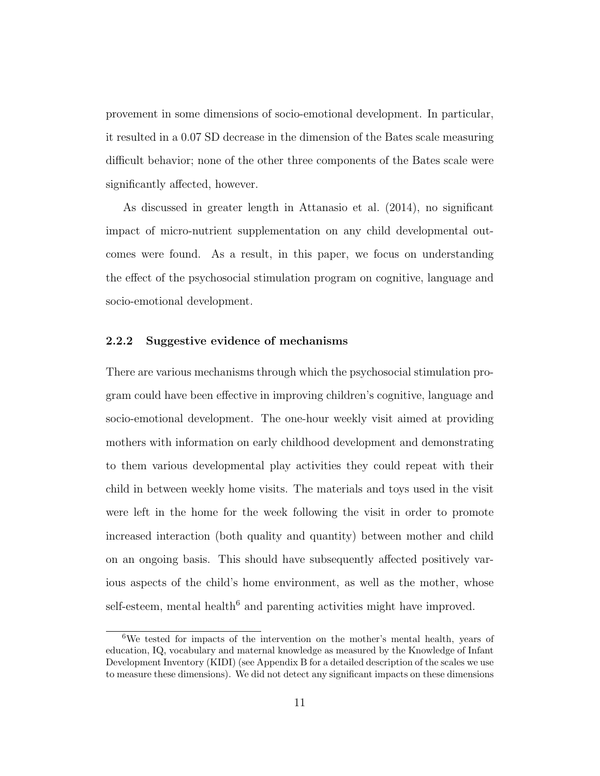provement in some dimensions of socio-emotional development. In particular, it resulted in a 0.07 SD decrease in the dimension of the Bates scale measuring difficult behavior; none of the other three components of the Bates scale were significantly affected, however.

As discussed in greater length in [Attanasio et al.](#page-50-1) [\(2014\)](#page-50-1), no significant impact of micro-nutrient supplementation on any child developmental outcomes were found. As a result, in this paper, we focus on understanding the effect of the psychosocial stimulation program on cognitive, language and socio-emotional development.

#### 2.2.2 Suggestive evidence of mechanisms

There are various mechanisms through which the psychosocial stimulation program could have been effective in improving children's cognitive, language and socio-emotional development. The one-hour weekly visit aimed at providing mothers with information on early childhood development and demonstrating to them various developmental play activities they could repeat with their child in between weekly home visits. The materials and toys used in the visit were left in the home for the week following the visit in order to promote increased interaction (both quality and quantity) between mother and child on an ongoing basis. This should have subsequently affected positively various aspects of the child's home environment, as well as the mother, whose self-esteem, mental health<sup> $6$ </sup> and parenting activities might have improved.

<sup>6</sup>We tested for impacts of the intervention on the mother's mental health, years of education, IQ, vocabulary and maternal knowledge as measured by the Knowledge of Infant Development Inventory (KIDI) (see Appendix B for a detailed description of the scales we use to measure these dimensions). We did not detect any significant impacts on these dimensions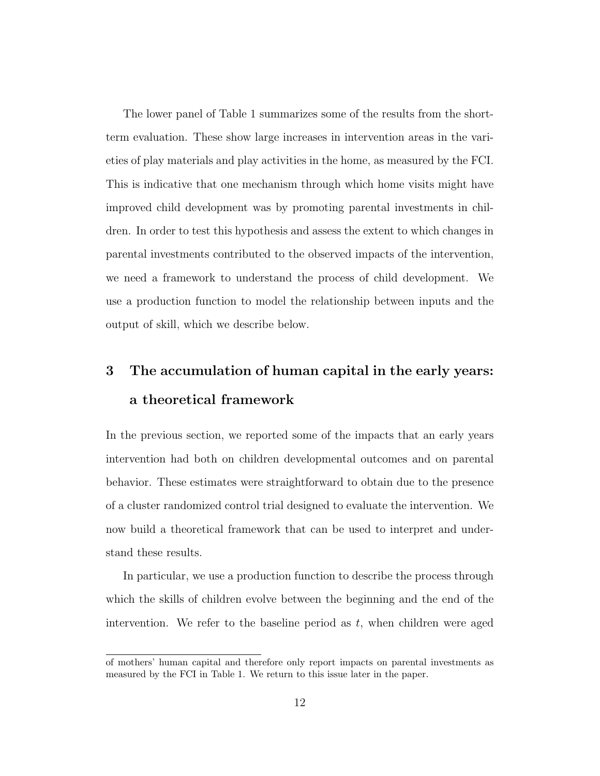The lower panel of Table [1](#page-15-0) summarizes some of the results from the shortterm evaluation. These show large increases in intervention areas in the varieties of play materials and play activities in the home, as measured by the FCI. This is indicative that one mechanism through which home visits might have improved child development was by promoting parental investments in children. In order to test this hypothesis and assess the extent to which changes in parental investments contributed to the observed impacts of the intervention, we need a framework to understand the process of child development. We use a production function to model the relationship between inputs and the output of skill, which we describe below.

# 3 The accumulation of human capital in the early years: a theoretical framework

In the previous section, we reported some of the impacts that an early years intervention had both on children developmental outcomes and on parental behavior. These estimates were straightforward to obtain due to the presence of a cluster randomized control trial designed to evaluate the intervention. We now build a theoretical framework that can be used to interpret and understand these results.

In particular, we use a production function to describe the process through which the skills of children evolve between the beginning and the end of the intervention. We refer to the baseline period as  $t$ , when children were aged

of mothers' human capital and therefore only report impacts on parental investments as measured by the FCI in Table 1. We return to this issue later in the paper.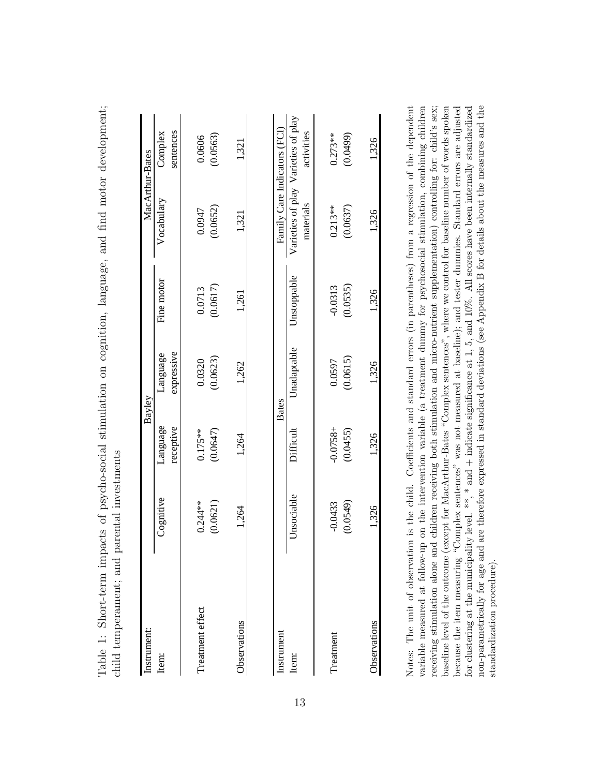<span id="page-15-0"></span>

| Instrument:      |                       |                         | Bayley                 |                       | MacArthur-Bates                                  |                       |
|------------------|-----------------------|-------------------------|------------------------|-----------------------|--------------------------------------------------|-----------------------|
| Item:            | Cognitive             | Language<br>receptive   | expressive<br>Language | Fine motor            | Vocabulary                                       | sentences<br>Complex  |
| Treatment effect | $0.244**$<br>(0.0621) | (0.0647)<br>$0.175**$   | (0.0623)<br>0.0320     | (0.0617)<br>0.0713    | (0.0652)<br>0.0947                               | (0.0563)<br>0.0606    |
| Observations     | 1,264                 | 1,264                   | 1,262                  | 1,261                 | 1,321                                            | 1,321                 |
| Instrument       |                       |                         | <b>Bates</b>           |                       | Family Care Indicators (FCI)                     |                       |
| Item:            | Unsociable            | Difficult               | Unadaptable            | Unstoppable           | Varieties of play Varieties of play<br>materials | activities            |
| Treatment        | (0.0549)<br>$-0.0433$ | $-0.0758 +$<br>(0.0455) | (0.0615)<br>0.0597     | (0.0535)<br>$-0.0313$ | (0.0637)<br>$0.213**$                            | (0.0499)<br>$0.273**$ |
| Observations     | 1,326                 | 1,326                   | 1,326                  | 1,326                 | 1,326                                            | 1,326                 |

Table 1: Short-term impacts of psycho-social stimulation on cognition, language, and find motor development; Table 1: Short-term impacts of psycho-social stimulation on cognition, language, and find motor development;

baseline level of the outcome (except for MacArthur-Bates "Complex sentences", where we control for baseline number of words spoken non-parametrically for age and are therefore expressed in standard deviations (see Appendix B for details about the measures and the  $\ldots$   $\ldots$   $\ldots$   $\ldots$   $\ldots$   $\ldots$   $\ldots$   $\ldots$   $\ldots$   $\ldots$   $\ldots$   $\ldots$   $\ldots$   $\ldots$   $\ldots$   $\ldots$   $\ldots$   $\ldots$   $\ldots$   $\ldots$   $\ldots$   $\ldots$   $\ldots$   $\ldots$   $\ldots$   $\ldots$   $\ldots$   $\ldots$   $\ldots$   $\ldots$   $\ldots$   $\ldots$   $\ldots$   $\ldots$   $\ldots$   $\ldots$   $\ldots$ because the item measuring "Complex sentences" was not measured at baseline); and tester dummies. Standard errors are adjusted for clustering at the municipality level. \*\*, \* and + indicate significance at 1, 5, and 10%. All scores have been internally standardized variable measured at follow-up on the intervention variable (a treatment dummy for psychosocial stimulation, combining children baseline level of the outcome (except for MacArthur-Bates "Complex sentences", where we control for baseline number of words spoken because the item measuring "Complex sentences" was not measured at baseline); and tester dummies. Standard errors are adjusted for clustering at the municipality level. \*\*, \* and  $+$  indicate significance at 1, 5, and 10%. All scores have been internally standardized non-parametrically for age and are therefore expressed in standard deviations (see Appendix B for details about the measures and the receiving stimulation alone and children receiving both stimulation and micro-nutrient supplementation) controlling for: child's sex; standardization procedure). standardization procedure).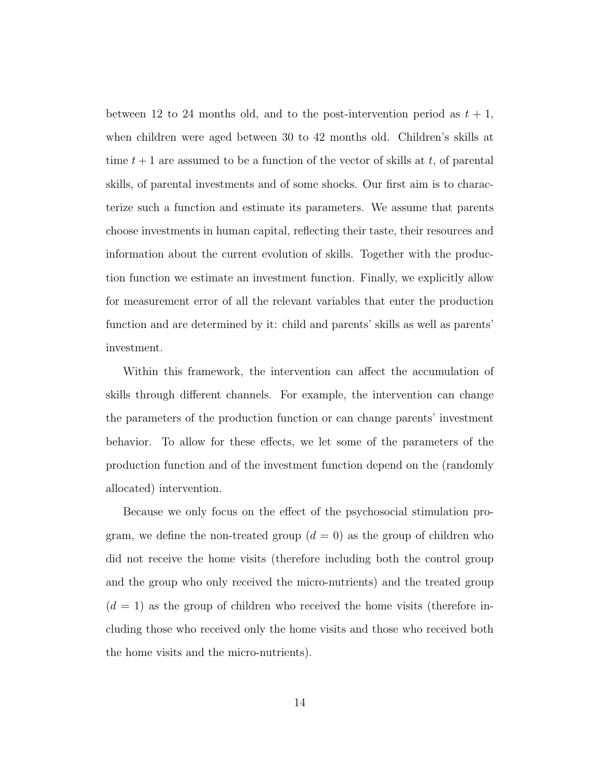between 12 to 24 months old, and to the post-intervention period as  $t + 1$ , when children were aged between 30 to 42 months old. Children's skills at time  $t + 1$  are assumed to be a function of the vector of skills at t, of parental skills, of parental investments and of some shocks. Our first aim is to characterize such a function and estimate its parameters. We assume that parents choose investments in human capital, reflecting their taste, their resources and information about the current evolution of skills. Together with the production function we estimate an investment function. Finally, we explicitly allow for measurement error of all the relevant variables that enter the production function and are determined by it: child and parents' skills as well as parents' investment.

Within this framework, the intervention can affect the accumulation of skills through different channels. For example, the intervention can change the parameters of the production function or can change parents' investment behavior. To allow for these effects, we let some of the parameters of the production function and of the investment function depend on the (randomly allocated) intervention.

Because we only focus on the effect of the psychosocial stimulation program, we define the non-treated group  $(d = 0)$  as the group of children who did not receive the home visits (therefore including both the control group and the group who only received the micro-nutrients) and the treated group  $(d = 1)$  as the group of children who received the home visits (therefore including those who received only the home visits and those who received both the home visits and the micro-nutrients).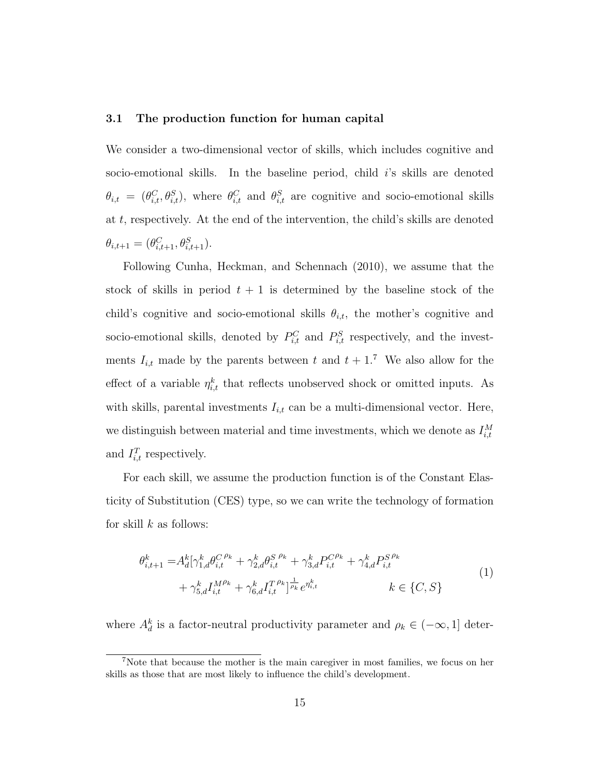#### 3.1 The production function for human capital

We consider a two-dimensional vector of skills, which includes cognitive and socio-emotional skills. In the baseline period, child  $i$ 's skills are denoted  $\theta_{i,t} = (\theta_{i,t}^C, \theta_{i,t}^S)$ , where  $\theta_{i,t}^C$  and  $\theta_{i,t}^S$  are cognitive and socio-emotional skills at  $t$ , respectively. At the end of the intervention, the child's skills are denoted  $\theta_{i,t+1} = (\theta_{i,t+1}^C, \theta_{i,t+1}^S).$ 

Following [Cunha, Heckman, and Schennach](#page-51-3) [\(2010\)](#page-51-3), we assume that the stock of skills in period  $t + 1$  is determined by the baseline stock of the child's cognitive and socio-emotional skills  $\theta_{i,t}$ , the mother's cognitive and socio-emotional skills, denoted by  $P_{i,t}^C$  and  $P_{i,t}^S$  respectively, and the investments  $I_{i,t}$  made by the parents between t and  $t + 1$ .<sup>7</sup> We also allow for the effect of a variable  $\eta_{i,t}^k$  that reflects unobserved shock or omitted inputs. As with skills, parental investments  $I_{i,t}$  can be a multi-dimensional vector. Here, we distinguish between material and time investments, which we denote as  $I_{i,t}^M$ and  $I_{i,t}^T$  respectively.

For each skill, we assume the production function is of the Constant Elasticity of Substitution (CES) type, so we can write the technology of formation for skill  $k$  as follows:

$$
\theta_{i,t+1}^k = A_d^k [\gamma_{1,d}^k \theta_{i,t}^{C\ \rho_k} + \gamma_{2,d}^k \theta_{i,t}^{S\ \rho_k} + \gamma_{3,d}^k P_{i,t}^{C\ \rho_k} + \gamma_{4,d}^k P_{i,t}^{S\ \rho_k} + \gamma_{5,d}^k I_{i,t}^{M\ \rho_k} + \gamma_{6,d}^k I_{i,t}^{T\ \rho_k}]_{\rho_k}^{\frac{1}{\rho_k}} e^{\eta_{i,t}^k} \qquad k \in \{C, S\}
$$
\n
$$
(1)
$$

where  $A_d^k$  is a factor-neutral productivity parameter and  $\rho_k \in (-\infty, 1]$  deter-

<sup>7</sup>Note that because the mother is the main caregiver in most families, we focus on her skills as those that are most likely to influence the child's development.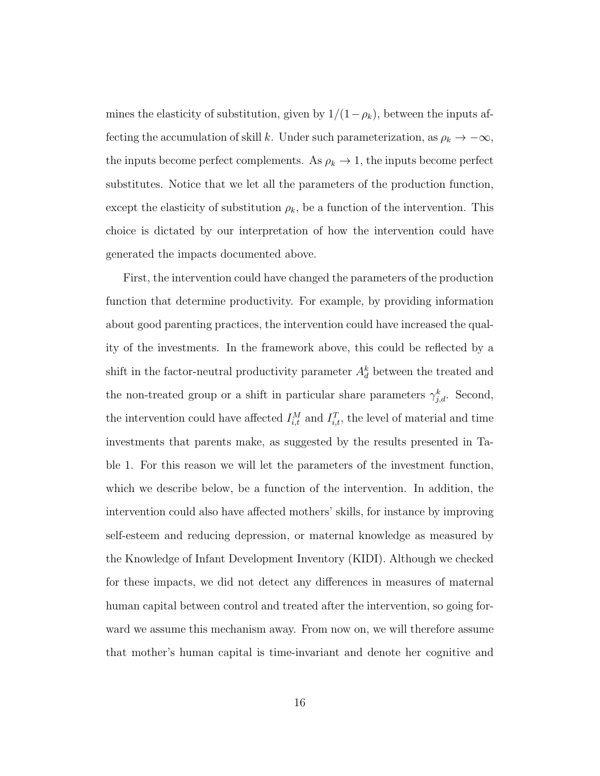mines the elasticity of substitution, given by  $1/(1-\rho_k)$ , between the inputs affecting the accumulation of skill k. Under such parameterization, as  $\rho_k \to -\infty$ , the inputs become perfect complements. As  $\rho_k \to 1$ , the inputs become perfect substitutes. Notice that we let all the parameters of the production function, except the elasticity of substitution  $\rho_k$ , be a function of the intervention. This choice is dictated by our interpretation of how the intervention could have generated the impacts documented above.

First, the intervention could have changed the parameters of the production function that determine productivity. For example, by providing information about good parenting practices, the intervention could have increased the quality of the investments. In the framework above, this could be reflected by a shift in the factor-neutral productivity parameter  $A_d^k$  between the treated and the non-treated group or a shift in particular share parameters  $\gamma_{j,d}^k$ . Second, the intervention could have affected  $I_{i,t}^M$  and  $I_{i,t}^T$ , the level of material and time investments that parents make, as suggested by the results presented in Table [1.](#page-15-0) For this reason we will let the parameters of the investment function, which we describe below, be a function of the intervention. In addition, the intervention could also have affected mothers' skills, for instance by improving self-esteem and reducing depression, or maternal knowledge as measured by the Knowledge of Infant Development Inventory (KIDI). Although we checked for these impacts, we did not detect any differences in measures of maternal human capital between control and treated after the intervention, so going forward we assume this mechanism away. From now on, we will therefore assume that mother's human capital is time-invariant and denote her cognitive and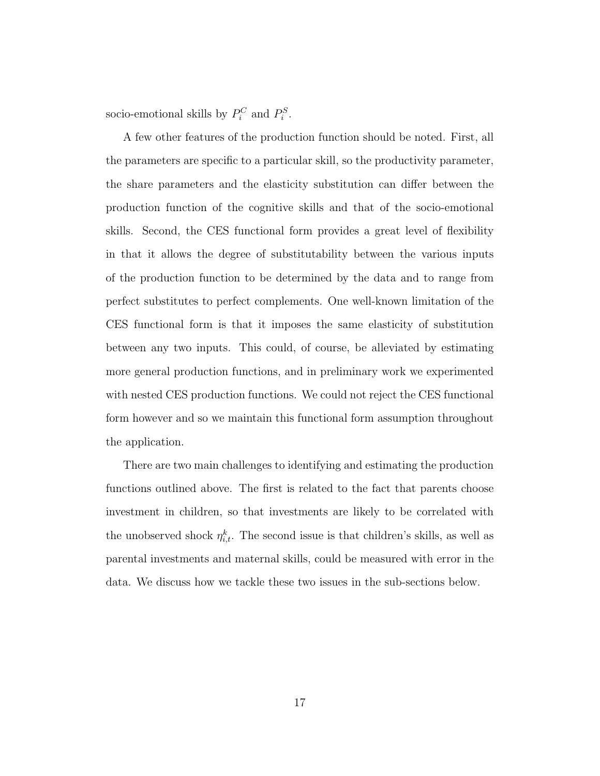socio-emotional skills by  $P_i^C$  and  $P_i^S$ .

A few other features of the production function should be noted. First, all the parameters are specific to a particular skill, so the productivity parameter, the share parameters and the elasticity substitution can differ between the production function of the cognitive skills and that of the socio-emotional skills. Second, the CES functional form provides a great level of flexibility in that it allows the degree of substitutability between the various inputs of the production function to be determined by the data and to range from perfect substitutes to perfect complements. One well-known limitation of the CES functional form is that it imposes the same elasticity of substitution between any two inputs. This could, of course, be alleviated by estimating more general production functions, and in preliminary work we experimented with nested CES production functions. We could not reject the CES functional form however and so we maintain this functional form assumption throughout the application.

There are two main challenges to identifying and estimating the production functions outlined above. The first is related to the fact that parents choose investment in children, so that investments are likely to be correlated with the unobserved shock  $\eta_{i,t}^k$ . The second issue is that children's skills, as well as parental investments and maternal skills, could be measured with error in the data. We discuss how we tackle these two issues in the sub-sections below.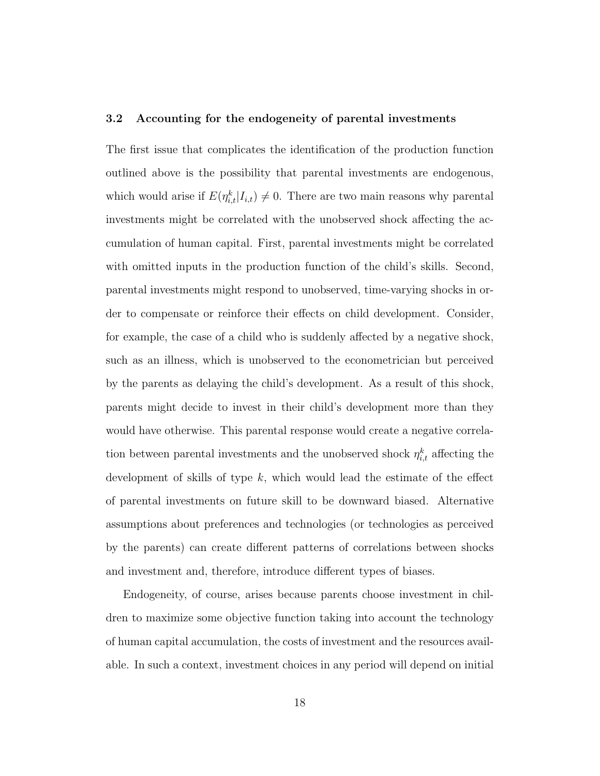#### 3.2 Accounting for the endogeneity of parental investments

The first issue that complicates the identification of the production function outlined above is the possibility that parental investments are endogenous, which would arise if  $E(\eta_{i,t}^k|I_{i,t}) \neq 0$ . There are two main reasons why parental investments might be correlated with the unobserved shock affecting the accumulation of human capital. First, parental investments might be correlated with omitted inputs in the production function of the child's skills. Second, parental investments might respond to unobserved, time-varying shocks in order to compensate or reinforce their effects on child development. Consider, for example, the case of a child who is suddenly affected by a negative shock, such as an illness, which is unobserved to the econometrician but perceived by the parents as delaying the child's development. As a result of this shock, parents might decide to invest in their child's development more than they would have otherwise. This parental response would create a negative correlation between parental investments and the unobserved shock  $\eta_{i,t}^k$  affecting the development of skills of type  $k$ , which would lead the estimate of the effect of parental investments on future skill to be downward biased. Alternative assumptions about preferences and technologies (or technologies as perceived by the parents) can create different patterns of correlations between shocks and investment and, therefore, introduce different types of biases.

Endogeneity, of course, arises because parents choose investment in children to maximize some objective function taking into account the technology of human capital accumulation, the costs of investment and the resources available. In such a context, investment choices in any period will depend on initial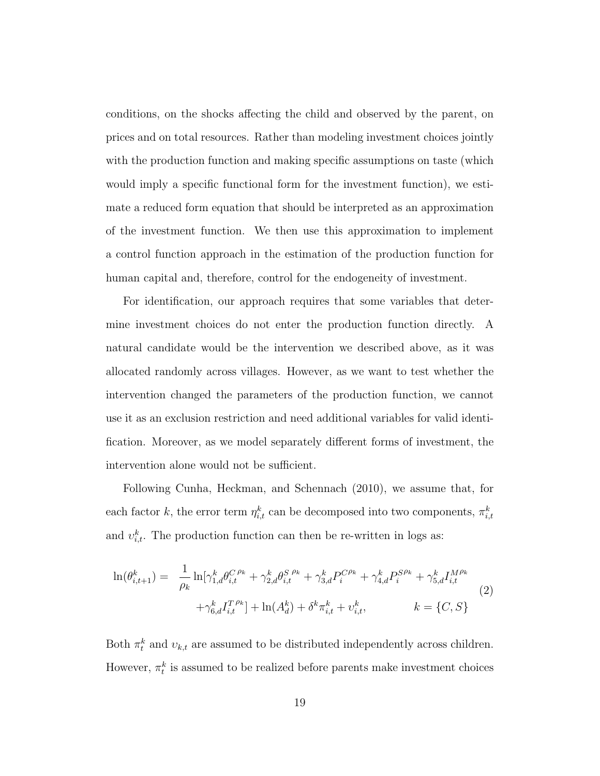conditions, on the shocks affecting the child and observed by the parent, on prices and on total resources. Rather than modeling investment choices jointly with the production function and making specific assumptions on taste (which would imply a specific functional form for the investment function), we estimate a reduced form equation that should be interpreted as an approximation of the investment function. We then use this approximation to implement a control function approach in the estimation of the production function for human capital and, therefore, control for the endogeneity of investment.

For identification, our approach requires that some variables that determine investment choices do not enter the production function directly. A natural candidate would be the intervention we described above, as it was allocated randomly across villages. However, as we want to test whether the intervention changed the parameters of the production function, we cannot use it as an exclusion restriction and need additional variables for valid identification. Moreover, as we model separately different forms of investment, the intervention alone would not be sufficient.

Following [Cunha, Heckman, and Schennach](#page-51-3) [\(2010\)](#page-51-3), we assume that, for each factor k, the error term  $\eta_{i,t}^k$  can be decomposed into two components,  $\pi_{i,t}^k$ and  $v_{i,t}^k$ . The production function can then be re-written in logs as:

<span id="page-21-0"></span>
$$
\ln(\theta_{i,t+1}^{k}) = \frac{1}{\rho_k} \ln[\gamma_{1,d}^{k} \theta_{i,t}^{C \rho_k} + \gamma_{2,d}^{k} \theta_{i,t}^{S \rho_k} + \gamma_{3,d}^{k} P_{i}^{C \rho_k} + \gamma_{4,d}^{k} P_{i}^{S \rho_k} + \gamma_{5,d}^{k} I_{i,t}^{M \rho_k} + \gamma_{6,d}^{k} I_{i,t}^{T \rho_k}] + \ln(A_d^k) + \delta^k \pi_{i,t}^k + \upsilon_{i,t}^k, \qquad k = \{C, S\}
$$
\n
$$
(2)
$$

Both  $\pi_t^k$  and  $v_{k,t}$  are assumed to be distributed independently across children. However,  $\pi_t^k$  is assumed to be realized before parents make investment choices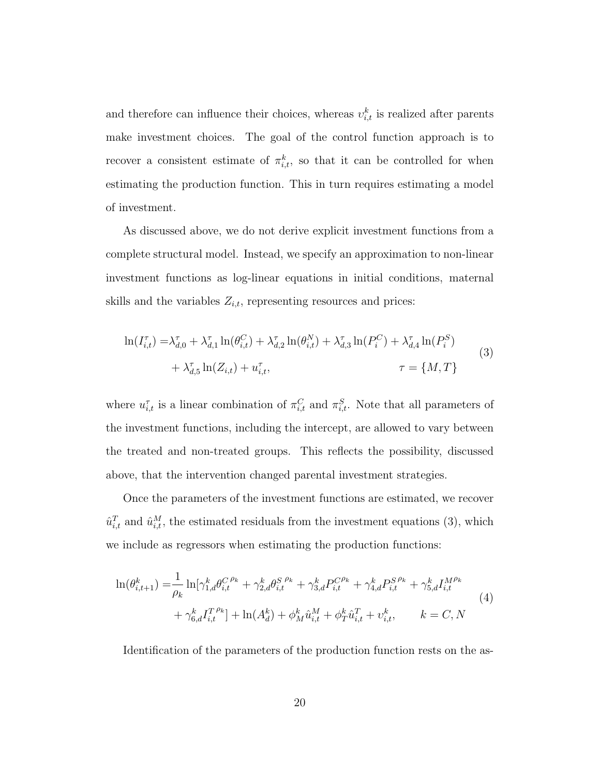and therefore can influence their choices, whereas  $v_{i,t}^k$  is realized after parents make investment choices. The goal of the control function approach is to recover a consistent estimate of  $\pi_{i,t}^k$ , so that it can be controlled for when estimating the production function. This in turn requires estimating a model of investment.

As discussed above, we do not derive explicit investment functions from a complete structural model. Instead, we specify an approximation to non-linear investment functions as log-linear equations in initial conditions, maternal skills and the variables  $Z_{i,t}$ , representing resources and prices:

<span id="page-22-0"></span>
$$
\ln(I_{i,t}^{\tau}) = \lambda_{d,0}^{\tau} + \lambda_{d,1}^{\tau} \ln(\theta_{i,t}^{C}) + \lambda_{d,2}^{\tau} \ln(\theta_{i,t}^{N}) + \lambda_{d,3}^{\tau} \ln(P_{i}^{C}) + \lambda_{d,4}^{\tau} \ln(P_{i}^{S})
$$
  
+  $\lambda_{d,5}^{\tau} \ln(Z_{i,t}) + u_{i,t}^{\tau}$ ,  $\tau = \{M, T\}$  (3)

where  $u_{i,t}^{\tau}$  is a linear combination of  $\pi_{i,t}^C$  and  $\pi_{i,t}^S$ . Note that all parameters of the investment functions, including the intercept, are allowed to vary between the treated and non-treated groups. This reflects the possibility, discussed above, that the intervention changed parental investment strategies.

Once the parameters of the investment functions are estimated, we recover  $\hat{u}_{i,t}^T$  and  $\hat{u}_{i,t}^M$ , the estimated residuals from the investment equations [\(3\)](#page-22-0), which we include as regressors when estimating the production functions:

<span id="page-22-1"></span>
$$
\ln(\theta_{i,t+1}^{k}) = \frac{1}{\rho_k} \ln[\gamma_{1,d}^{k} \theta_{i,t}^{C}{}^{\rho_k} + \gamma_{2,d}^{k} \theta_{i,t}^{S}{}^{\rho_k} + \gamma_{3,d}^{k} P_{i,t}^{C}{}^{\rho_k} + \gamma_{4,d}^{k} P_{i,t}^{S}{}^{\rho_k} + \gamma_{5,d}^{k} I_{i,t}^{M}{}^{\rho_k} + \gamma_{6,d}^{k} I_{i,t}^{T}{}^{\rho_k}] + \ln(A_d^k) + \phi_M^k \hat{u}_{i,t}^{M} + \phi_T^k \hat{u}_{i,t}^{T} + v_{i,t}^{k}, \qquad k = C, N
$$
\n
$$
(4)
$$

Identification of the parameters of the production function rests on the as-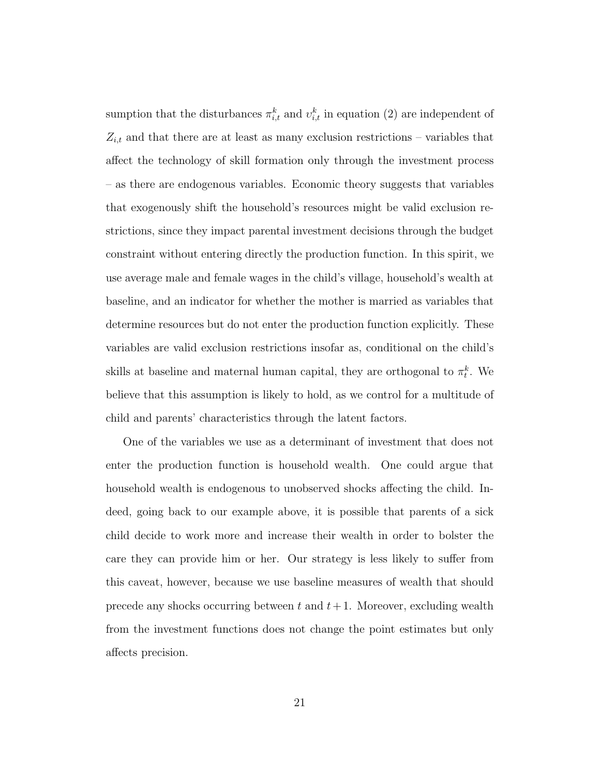sumption that the disturbances  $\pi_{i,t}^k$  and  $v_{i,t}^k$  in equation [\(2\)](#page-21-0) are independent of  $Z_{i,t}$  and that there are at least as many exclusion restrictions – variables that affect the technology of skill formation only through the investment process – as there are endogenous variables. Economic theory suggests that variables that exogenously shift the household's resources might be valid exclusion restrictions, since they impact parental investment decisions through the budget constraint without entering directly the production function. In this spirit, we use average male and female wages in the child's village, household's wealth at baseline, and an indicator for whether the mother is married as variables that determine resources but do not enter the production function explicitly. These variables are valid exclusion restrictions insofar as, conditional on the child's skills at baseline and maternal human capital, they are orthogonal to  $\pi_t^k$ . We believe that this assumption is likely to hold, as we control for a multitude of child and parents' characteristics through the latent factors.

One of the variables we use as a determinant of investment that does not enter the production function is household wealth. One could argue that household wealth is endogenous to unobserved shocks affecting the child. Indeed, going back to our example above, it is possible that parents of a sick child decide to work more and increase their wealth in order to bolster the care they can provide him or her. Our strategy is less likely to suffer from this caveat, however, because we use baseline measures of wealth that should precede any shocks occurring between t and  $t + 1$ . Moreover, excluding wealth from the investment functions does not change the point estimates but only affects precision.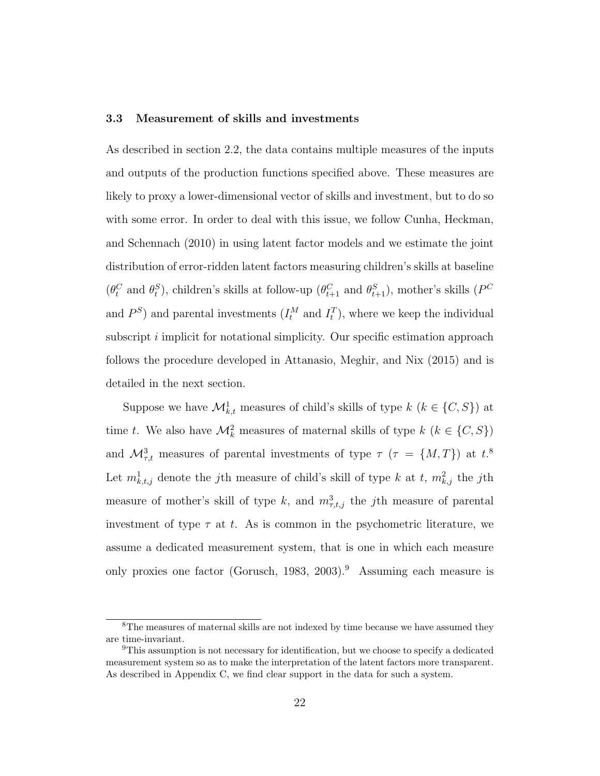#### 3.3 Measurement of skills and investments

As described in section 2.2, the data contains multiple measures of the inputs and outputs of the production functions specified above. These measures are likely to proxy a lower-dimensional vector of skills and investment, but to do so with some error. In order to deal with this issue, we follow [Cunha, Heckman,](#page-51-3) [and Schennach](#page-51-3) [\(2010\)](#page-51-3) in using latent factor models and we estimate the joint distribution of error-ridden latent factors measuring children's skills at baseline  $(\theta_t^C \text{ and } \theta_t^S)$ , children's skills at follow-up  $(\theta_{t+1}^C \text{ and } \theta_{t+1}^S)$ , mother's skills  $(P^C)$ and  $P<sup>S</sup>$ ) and parental investments  $(I_t^M$  and  $I_t^T$ ), where we keep the individual subscript i implicit for notational simplicity. Our specific estimation approach follows the procedure developed in [Attanasio, Meghir, and Nix](#page-50-2) [\(2015\)](#page-50-2) and is detailed in the next section.

Suppose we have  $\mathcal{M}_{k,t}^1$  measures of child's skills of type  $k$   $(k \in \{C, S\})$  at time t. We also have  $\mathcal{M}_k^2$  measures of maternal skills of type  $k$   $(k \in \{C, S\})$ and  $\mathcal{M}^3_{\tau,t}$  measures of parental investments of type  $\tau$  ( $\tau = \{M,T\}$ ) at  $t$ <sup>8</sup> Let  $m^1_{k,t,j}$  denote the j<sup>th</sup> measure of child's skill of type k at t,  $m^2_{k,j}$  the j<sup>th</sup> measure of mother's skill of type k, and  $m_{\tau,t,j}^3$  the jth measure of parental investment of type  $\tau$  at t. As is common in the psychometric literature, we assume a dedicated measurement system, that is one in which each measure only proxies one factor [\(Gorusch,](#page-51-9) [1983,](#page-51-9) [2003\)](#page-51-10).<sup>9</sup> Assuming each measure is

<sup>8</sup>The measures of maternal skills are not indexed by time because we have assumed they are time-invariant.

<sup>9</sup>This assumption is not necessary for identification, but we choose to specify a dedicated measurement system so as to make the interpretation of the latent factors more transparent. As described in Appendix C, we find clear support in the data for such a system.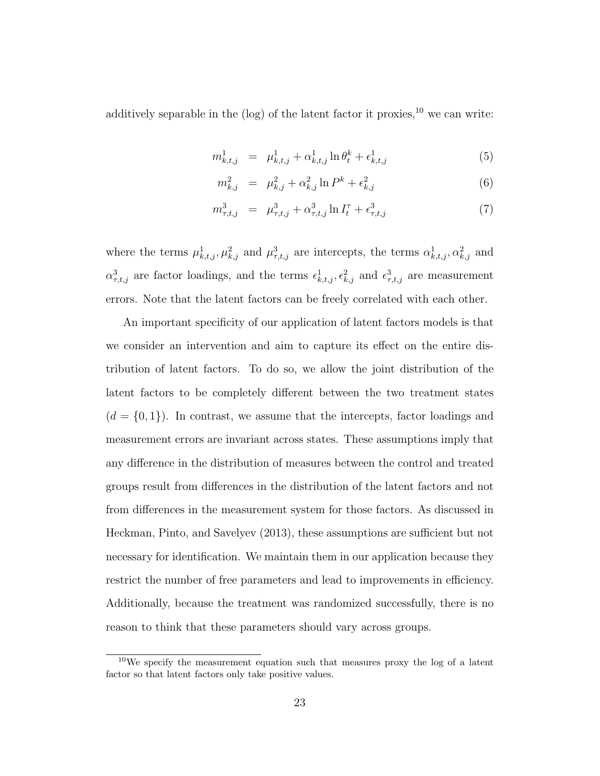additively separable in the (log) of the latent factor it proxies, $^{10}$  we can write:

<span id="page-25-0"></span>
$$
m_{k,t,j}^1 = \mu_{k,t,j}^1 + \alpha_{k,t,j}^1 \ln \theta_t^k + \epsilon_{k,t,j}^1 \tag{5}
$$

$$
m_{k,j}^2 = \mu_{k,j}^2 + \alpha_{k,j}^2 \ln P^k + \epsilon_{k,j}^2 \tag{6}
$$

$$
m_{\tau,t,j}^3 = \mu_{\tau,t,j}^3 + \alpha_{\tau,t,j}^3 \ln I_t^{\tau} + \epsilon_{\tau,t,j}^3 \tag{7}
$$

where the terms  $\mu^1_{k,t,j}, \mu^2_{k,j}$  and  $\mu^3_{\tau,t,j}$  are intercepts, the terms  $\alpha^1_{k,t,j}, \alpha^2_{k,j}$  and  $\alpha_{\tau,t,j}^3$  are factor loadings, and the terms  $\epsilon_{k,t,j}^1$ ,  $\epsilon_{k,j}^2$  and  $\epsilon_{\tau,t,j}^3$  are measurement errors. Note that the latent factors can be freely correlated with each other.

An important specificity of our application of latent factors models is that we consider an intervention and aim to capture its effect on the entire distribution of latent factors. To do so, we allow the joint distribution of the latent factors to be completely different between the two treatment states  $(d = \{0, 1\})$ . In contrast, we assume that the intercepts, factor loadings and measurement errors are invariant across states. These assumptions imply that any difference in the distribution of measures between the control and treated groups result from differences in the distribution of the latent factors and not from differences in the measurement system for those factors. As discussed in [Heckman, Pinto, and Savelyev](#page-51-6) [\(2013\)](#page-51-6), these assumptions are sufficient but not necessary for identification. We maintain them in our application because they restrict the number of free parameters and lead to improvements in efficiency. Additionally, because the treatment was randomized successfully, there is no reason to think that these parameters should vary across groups.

<sup>10</sup>We specify the measurement equation such that measures proxy the log of a latent factor so that latent factors only take positive values.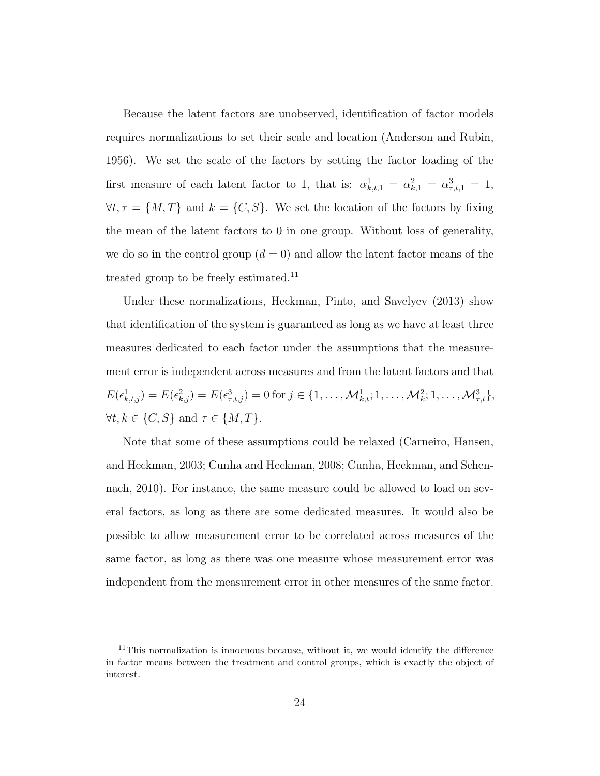Because the latent factors are unobserved, identification of factor models requires normalizations to set their scale and location [\(Anderson and Rubin,](#page-50-6) [1956\)](#page-50-6). We set the scale of the factors by setting the factor loading of the first measure of each latent factor to 1, that is:  $\alpha_{k,t,1}^1 = \alpha_{k,1}^2 = \alpha_{\tau,t,1}^3 = 1$ ,  $\forall t, \tau = \{M, T\}$  and  $k = \{C, S\}$ . We set the location of the factors by fixing the mean of the latent factors to 0 in one group. Without loss of generality, we do so in the control group  $(d = 0)$  and allow the latent factor means of the treated group to be freely estimated.<sup>11</sup>

Under these normalizations, [Heckman, Pinto, and Savelyev](#page-51-6) [\(2013\)](#page-51-6) show that identification of the system is guaranteed as long as we have at least three measures dedicated to each factor under the assumptions that the measurement error is independent across measures and from the latent factors and that  $E(\epsilon_{k,t,j}^1) = E(\epsilon_{k,j}^2) = E(\epsilon_{\tau,t,j}^3) = 0$  for  $j \in \{1, \ldots, \mathcal{M}_{k,t}^1; 1, \ldots, \mathcal{M}_{k}^2; 1, \ldots, \mathcal{M}_{\tau,t}^3\},$  $\forall t, k \in \{C, S\} \text{ and } \tau \in \{M, T\}.$ 

Note that some of these assumptions could be relaxed [\(Carneiro, Hansen,](#page-50-7) [and Heckman,](#page-50-7) [2003;](#page-50-7) [Cunha and Heckman,](#page-50-8) [2008;](#page-50-8) [Cunha, Heckman, and Schen](#page-51-3)[nach,](#page-51-3) [2010\)](#page-51-3). For instance, the same measure could be allowed to load on several factors, as long as there are some dedicated measures. It would also be possible to allow measurement error to be correlated across measures of the same factor, as long as there was one measure whose measurement error was independent from the measurement error in other measures of the same factor.

<sup>&</sup>lt;sup>11</sup>This normalization is innocuous because, without it, we would identify the difference in factor means between the treatment and control groups, which is exactly the object of interest.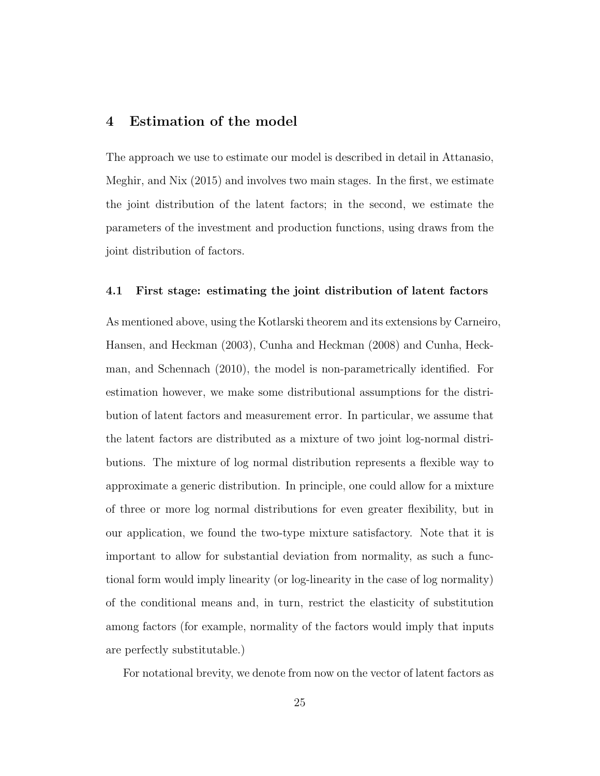### 4 Estimation of the model

The approach we use to estimate our model is described in detail in [Attanasio,](#page-50-2) [Meghir, and Nix](#page-50-2) [\(2015\)](#page-50-2) and involves two main stages. In the first, we estimate the joint distribution of the latent factors; in the second, we estimate the parameters of the investment and production functions, using draws from the joint distribution of factors.

#### 4.1 First stage: estimating the joint distribution of latent factors

As mentioned above, using the Kotlarski theorem and its extensions by [Carneiro](#page-50-7), [Hansen, and Heckman](#page-50-7) [\(2003\)](#page-50-7), [Cunha and Heckman](#page-50-8) [\(2008\)](#page-50-8) and [Cunha, Heck](#page-51-3)[man, and Schennach](#page-51-3) [\(2010\)](#page-51-3), the model is non-parametrically identified. For estimation however, we make some distributional assumptions for the distribution of latent factors and measurement error. In particular, we assume that the latent factors are distributed as a mixture of two joint log-normal distributions. The mixture of log normal distribution represents a flexible way to approximate a generic distribution. In principle, one could allow for a mixture of three or more log normal distributions for even greater flexibility, but in our application, we found the two-type mixture satisfactory. Note that it is important to allow for substantial deviation from normality, as such a functional form would imply linearity (or log-linearity in the case of log normality) of the conditional means and, in turn, restrict the elasticity of substitution among factors (for example, normality of the factors would imply that inputs are perfectly substitutable.)

For notational brevity, we denote from now on the vector of latent factors as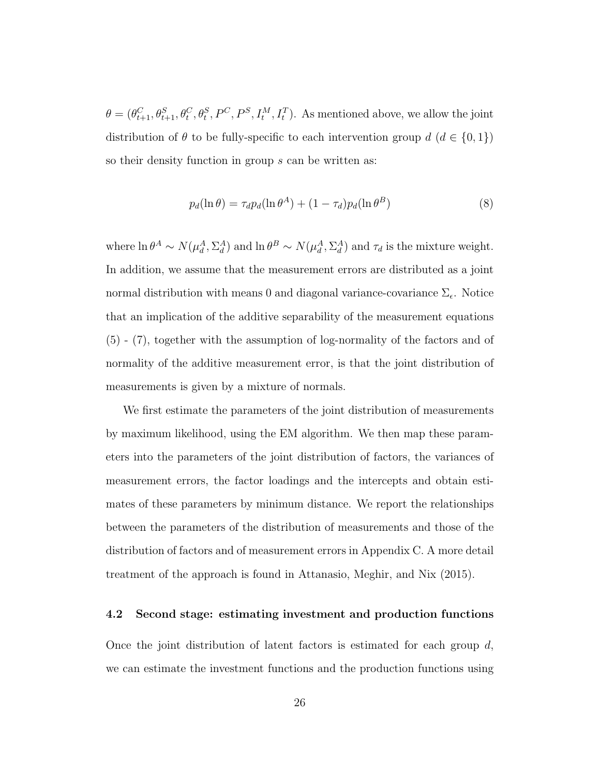$\theta = (\theta_{t+1}^C, \theta_{t+1}^S, \theta_t^C, \theta_t^S, P^C, P^S, I_t^M, I_t^T)$ . As mentioned above, we allow the joint distribution of  $\theta$  to be fully-specific to each intervention group  $d$   $(d \in \{0, 1\})$ so their density function in group s can be written as:

$$
p_d(\ln \theta) = \tau_d p_d(\ln \theta^A) + (1 - \tau_d) p_d(\ln \theta^B)
$$
\n(8)

where  $\ln \theta^A \sim N(\mu_d^A, \Sigma_d^A)$  and  $\ln \theta^B \sim N(\mu_d^A, \Sigma_d^A)$  and  $\tau_d$  is the mixture weight. In addition, we assume that the measurement errors are distributed as a joint normal distribution with means 0 and diagonal variance-covariance  $\Sigma_{\epsilon}$ . Notice that an implication of the additive separability of the measurement equations [\(5\)](#page-25-0) - [\(7\)](#page-25-0), together with the assumption of log-normality of the factors and of normality of the additive measurement error, is that the joint distribution of measurements is given by a mixture of normals.

We first estimate the parameters of the joint distribution of measurements by maximum likelihood, using the EM algorithm. We then map these parameters into the parameters of the joint distribution of factors, the variances of measurement errors, the factor loadings and the intercepts and obtain estimates of these parameters by minimum distance. We report the relationships between the parameters of the distribution of measurements and those of the distribution of factors and of measurement errors in Appendix C. A more detail treatment of the approach is found in [Attanasio, Meghir, and Nix](#page-50-2) [\(2015\)](#page-50-2).

#### 4.2 Second stage: estimating investment and production functions

Once the joint distribution of latent factors is estimated for each group  $d$ , we can estimate the investment functions and the production functions using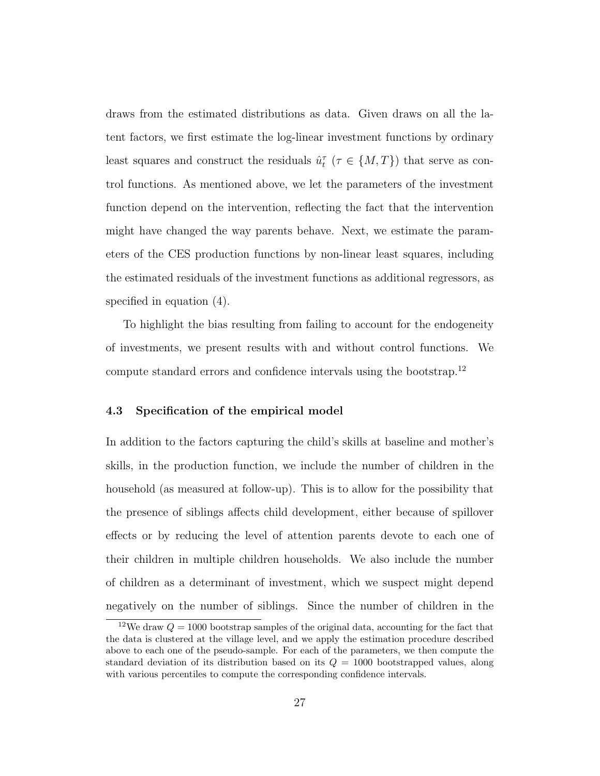draws from the estimated distributions as data. Given draws on all the latent factors, we first estimate the log-linear investment functions by ordinary least squares and construct the residuals  $\hat{u}_t^{\tau}$  ( $\tau \in \{M, T\}$ ) that serve as control functions. As mentioned above, we let the parameters of the investment function depend on the intervention, reflecting the fact that the intervention might have changed the way parents behave. Next, we estimate the parameters of the CES production functions by non-linear least squares, including the estimated residuals of the investment functions as additional regressors, as specified in equation [\(4\)](#page-22-1).

To highlight the bias resulting from failing to account for the endogeneity of investments, we present results with and without control functions. We compute standard errors and confidence intervals using the bootstrap.<sup>12</sup>

#### 4.3 Specification of the empirical model

In addition to the factors capturing the child's skills at baseline and mother's skills, in the production function, we include the number of children in the household (as measured at follow-up). This is to allow for the possibility that the presence of siblings affects child development, either because of spillover effects or by reducing the level of attention parents devote to each one of their children in multiple children households. We also include the number of children as a determinant of investment, which we suspect might depend negatively on the number of siblings. Since the number of children in the

<sup>&</sup>lt;sup>12</sup>We draw  $Q = 1000$  bootstrap samples of the original data, accounting for the fact that the data is clustered at the village level, and we apply the estimation procedure described above to each one of the pseudo-sample. For each of the parameters, we then compute the standard deviation of its distribution based on its  $Q = 1000$  bootstrapped values, along with various percentiles to compute the corresponding confidence intervals.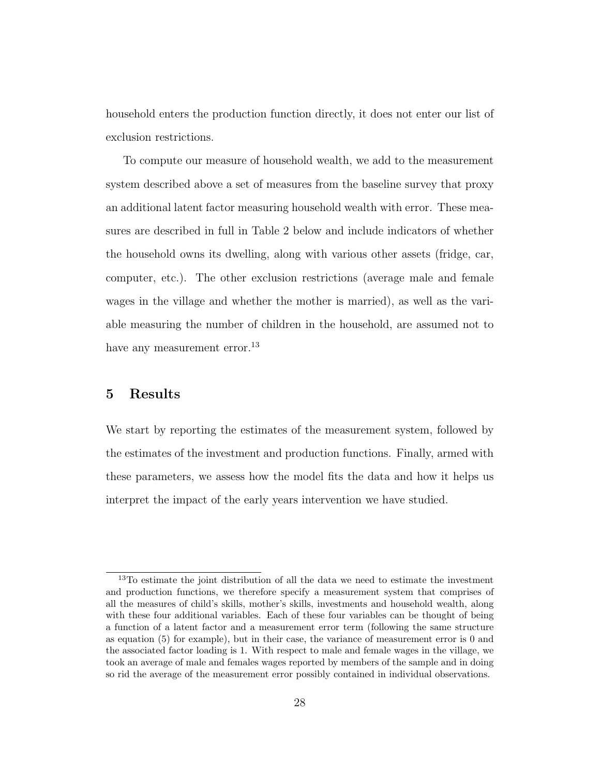household enters the production function directly, it does not enter our list of exclusion restrictions.

To compute our measure of household wealth, we add to the measurement system described above a set of measures from the baseline survey that proxy an additional latent factor measuring household wealth with error. These measures are described in full in Table 2 below and include indicators of whether the household owns its dwelling, along with various other assets (fridge, car, computer, etc.). The other exclusion restrictions (average male and female wages in the village and whether the mother is married), as well as the variable measuring the number of children in the household, are assumed not to have any measurement error.<sup>13</sup>

### 5 Results

We start by reporting the estimates of the measurement system, followed by the estimates of the investment and production functions. Finally, armed with these parameters, we assess how the model fits the data and how it helps us interpret the impact of the early years intervention we have studied.

<sup>&</sup>lt;sup>13</sup>To estimate the joint distribution of all the data we need to estimate the investment and production functions, we therefore specify a measurement system that comprises of all the measures of child's skills, mother's skills, investments and household wealth, along with these four additional variables. Each of these four variables can be thought of being a function of a latent factor and a measurement error term (following the same structure as equation [\(5\)](#page-25-0) for example), but in their case, the variance of measurement error is 0 and the associated factor loading is 1. With respect to male and female wages in the village, we took an average of male and females wages reported by members of the sample and in doing so rid the average of the measurement error possibly contained in individual observations.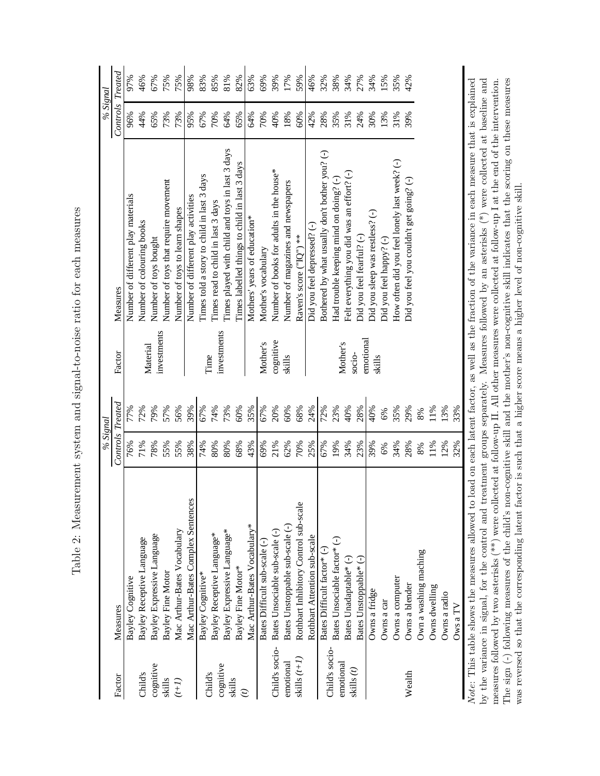<span id="page-31-0"></span>

|                     |                                       | % Signal                |       |                     |                                                                                                                                                             | % Signal                |     |
|---------------------|---------------------------------------|-------------------------|-------|---------------------|-------------------------------------------------------------------------------------------------------------------------------------------------------------|-------------------------|-----|
| Factor              | Measures                              | <b>Controls Treated</b> |       | Factor              | Measures                                                                                                                                                    | <b>Controls Treated</b> |     |
|                     | Bayley Cognitive                      | 76%                     | 77%   |                     | Number of different play materials                                                                                                                          | 96%                     | 97% |
| Child's             | Bayley Receptive Language             | 71%                     | 72%   | Material            | Number of colouring books                                                                                                                                   | 44%                     | 46% |
| cognitive           | Bayley Expressive Language            | 78%                     | 79%   | investments         | Number of toys bought                                                                                                                                       | 65%                     | 67% |
| skills              | Bayley Fine Motor                     | 55%                     | 57%   |                     | Number of toys that require movement                                                                                                                        | 73%                     | 75% |
| $(1+i)$             | Mac Arthur-Bates Vocabulary           | 55%                     | 56%   |                     | Number of toys to learn shapes                                                                                                                              | 73%                     | 75% |
|                     | Mac Arthur-Bates Complex Sentences    | 38%                     | 39%   |                     | Number of different play activities                                                                                                                         | 95%                     | 98% |
|                     | Bayley Cognitive*                     | 74%                     | 67%   |                     | Times told a story to child in last 3 days                                                                                                                  | 67%                     | 83% |
| Child's             | Bayley Receptive Language*            | 80%                     | 74%   | Time                | Times read to child in last 3 days                                                                                                                          | 70%                     | 85% |
| cognitive<br>skills | Bayley Expressive Language*           | 80%                     | 73%   | investments         | Times played with child and toys in last 3 days                                                                                                             | 64%                     | 81% |
|                     | Bayley Fine Motor*                    | 68%                     | 60%   |                     | Times labelled things to child in last 3 days                                                                                                               | 65%                     | 82% |
|                     | Mac Arthur-Bates Vocabulary*          | 43%                     | 35%   |                     | Mothers' years of education*                                                                                                                                | 64%                     | 63% |
|                     | Bates Difficult sub-scale (-)         | 69%                     | 67%   | Mother's            | Mother's vocabulary                                                                                                                                         | 70%                     | 69% |
| Child's socio-      | Bates Unsociable sub-scale (-)        | 21%                     | 20%   | cognitive           | Number of books for adults in the house*                                                                                                                    | 40%                     | 39% |
| emotional           | Bates Unstoppable sub-scale (-)       | 62%                     | 60%   | skills              | Number of magazines and newspapers                                                                                                                          | 18%                     | 17% |
| skills $(t+I)$      | Rothbart Inhibitory Control sub-scale | 70%                     | 68%   |                     | Raven's score ("IQ") **                                                                                                                                     | 60%                     | 59% |
|                     | Rothbart Attention sub-scale          | 25%                     | 24%   |                     | Did you feel depressed? (-)                                                                                                                                 | 42%                     | 46% |
| Child's socio-      | Bates Difficult factor* (-)           | 67%                     | 72%   |                     | Bothered by what usually don't bother you? (-)                                                                                                              | 28%                     | 32% |
| emotional           | Bates Unsociable factor* (-)          | 19%                     | 23%   |                     | Had trouble keeping mind on doing? (-)                                                                                                                      | 35%                     | 38% |
| skills $(t)$        | Bates Unadaptable* (-)                | 34%                     | 40%   | Mother's            | Felt everything you did was an effort? (-)                                                                                                                  | 31%<br>24%              | 34% |
|                     | Bates Unstoppable* (-)                | 23%                     | 28%   | emotional<br>socio- | Did you feel fearful? (-)                                                                                                                                   |                         | 27% |
|                     | Owns a fridge                         | 39%                     | 40%   | skills              | Did you sleep was restless? (-)                                                                                                                             | 30%                     | 34% |
|                     | Owns a car                            | 6%                      | 6%    |                     | Did you feel happy? (-)                                                                                                                                     | 13%                     | 15% |
|                     | Owns a computer                       | 34%                     | 35%   |                     | How often did you feel lonely last week? (-)                                                                                                                | 31%                     | 35% |
| Wealth              | Owns a blender                        | 28%                     | 29%   |                     | Did you feel you couldn't get going? (-)                                                                                                                    | 39%                     | 42% |
|                     | Own a washing maching                 | $8\%$                   | $8\%$ |                     |                                                                                                                                                             |                         |     |
|                     | Owns dwelling                         | 11%                     | 11%   |                     |                                                                                                                                                             |                         |     |
|                     | Owns a radio                          | 12%                     | 13%   |                     |                                                                                                                                                             |                         |     |
|                     | Ows a TV                              | 32%                     | 33%   |                     |                                                                                                                                                             |                         |     |
|                     |                                       |                         |       |                     | $\frac{1}{2}$ This table shows the measures allowed to load on each latent factor as well as the fraction of the variance in each measure that is explained |                         |     |

Table 2: Measurement system and signal-to-noise ratio for each measures Table 2: Measurement system and signal-to-noise ratio for each measures

The sign  $(-)$  following measures of the child's non-cognitive skill and the mother's non-cognitive skill indicates that the scoring on these measures was reversed so that the corresponding latent factor is such that a hig by the variance in signal, for the control and treatment groups separately. Measures followed by an asterisks  $(*)$  were collected at baseline and measures followed by two asterisks  $(**)$  were collected at follow-up II. All other measures were collected at follow-up I at the end of the intervention. Note: This table shows the measures allowed to load on each latent factor, as well as the fraction of the variance in each measure that is explained by the variance in signal, for the control and treatment groups separately. Measures followed by an asterisks (\*) were collected at baseline and rner na ev hemen measures followed by two asterisks (\*\*) were collected at follow-up II. All other measures were collected at follow-up I at the end of the intervention. The sign (-) following measures of the child's non-cognitive skill and the mother's non-cognitive skill indicates that the scoring on these measures еасп пле was reversed so that the corresponding latent factor is such that a higher score means a higher level of non-cognitive skill. $\exists$ Jul each rac IN O LE: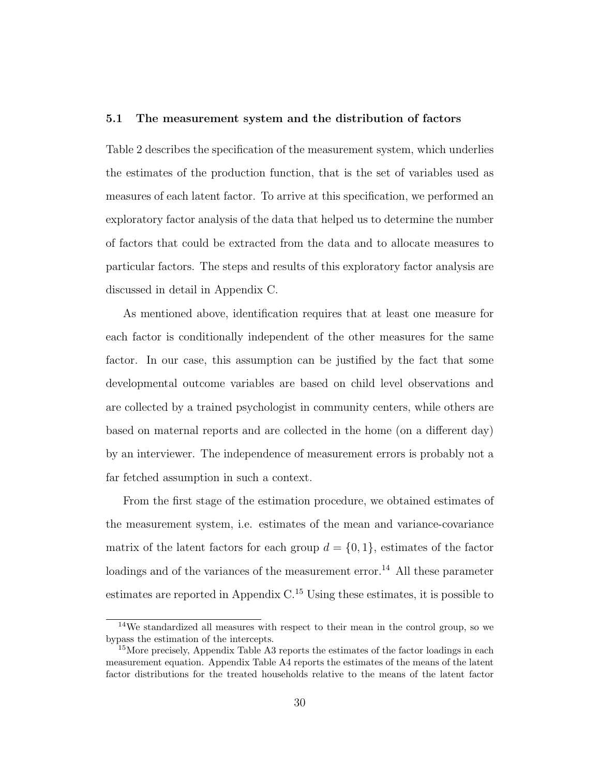#### 5.1 The measurement system and the distribution of factors

Table [2](#page-31-0) describes the specification of the measurement system, which underlies the estimates of the production function, that is the set of variables used as measures of each latent factor. To arrive at this specification, we performed an exploratory factor analysis of the data that helped us to determine the number of factors that could be extracted from the data and to allocate measures to particular factors. The steps and results of this exploratory factor analysis are discussed in detail in Appendix C.

As mentioned above, identification requires that at least one measure for each factor is conditionally independent of the other measures for the same factor. In our case, this assumption can be justified by the fact that some developmental outcome variables are based on child level observations and are collected by a trained psychologist in community centers, while others are based on maternal reports and are collected in the home (on a different day) by an interviewer. The independence of measurement errors is probably not a far fetched assumption in such a context.

From the first stage of the estimation procedure, we obtained estimates of the measurement system, i.e. estimates of the mean and variance-covariance matrix of the latent factors for each group  $d = \{0, 1\}$ , estimates of the factor loadings and of the variances of the measurement error.<sup>14</sup> All these parameter estimates are reported in Appendix  $C<sup>15</sup>$  Using these estimates, it is possible to

<sup>14</sup>We standardized all measures with respect to their mean in the control group, so we bypass the estimation of the intercepts.

<sup>&</sup>lt;sup>15</sup>More precisely, Appendix Table A3 reports the estimates of the factor loadings in each measurement equation. Appendix Table A4 reports the estimates of the means of the latent factor distributions for the treated households relative to the means of the latent factor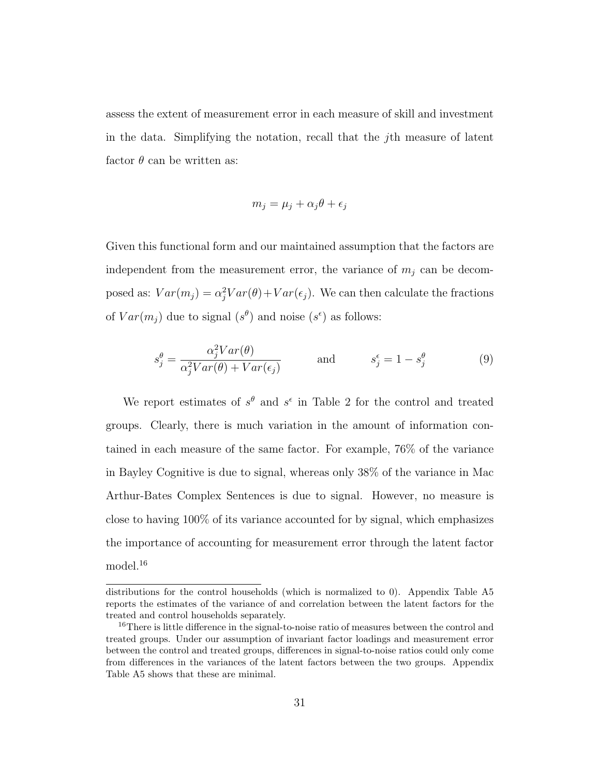assess the extent of measurement error in each measure of skill and investment in the data. Simplifying the notation, recall that the jth measure of latent factor  $\theta$  can be written as:

$$
m_j = \mu_j + \alpha_j \theta + \epsilon_j
$$

Given this functional form and our maintained assumption that the factors are independent from the measurement error, the variance of  $m_i$  can be decomposed as:  $Var(m_j) = \alpha_j^2 Var(\theta) + Var(\epsilon_j)$ . We can then calculate the fractions of  $Var(m_j)$  due to signal  $(s^{\theta})$  and noise  $(s^{\epsilon})$  as follows:

$$
s_j^{\theta} = \frac{\alpha_j^2 Var(\theta)}{\alpha_j^2 Var(\theta) + Var(\epsilon_j)} \quad \text{and} \quad s_j^{\epsilon} = 1 - s_j^{\theta} \quad (9)
$$

We report estimates of  $s^{\theta}$  and  $s^{\epsilon}$  in Table [2](#page-31-0) for the control and treated groups. Clearly, there is much variation in the amount of information contained in each measure of the same factor. For example, 76% of the variance in Bayley Cognitive is due to signal, whereas only 38% of the variance in Mac Arthur-Bates Complex Sentences is due to signal. However, no measure is close to having 100% of its variance accounted for by signal, which emphasizes the importance of accounting for measurement error through the latent factor model.<sup>16</sup>

distributions for the control households (which is normalized to 0). Appendix Table A5 reports the estimates of the variance of and correlation between the latent factors for the treated and control households separately.

<sup>&</sup>lt;sup>16</sup>There is little difference in the signal-to-noise ratio of measures between the control and treated groups. Under our assumption of invariant factor loadings and measurement error between the control and treated groups, differences in signal-to-noise ratios could only come from differences in the variances of the latent factors between the two groups. Appendix Table A5 shows that these are minimal.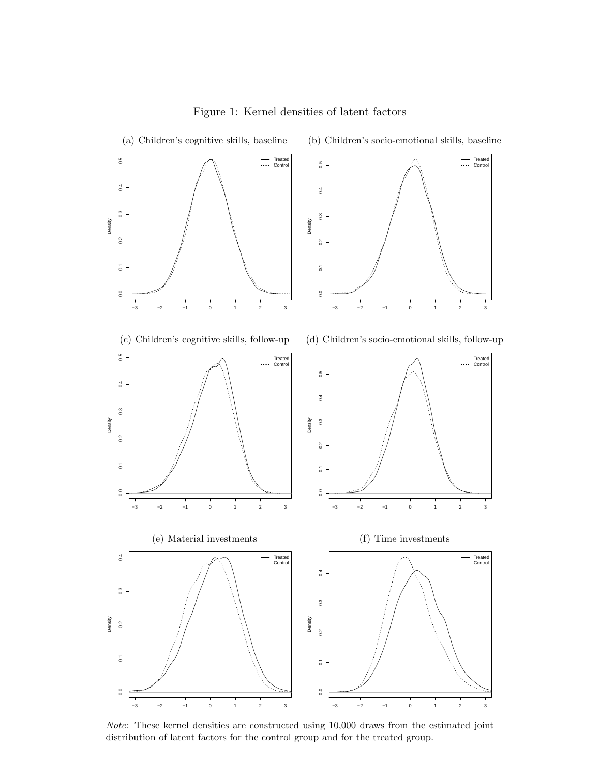<span id="page-34-0"></span>

Note: These kernel densities are constructed using 10,000 draws from the estimated joint distribution of latent factors for the control group and for the treated group.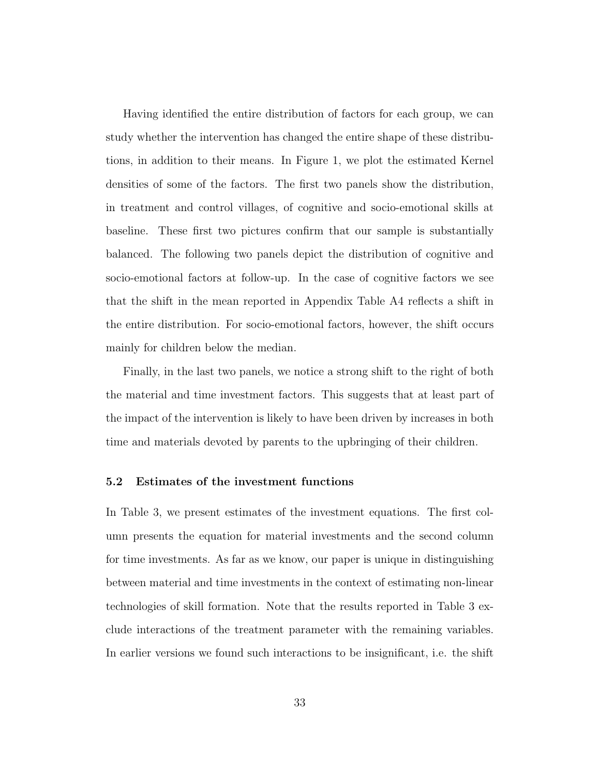Having identified the entire distribution of factors for each group, we can study whether the intervention has changed the entire shape of these distributions, in addition to their means. In Figure [1,](#page-34-0) we plot the estimated Kernel densities of some of the factors. The first two panels show the distribution, in treatment and control villages, of cognitive and socio-emotional skills at baseline. These first two pictures confirm that our sample is substantially balanced. The following two panels depict the distribution of cognitive and socio-emotional factors at follow-up. In the case of cognitive factors we see that the shift in the mean reported in Appendix Table A4 reflects a shift in the entire distribution. For socio-emotional factors, however, the shift occurs mainly for children below the median.

Finally, in the last two panels, we notice a strong shift to the right of both the material and time investment factors. This suggests that at least part of the impact of the intervention is likely to have been driven by increases in both time and materials devoted by parents to the upbringing of their children.

#### 5.2 Estimates of the investment functions

In Table [3,](#page-36-0) we present estimates of the investment equations. The first column presents the equation for material investments and the second column for time investments. As far as we know, our paper is unique in distinguishing between material and time investments in the context of estimating non-linear technologies of skill formation. Note that the results reported in Table [3](#page-36-0) exclude interactions of the treatment parameter with the remaining variables. In earlier versions we found such interactions to be insignificant, i.e. the shift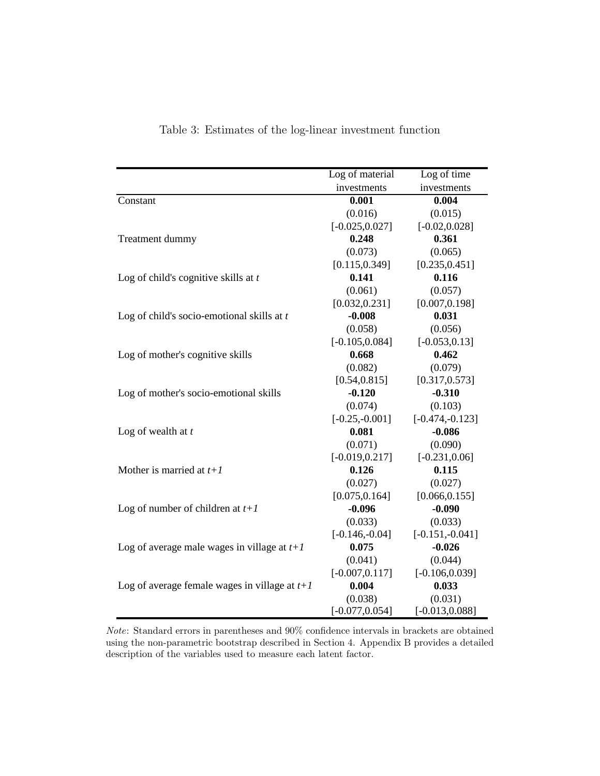|                                                 | Log of material<br>Log of time |                   |  |
|-------------------------------------------------|--------------------------------|-------------------|--|
|                                                 | investments                    | investments       |  |
| Constant                                        | 0.001                          | 0.004             |  |
|                                                 | (0.016)                        | (0.015)           |  |
|                                                 | $[-0.025, 0.027]$              | $[-0.02, 0.028]$  |  |
| Treatment dummy                                 | 0.248                          | 0.361             |  |
|                                                 | (0.073)                        | (0.065)           |  |
|                                                 | [0.115, 0.349]                 | [0.235, 0.451]    |  |
| Log of child's cognitive skills at $t$          | 0.141                          | 0.116             |  |
|                                                 | (0.061)                        | (0.057)           |  |
|                                                 | [0.032, 0.231]                 | [0.007, 0.198]    |  |
| Log of child's socio-emotional skills at $t$    | $-0.008$                       | 0.031             |  |
|                                                 | (0.058)                        | (0.056)           |  |
|                                                 | $[-0.105, 0.084]$              | $[-0.053, 0.13]$  |  |
| Log of mother's cognitive skills                | 0.668                          | 0.462             |  |
|                                                 | (0.082)                        | (0.079)           |  |
|                                                 | [0.54, 0.815]                  | [0.317, 0.573]    |  |
| Log of mother's socio-emotional skills          | $-0.120$                       | $-0.310$          |  |
|                                                 | (0.074)                        | (0.103)           |  |
|                                                 | $[-0.25,-0.001]$               | $[-0.474,-0.123]$ |  |
| Log of wealth at $t$                            | 0.081                          | $-0.086$          |  |
|                                                 | (0.071)                        | (0.090)           |  |
|                                                 | $[-0.019, 0.217]$              | $[-0.231, 0.06]$  |  |
| Mother is married at $t+1$                      | 0.126                          | 0.115             |  |
|                                                 | (0.027)                        | (0.027)           |  |
|                                                 | [0.075, 0.164]                 | [0.066, 0.155]    |  |
| Log of number of children at $t+1$              | $-0.096$                       | $-0.090$          |  |
|                                                 | (0.033)                        | (0.033)           |  |
|                                                 | $[-0.146,-0.04]$               | $[-0.151,-0.041]$ |  |
| Log of average male wages in village at $t+1$   | 0.075                          | $-0.026$          |  |
|                                                 | (0.041)                        | (0.044)           |  |
|                                                 | $[-0.007, 0.117]$              | $[-0.106, 0.039]$ |  |
| Log of average female wages in village at $t+1$ | 0.004                          | 0.033             |  |
|                                                 | (0.038)                        | (0.031)           |  |
|                                                 | $[-0.077, 0.054]$              | $[-0.013, 0.088]$ |  |

Table 3: Estimates of the log-linear investment function

Note: Standard errors in parentheses and 90% confidence intervals in brackets are obtained using the non-parametric bootstrap described in Section 4. Appendix B provides a detailed description of the variables used to measure each latent factor.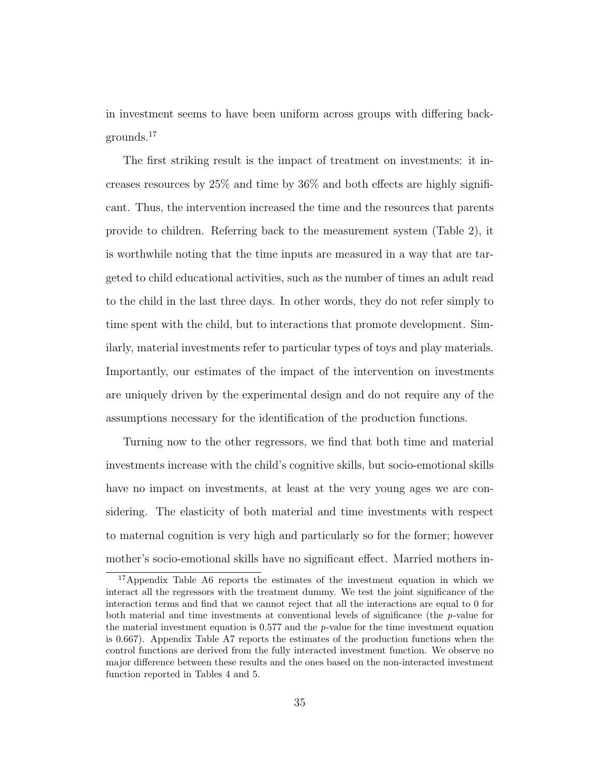in investment seems to have been uniform across groups with differing backgrounds.<sup>17</sup>

The first striking result is the impact of treatment on investments: it increases resources by 25% and time by 36% and both effects are highly significant. Thus, the intervention increased the time and the resources that parents provide to children. Referring back to the measurement system (Table 2), it is worthwhile noting that the time inputs are measured in a way that are targeted to child educational activities, such as the number of times an adult read to the child in the last three days. In other words, they do not refer simply to time spent with the child, but to interactions that promote development. Similarly, material investments refer to particular types of toys and play materials. Importantly, our estimates of the impact of the intervention on investments are uniquely driven by the experimental design and do not require any of the assumptions necessary for the identification of the production functions.

Turning now to the other regressors, we find that both time and material investments increase with the child's cognitive skills, but socio-emotional skills have no impact on investments, at least at the very young ages we are considering. The elasticity of both material and time investments with respect to maternal cognition is very high and particularly so for the former; however mother's socio-emotional skills have no significant effect. Married mothers in-

<sup>&</sup>lt;sup>17</sup>Appendix Table A6 reports the estimates of the investment equation in which we interact all the regressors with the treatment dummy. We test the joint significance of the interaction terms and find that we cannot reject that all the interactions are equal to 0 for both material and time investments at conventional levels of significance (the p-value for the material investment equation is  $0.577$  and the p-value for the time investment equation is 0.667). Appendix Table A7 reports the estimates of the production functions when the control functions are derived from the fully interacted investment function. We observe no major difference between these results and the ones based on the non-interacted investment function reported in Tables 4 and 5.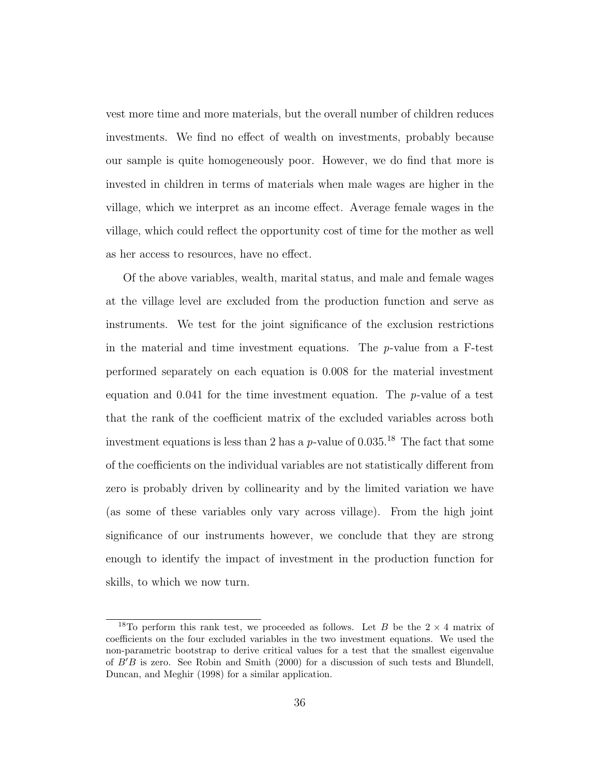vest more time and more materials, but the overall number of children reduces investments. We find no effect of wealth on investments, probably because our sample is quite homogeneously poor. However, we do find that more is invested in children in terms of materials when male wages are higher in the village, which we interpret as an income effect. Average female wages in the village, which could reflect the opportunity cost of time for the mother as well as her access to resources, have no effect.

Of the above variables, wealth, marital status, and male and female wages at the village level are excluded from the production function and serve as instruments. We test for the joint significance of the exclusion restrictions in the material and time investment equations. The  $p$ -value from a F-test performed separately on each equation is 0.008 for the material investment equation and 0.041 for the time investment equation. The p-value of a test that the rank of the coefficient matrix of the excluded variables across both investment equations is less than 2 has a p-value of  $0.035$ .<sup>18</sup> The fact that some of the coefficients on the individual variables are not statistically different from zero is probably driven by collinearity and by the limited variation we have (as some of these variables only vary across village). From the high joint significance of our instruments however, we conclude that they are strong enough to identify the impact of investment in the production function for skills, to which we now turn.

<sup>&</sup>lt;sup>18</sup>To perform this rank test, we proceeded as follows. Let B be the  $2 \times 4$  matrix of coefficients on the four excluded variables in the two investment equations. We used the non-parametric bootstrap to derive critical values for a test that the smallest eigenvalue of  $B'B$  is zero. See [Robin and Smith](#page-52-0) [\(2000\)](#page-52-0) for a discussion of such tests and [Blundell,](#page-50-0) [Duncan, and Meghir](#page-50-0) [\(1998\)](#page-50-0) for a similar application.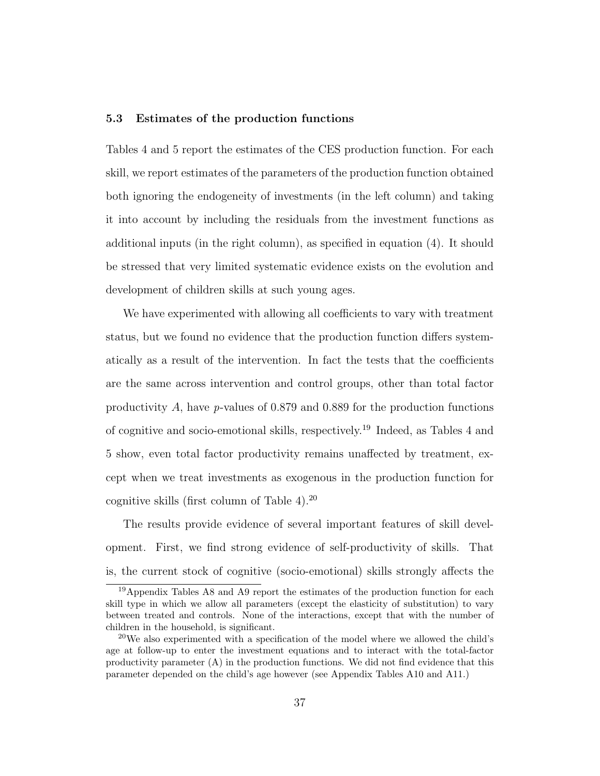### 5.3 Estimates of the production functions

Tables [4](#page-40-0) and [5](#page-41-0) report the estimates of the CES production function. For each skill, we report estimates of the parameters of the production function obtained both ignoring the endogeneity of investments (in the left column) and taking it into account by including the residuals from the investment functions as additional inputs (in the right column), as specified in equation [\(4\)](#page-22-0). It should be stressed that very limited systematic evidence exists on the evolution and development of children skills at such young ages.

We have experimented with allowing all coefficients to vary with treatment status, but we found no evidence that the production function differs systematically as a result of the intervention. In fact the tests that the coefficients are the same across intervention and control groups, other than total factor productivity A, have p-values of 0.879 and 0.889 for the production functions of cognitive and socio-emotional skills, respectively.<sup>19</sup> Indeed, as Tables [4](#page-40-0) and [5](#page-41-0) show, even total factor productivity remains unaffected by treatment, except when we treat investments as exogenous in the production function for cognitive skills (first column of Table  $4$ ).<sup>20</sup>

The results provide evidence of several important features of skill development. First, we find strong evidence of self-productivity of skills. That is, the current stock of cognitive (socio-emotional) skills strongly affects the

<sup>19</sup>Appendix Tables A8 and A9 report the estimates of the production function for each skill type in which we allow all parameters (except the elasticity of substitution) to vary between treated and controls. None of the interactions, except that with the number of children in the household, is significant.

<sup>&</sup>lt;sup>20</sup>We also experimented with a specification of the model where we allowed the child's age at follow-up to enter the investment equations and to interact with the total-factor productivity parameter (A) in the production functions. We did not find evidence that this parameter depended on the child's age however (see Appendix Tables A10 and A11.)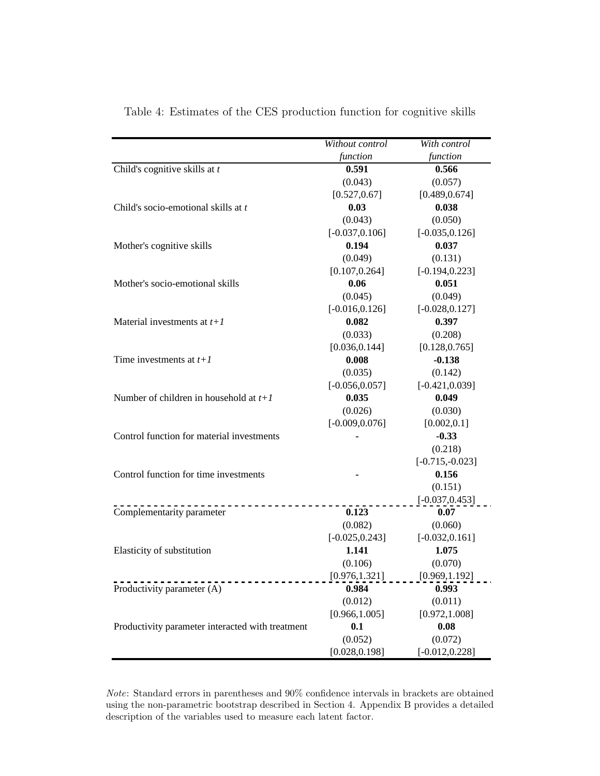|                                                  | Without control   | With control      |
|--------------------------------------------------|-------------------|-------------------|
|                                                  | function          | function          |
| Child's cognitive skills at $t$                  | 0.591             | 0.566             |
|                                                  | (0.043)           | (0.057)           |
|                                                  | [0.527, 0.67]     | [0.489, 0.674]    |
| Child's socio-emotional skills at t              | 0.03              | 0.038             |
|                                                  | (0.043)           | (0.050)           |
|                                                  | $[-0.037, 0.106]$ | $[-0.035, 0.126]$ |
| Mother's cognitive skills                        | 0.194             | 0.037             |
|                                                  | (0.049)           | (0.131)           |
|                                                  | [0.107, 0.264]    | $[-0.194, 0.223]$ |
| Mother's socio-emotional skills                  | 0.06              | 0.051             |
|                                                  | (0.045)           | (0.049)           |
|                                                  | $[-0.016, 0.126]$ | $[-0.028, 0.127]$ |
| Material investments at $t+1$                    | 0.082             | 0.397             |
|                                                  | (0.033)           | (0.208)           |
|                                                  | [0.036, 0.144]    | [0.128, 0.765]    |
| Time investments at $t+1$                        | 0.008             | $-0.138$          |
|                                                  | (0.035)           | (0.142)           |
|                                                  | $[-0.056, 0.057]$ | $[-0.421, 0.039]$ |
| Number of children in household at $t+1$         | 0.035             | 0.049             |
|                                                  | (0.026)           | (0.030)           |
|                                                  | $[-0.009, 0.076]$ | [0.002, 0.1]      |
| Control function for material investments        |                   | $-0.33$           |
|                                                  |                   | (0.218)           |
|                                                  |                   | $[-0.715,-0.023]$ |
| Control function for time investments            |                   | 0.156             |
|                                                  |                   | (0.151)           |
|                                                  |                   | $[-0.037, 0.453]$ |
| Complementarity parameter                        | 0.123             | 0.07              |
|                                                  | (0.082)           | (0.060)           |
|                                                  | $[-0.025, 0.243]$ | $[-0.032, 0.161]$ |
| Elasticity of substitution                       | 1.141             | 1.075             |
|                                                  | (0.106)           | (0.070)           |
|                                                  | [0.976, 1.321]    | [0.969, 1.192]    |
| Productivity parameter (A)                       | 0.984             | 0.993             |
|                                                  | (0.012)           | (0.011)           |
|                                                  | [0.966, 1.005]    | [0.972, 1.008]    |
| Productivity parameter interacted with treatment | 0.1               | 0.08              |
|                                                  | (0.052)           | (0.072)           |
|                                                  | [0.028, 0.198]    | $[-0.012, 0.228]$ |

<span id="page-40-0"></span>Table 4: Estimates of the CES production function for cognitive skills

 $\emph{Note: Standard errors in parentheses and 90\% confidence intervals in brackets are obtained}$ using the non-parametric bootstrap described in Section 4. Appendix B provides a detailed description of the variables used to measure each latent factor.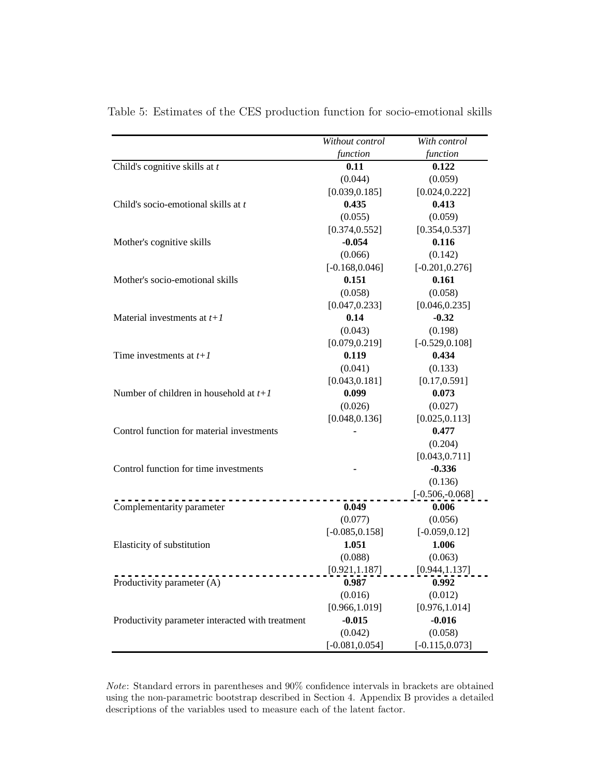|                                                  | Without control   | With control      |
|--------------------------------------------------|-------------------|-------------------|
|                                                  | function          | function          |
| Child's cognitive skills at $t$                  | 0.11              | 0.122             |
|                                                  | (0.044)           | (0.059)           |
|                                                  | [0.039, 0.185]    | [0.024, 0.222]    |
| Child's socio-emotional skills at t              | 0.435             | 0.413             |
|                                                  | (0.055)           | (0.059)           |
|                                                  | [0.374, 0.552]    | [0.354, 0.537]    |
| Mother's cognitive skills                        | $-0.054$          | 0.116             |
|                                                  | (0.066)           | (0.142)           |
|                                                  | $[-0.168, 0.046]$ | $[-0.201, 0.276]$ |
| Mother's socio-emotional skills                  | 0.151             | 0.161             |
|                                                  | (0.058)           | (0.058)           |
|                                                  | [0.047, 0.233]    | [0.046, 0.235]    |
| Material investments at $t+1$                    | 0.14              | $-0.32$           |
|                                                  | (0.043)           | (0.198)           |
|                                                  | [0.079, 0.219]    | $[-0.529, 0.108]$ |
| Time investments at $t+1$                        | 0.119             | 0.434             |
|                                                  | (0.041)           | (0.133)           |
|                                                  | [0.043, 0.181]    | [0.17, 0.591]     |
| Number of children in household at $t+1$         | 0.099             | 0.073             |
|                                                  | (0.026)           | (0.027)           |
|                                                  | [0.048, 0.136]    | [0.025, 0.113]    |
| Control function for material investments        |                   | 0.477             |
|                                                  |                   | (0.204)           |
|                                                  |                   | [0.043, 0.711]    |
| Control function for time investments            |                   | $-0.336$          |
|                                                  |                   | (0.136)           |
|                                                  |                   | $[-0.506,-0.068]$ |
| Complementarity parameter                        | 0.049             | 0.006             |
|                                                  | (0.077)           | (0.056)           |
|                                                  | $[-0.085, 0.158]$ | $[-0.059, 0.12]$  |
| Elasticity of substitution                       | 1.051             | 1.006             |
|                                                  | (0.088)           | (0.063)           |
|                                                  | [0.921, 1.187]    | [0.944, 1.137]    |
| Productivity parameter (A)                       | 0.987             | 0.992             |
|                                                  | (0.016)           | (0.012)           |
|                                                  | [0.966, 1.019]    | [0.976, 1.014]    |
| Productivity parameter interacted with treatment | $-0.015$          | $-0.016$          |
|                                                  | (0.042)           | (0.058)           |
|                                                  | $[-0.081, 0.054]$ | $[-0.115, 0.073]$ |

<span id="page-41-0"></span>Table 5: Estimates of the CES production function for socio-emotional skills

Note: Standard errors in parentheses and 90% confidence intervals in brackets are obtained using the non-parametric bootstrap described in Section 4. Appendix B provides a detailed descriptions of the variables used to measure each of the latent factor.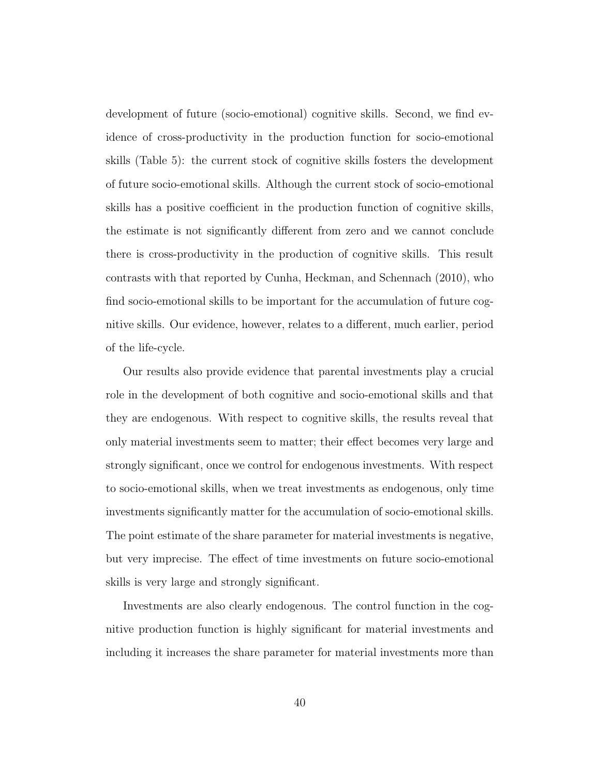development of future (socio-emotional) cognitive skills. Second, we find evidence of cross-productivity in the production function for socio-emotional skills (Table [5\)](#page-41-0): the current stock of cognitive skills fosters the development of future socio-emotional skills. Although the current stock of socio-emotional skills has a positive coefficient in the production function of cognitive skills, the estimate is not significantly different from zero and we cannot conclude there is cross-productivity in the production of cognitive skills. This result contrasts with that reported by [Cunha, Heckman, and Schennach](#page-51-0) [\(2010\)](#page-51-0), who find socio-emotional skills to be important for the accumulation of future cognitive skills. Our evidence, however, relates to a different, much earlier, period of the life-cycle.

Our results also provide evidence that parental investments play a crucial role in the development of both cognitive and socio-emotional skills and that they are endogenous. With respect to cognitive skills, the results reveal that only material investments seem to matter; their effect becomes very large and strongly significant, once we control for endogenous investments. With respect to socio-emotional skills, when we treat investments as endogenous, only time investments significantly matter for the accumulation of socio-emotional skills. The point estimate of the share parameter for material investments is negative, but very imprecise. The effect of time investments on future socio-emotional skills is very large and strongly significant.

Investments are also clearly endogenous. The control function in the cognitive production function is highly significant for material investments and including it increases the share parameter for material investments more than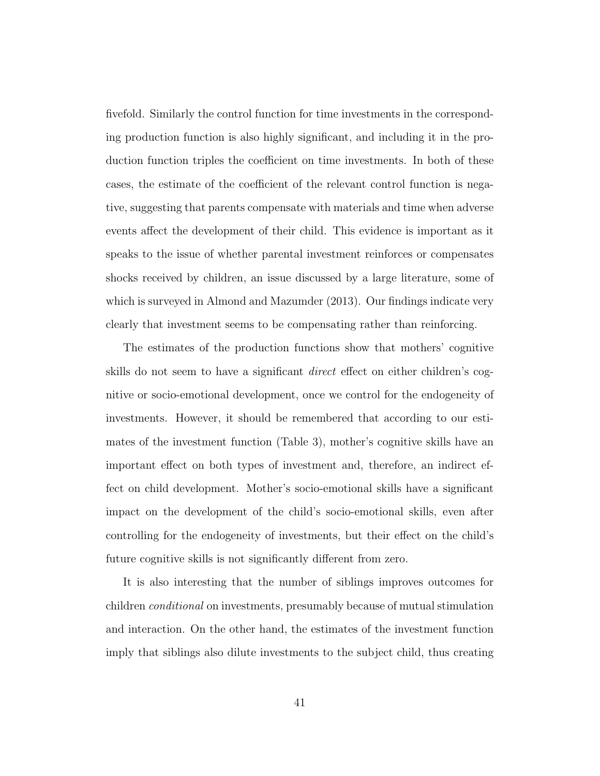fivefold. Similarly the control function for time investments in the corresponding production function is also highly significant, and including it in the production function triples the coefficient on time investments. In both of these cases, the estimate of the coefficient of the relevant control function is negative, suggesting that parents compensate with materials and time when adverse events affect the development of their child. This evidence is important as it speaks to the issue of whether parental investment reinforces or compensates shocks received by children, an issue discussed by a large literature, some of which is surveyed in [Almond and Mazumder](#page-50-1) [\(2013\)](#page-50-1). Our findings indicate very clearly that investment seems to be compensating rather than reinforcing.

The estimates of the production functions show that mothers' cognitive skills do not seem to have a significant direct effect on either children's cognitive or socio-emotional development, once we control for the endogeneity of investments. However, it should be remembered that according to our estimates of the investment function (Table 3), mother's cognitive skills have an important effect on both types of investment and, therefore, an indirect effect on child development. Mother's socio-emotional skills have a significant impact on the development of the child's socio-emotional skills, even after controlling for the endogeneity of investments, but their effect on the child's future cognitive skills is not significantly different from zero.

It is also interesting that the number of siblings improves outcomes for children conditional on investments, presumably because of mutual stimulation and interaction. On the other hand, the estimates of the investment function imply that siblings also dilute investments to the subject child, thus creating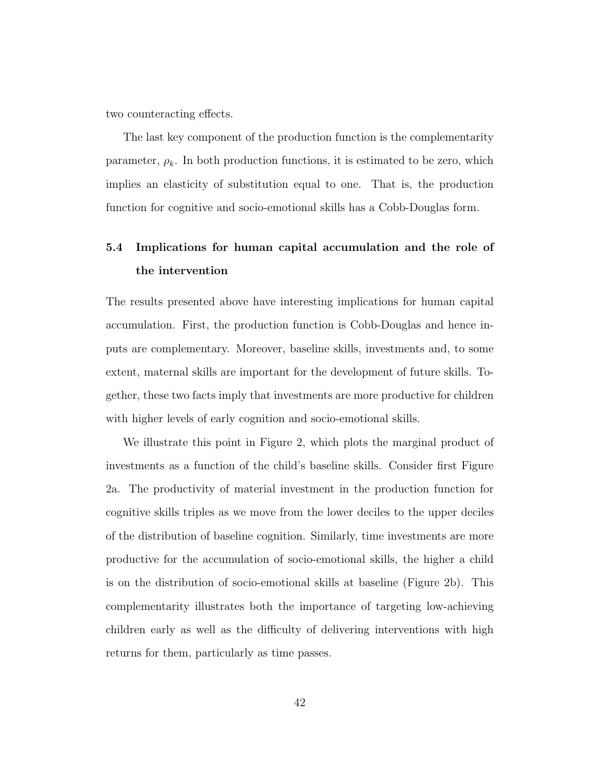two counteracting effects.

The last key component of the production function is the complementarity parameter,  $\rho_k$ . In both production functions, it is estimated to be zero, which implies an elasticity of substitution equal to one. That is, the production function for cognitive and socio-emotional skills has a Cobb-Douglas form.

## 5.4 Implications for human capital accumulation and the role of the intervention

The results presented above have interesting implications for human capital accumulation. First, the production function is Cobb-Douglas and hence inputs are complementary. Moreover, baseline skills, investments and, to some extent, maternal skills are important for the development of future skills. Together, these two facts imply that investments are more productive for children with higher levels of early cognition and socio-emotional skills.

We illustrate this point in Figure [2,](#page-45-0) which plots the marginal product of investments as a function of the child's baseline skills. Consider first Figure [2a](#page-45-0). The productivity of material investment in the production function for cognitive skills triples as we move from the lower deciles to the upper deciles of the distribution of baseline cognition. Similarly, time investments are more productive for the accumulation of socio-emotional skills, the higher a child is on the distribution of socio-emotional skills at baseline (Figure [2b](#page-45-0)). This complementarity illustrates both the importance of targeting low-achieving children early as well as the difficulty of delivering interventions with high returns for them, particularly as time passes.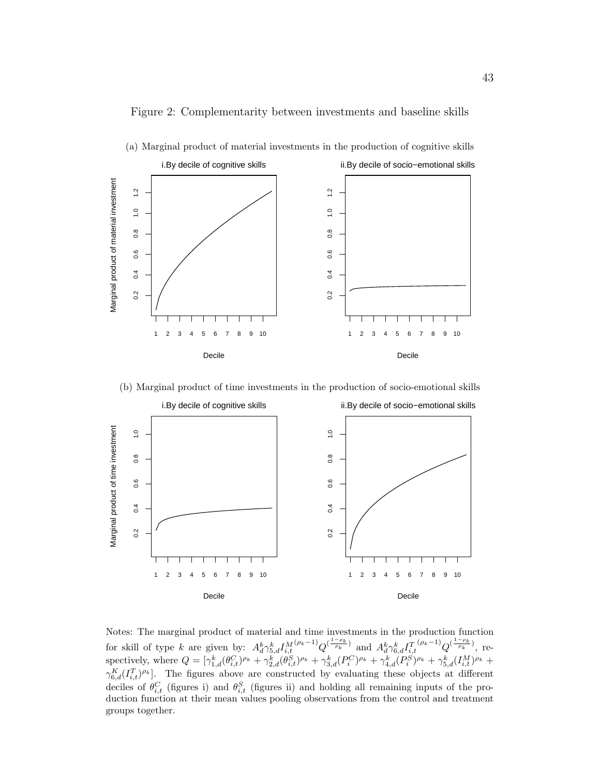

(a) Marginal product of material investments in the production of cognitive skills

<span id="page-45-0"></span>Figure 2: Complementarity between investments and baseline skills





Notes: The marginal product of material and time investments in the production function for skill of type k are given by:  $A_d^k \gamma_{5,d}^k I_{i,t}^{M(\rho_k-1)} Q^{(\frac{1-\rho_k}{\rho_k})}$  and  $A_d^k \gamma_{6,d}^k I_{i,t}^{T(\rho_k-1)} Q^{(\frac{1-\rho_k}{\rho_k})}$ , respectively, where  $Q = [\gamma_{1,d}^k (\theta_{i,t}^C)^{\rho_k} + \gamma_{2,d}^k (\theta_{i,t}^S)^{\rho_k} + \gamma_{3,d}^k (P_i^C)^{\rho_k} + \gamma_{4,d}^k (P_i^S)^{\rho_k} + \gamma_{5,d}^k (I_{i,t}^M)^{\rho_k} +$  $\gamma_{6,d}^K(I_{i,t}^T)^{\rho_k}$ . The figures above are constructed by evaluating these objects at different deciles of  $\theta_{i,t}^C$  (figures i) and  $\theta_{i,t}^S$  (figures ii) and holding all remaining inputs of the production function at their mean values pooling observations from the control and treatment groups together.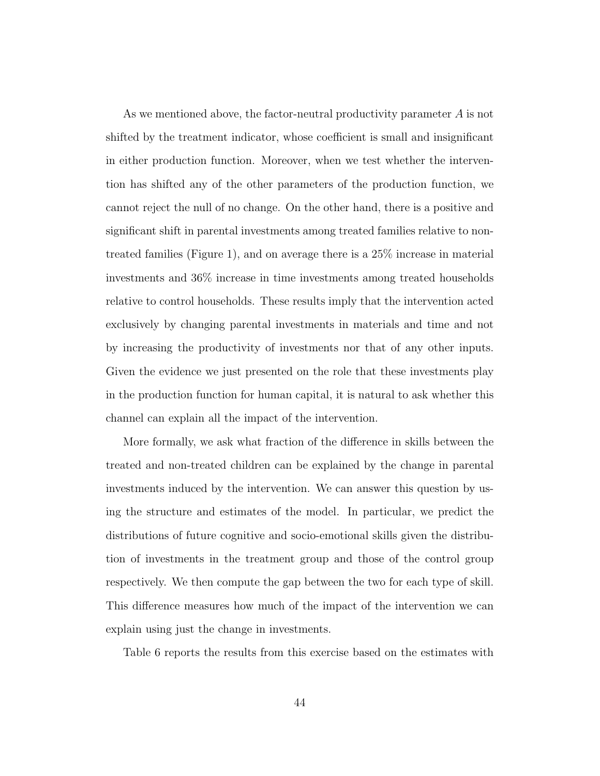As we mentioned above, the factor-neutral productivity parameter A is not shifted by the treatment indicator, whose coefficient is small and insignificant in either production function. Moreover, when we test whether the intervention has shifted any of the other parameters of the production function, we cannot reject the null of no change. On the other hand, there is a positive and significant shift in parental investments among treated families relative to nontreated families (Figure [1\)](#page-34-0), and on average there is a 25% increase in material investments and 36% increase in time investments among treated households relative to control households. These results imply that the intervention acted exclusively by changing parental investments in materials and time and not by increasing the productivity of investments nor that of any other inputs. Given the evidence we just presented on the role that these investments play in the production function for human capital, it is natural to ask whether this channel can explain all the impact of the intervention.

More formally, we ask what fraction of the difference in skills between the treated and non-treated children can be explained by the change in parental investments induced by the intervention. We can answer this question by using the structure and estimates of the model. In particular, we predict the distributions of future cognitive and socio-emotional skills given the distribution of investments in the treatment group and those of the control group respectively. We then compute the gap between the two for each type of skill. This difference measures how much of the impact of the intervention we can explain using just the change in investments.

Table [6](#page-47-0) reports the results from this exercise based on the estimates with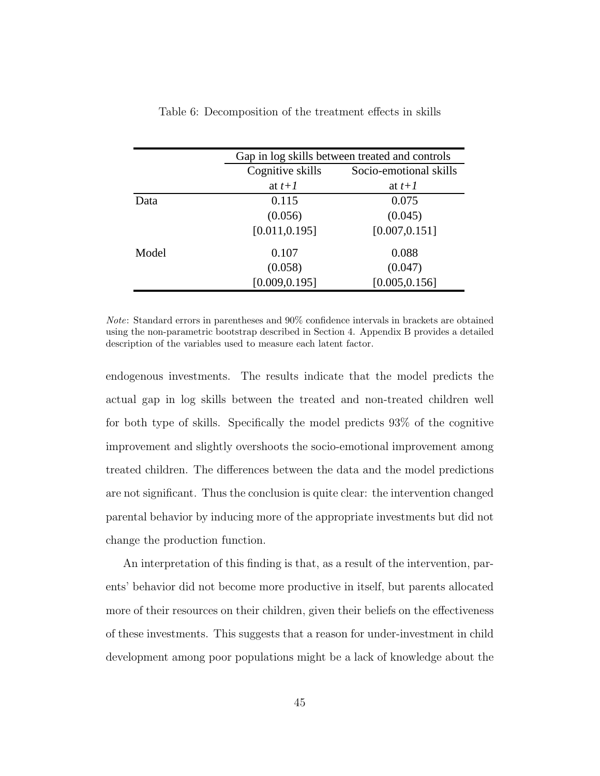|       | Gap in log skills between treated and controls |                        |  |
|-------|------------------------------------------------|------------------------|--|
|       | Cognitive skills                               | Socio-emotional skills |  |
|       | at $t+1$                                       | at $t+1$               |  |
| Data  | 0.115                                          | 0.075                  |  |
|       | (0.056)                                        | (0.045)                |  |
|       | [0.011, 0.195]                                 | [0.007, 0.151]         |  |
| Model | 0.107                                          | 0.088                  |  |
|       | (0.058)                                        | (0.047)                |  |
|       | [0.009, 0.195]                                 | [0.005, 0.156]         |  |

<span id="page-47-0"></span>Table 6: Decomposition of the treatment effects in skills

Note: Standard errors in parentheses and 90% confidence intervals in brackets are obtained using the non-parametric bootstrap described in Section 4. Appendix B provides a detailed description of the variables used to measure each latent factor.

endogenous investments. The results indicate that the model predicts the actual gap in log skills between the treated and non-treated children well for both type of skills. Specifically the model predicts 93% of the cognitive improvement and slightly overshoots the socio-emotional improvement among treated children. The differences between the data and the model predictions are not significant. Thus the conclusion is quite clear: the intervention changed parental behavior by inducing more of the appropriate investments but did not change the production function.

An interpretation of this finding is that, as a result of the intervention, parents' behavior did not become more productive in itself, but parents allocated more of their resources on their children, given their beliefs on the effectiveness of these investments. This suggests that a reason for under-investment in child development among poor populations might be a lack of knowledge about the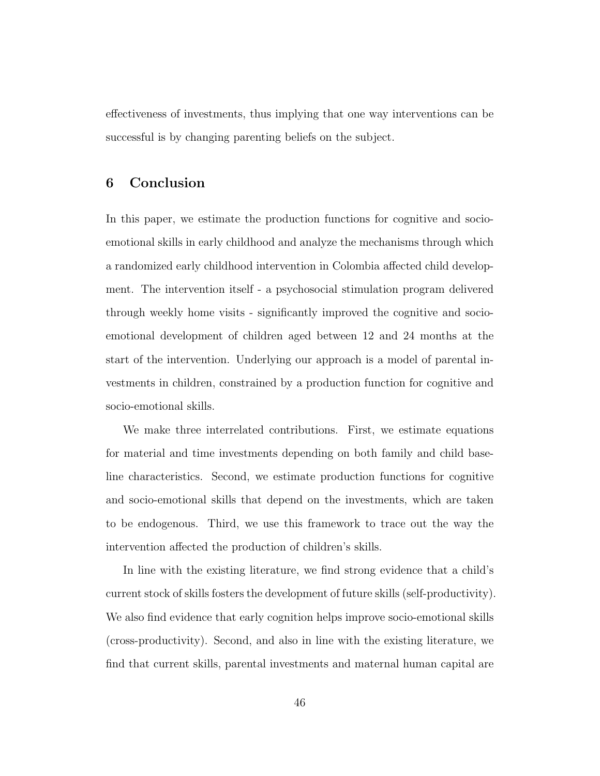effectiveness of investments, thus implying that one way interventions can be successful is by changing parenting beliefs on the subject.

### 6 Conclusion

In this paper, we estimate the production functions for cognitive and socioemotional skills in early childhood and analyze the mechanisms through which a randomized early childhood intervention in Colombia affected child development. The intervention itself - a psychosocial stimulation program delivered through weekly home visits - significantly improved the cognitive and socioemotional development of children aged between 12 and 24 months at the start of the intervention. Underlying our approach is a model of parental investments in children, constrained by a production function for cognitive and socio-emotional skills.

We make three interrelated contributions. First, we estimate equations for material and time investments depending on both family and child baseline characteristics. Second, we estimate production functions for cognitive and socio-emotional skills that depend on the investments, which are taken to be endogenous. Third, we use this framework to trace out the way the intervention affected the production of children's skills.

In line with the existing literature, we find strong evidence that a child's current stock of skills fosters the development of future skills (self-productivity). We also find evidence that early cognition helps improve socio-emotional skills (cross-productivity). Second, and also in line with the existing literature, we find that current skills, parental investments and maternal human capital are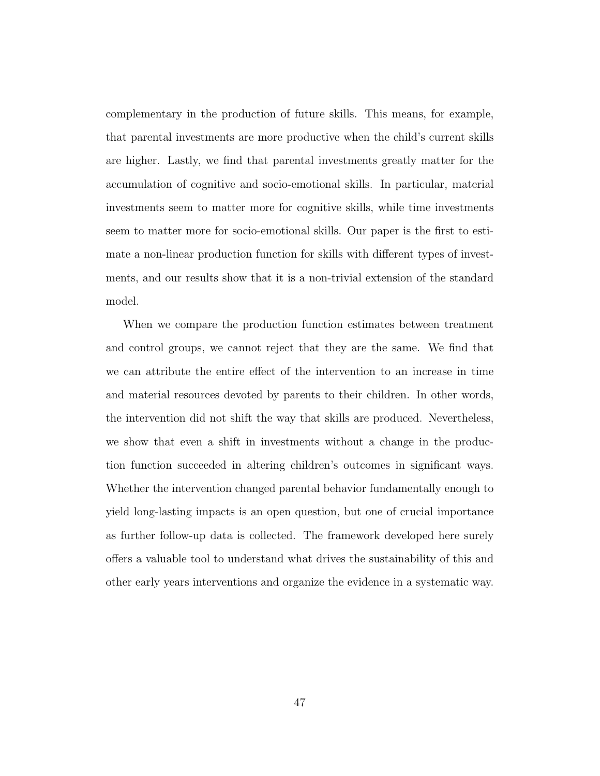complementary in the production of future skills. This means, for example, that parental investments are more productive when the child's current skills are higher. Lastly, we find that parental investments greatly matter for the accumulation of cognitive and socio-emotional skills. In particular, material investments seem to matter more for cognitive skills, while time investments seem to matter more for socio-emotional skills. Our paper is the first to estimate a non-linear production function for skills with different types of investments, and our results show that it is a non-trivial extension of the standard model.

When we compare the production function estimates between treatment and control groups, we cannot reject that they are the same. We find that we can attribute the entire effect of the intervention to an increase in time and material resources devoted by parents to their children. In other words, the intervention did not shift the way that skills are produced. Nevertheless, we show that even a shift in investments without a change in the production function succeeded in altering children's outcomes in significant ways. Whether the intervention changed parental behavior fundamentally enough to yield long-lasting impacts is an open question, but one of crucial importance as further follow-up data is collected. The framework developed here surely offers a valuable tool to understand what drives the sustainability of this and other early years interventions and organize the evidence in a systematic way.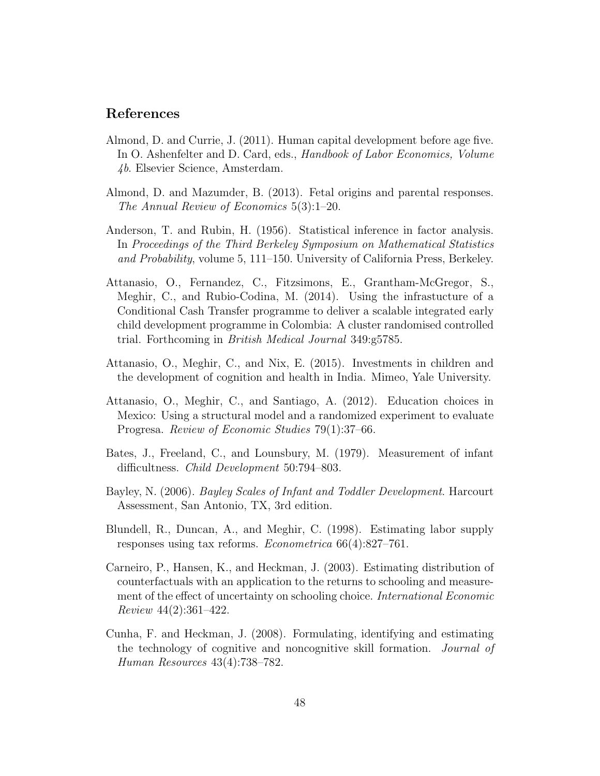### References

- Almond, D. and Currie, J. (2011). Human capital development before age five. In O. Ashenfelter and D. Card, eds., *Handbook of Labor Economics*, *Volume* 4b. Elsevier Science, Amsterdam.
- <span id="page-50-1"></span>Almond, D. and Mazumder, B. (2013). Fetal origins and parental responses. The Annual Review of Economics 5(3):1–20.
- Anderson, T. and Rubin, H. (1956). Statistical inference in factor analysis. In Proceedings of the Third Berkeley Symposium on Mathematical Statistics and Probability, volume 5, 111–150. University of California Press, Berkeley.
- Attanasio, O., Fernandez, C., Fitzsimons, E., Grantham-McGregor, S., Meghir, C., and Rubio-Codina, M. (2014). Using the infrastucture of a Conditional Cash Transfer programme to deliver a scalable integrated early child development programme in Colombia: A cluster randomised controlled trial. Forthcoming in British Medical Journal 349:g5785.
- Attanasio, O., Meghir, C., and Nix, E. (2015). Investments in children and the development of cognition and health in India. Mimeo, Yale University.
- Attanasio, O., Meghir, C., and Santiago, A. (2012). Education choices in Mexico: Using a structural model and a randomized experiment to evaluate Progresa. Review of Economic Studies 79(1):37–66.
- Bates, J., Freeland, C., and Lounsbury, M. (1979). Measurement of infant difficultness. Child Development 50:794–803.
- Bayley, N. (2006). Bayley Scales of Infant and Toddler Development. Harcourt Assessment, San Antonio, TX, 3rd edition.
- <span id="page-50-0"></span>Blundell, R., Duncan, A., and Meghir, C. (1998). Estimating labor supply responses using tax reforms. Econometrica 66(4):827–761.
- Carneiro, P., Hansen, K., and Heckman, J. (2003). Estimating distribution of counterfactuals with an application to the returns to schooling and measurement of the effect of uncertainty on schooling choice. International Economic Review 44(2):361–422.
- Cunha, F. and Heckman, J. (2008). Formulating, identifying and estimating the technology of cognitive and noncognitive skill formation. Journal of Human Resources 43(4):738–782.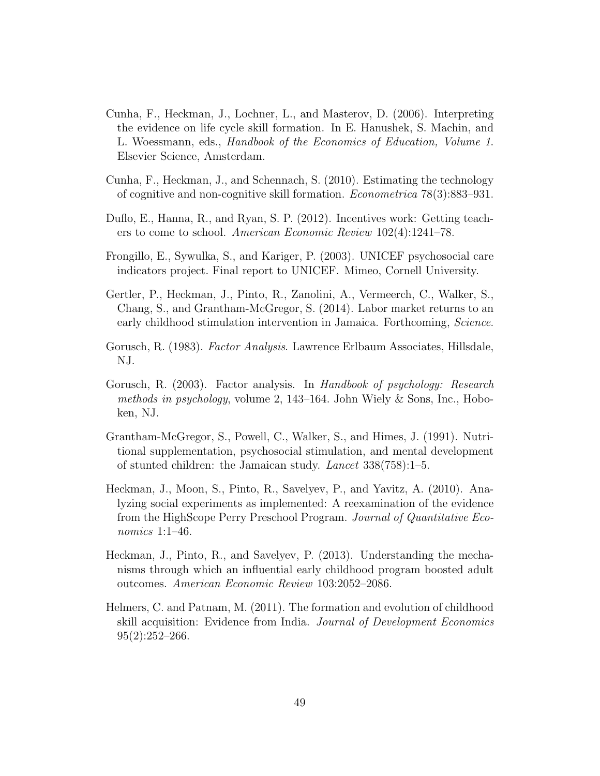- Cunha, F., Heckman, J., Lochner, L., and Masterov, D. (2006). Interpreting the evidence on life cycle skill formation. In E. Hanushek, S. Machin, and L. Woessmann, eds., Handbook of the Economics of Education, Volume 1. Elsevier Science, Amsterdam.
- <span id="page-51-0"></span>Cunha, F., Heckman, J., and Schennach, S. (2010). Estimating the technology of cognitive and non-cognitive skill formation. Econometrica 78(3):883–931.
- Duflo, E., Hanna, R., and Ryan, S. P. (2012). Incentives work: Getting teachers to come to school. American Economic Review 102(4):1241–78.
- Frongillo, E., Sywulka, S., and Kariger, P. (2003). UNICEF psychosocial care indicators project. Final report to UNICEF. Mimeo, Cornell University.
- Gertler, P., Heckman, J., Pinto, R., Zanolini, A., Vermeerch, C., Walker, S., Chang, S., and Grantham-McGregor, S. (2014). Labor market returns to an early childhood stimulation intervention in Jamaica. Forthcoming, Science.
- Gorusch, R. (1983). *Factor Analysis*. Lawrence Erlbaum Associates, Hillsdale, NJ.
- Gorusch, R. (2003). Factor analysis. In Handbook of psychology: Research methods in psychology, volume 2, 143–164. John Wiely & Sons, Inc., Hoboken, NJ.
- Grantham-McGregor, S., Powell, C., Walker, S., and Himes, J. (1991). Nutritional supplementation, psychosocial stimulation, and mental development of stunted children: the Jamaican study. Lancet 338(758):1–5.
- Heckman, J., Moon, S., Pinto, R., Savelyev, P., and Yavitz, A. (2010). Analyzing social experiments as implemented: A reexamination of the evidence from the HighScope Perry Preschool Program. Journal of Quantitative Economics 1:1–46.
- Heckman, J., Pinto, R., and Savelyev, P. (2013). Understanding the mechanisms through which an influential early childhood program boosted adult outcomes. American Economic Review 103:2052–2086.
- Helmers, C. and Patnam, M. (2011). The formation and evolution of childhood skill acquisition: Evidence from India. Journal of Development Economics  $95(2):252-266.$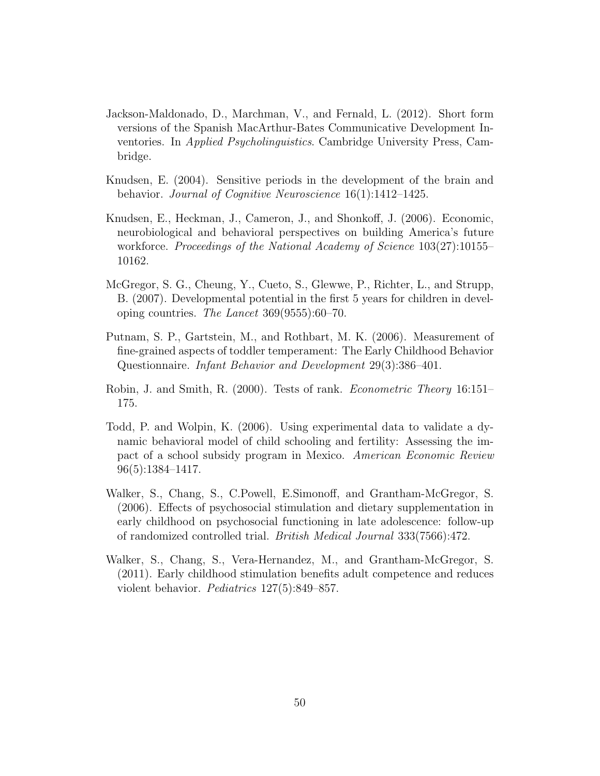- Jackson-Maldonado, D., Marchman, V., and Fernald, L. (2012). Short form versions of the Spanish MacArthur-Bates Communicative Development Inventories. In Applied Psycholinguistics. Cambridge University Press, Cambridge.
- Knudsen, E. (2004). Sensitive periods in the development of the brain and behavior. Journal of Cognitive Neuroscience 16(1):1412–1425.
- Knudsen, E., Heckman, J., Cameron, J., and Shonkoff, J. (2006). Economic, neurobiological and behavioral perspectives on building America's future workforce. Proceedings of the National Academy of Science 103(27):10155– 10162.
- McGregor, S. G., Cheung, Y., Cueto, S., Glewwe, P., Richter, L., and Strupp, B. (2007). Developmental potential in the first 5 years for children in developing countries. The Lancet 369(9555):60–70.
- Putnam, S. P., Gartstein, M., and Rothbart, M. K. (2006). Measurement of fine-grained aspects of toddler temperament: The Early Childhood Behavior Questionnaire. Infant Behavior and Development 29(3):386–401.
- <span id="page-52-0"></span>Robin, J. and Smith, R. (2000). Tests of rank. Econometric Theory 16:151– 175.
- Todd, P. and Wolpin, K. (2006). Using experimental data to validate a dynamic behavioral model of child schooling and fertility: Assessing the impact of a school subsidy program in Mexico. American Economic Review 96(5):1384–1417.
- Walker, S., Chang, S., C.Powell, E.Simonoff, and Grantham-McGregor, S. (2006). Effects of psychosocial stimulation and dietary supplementation in early childhood on psychosocial functioning in late adolescence: follow-up of randomized controlled trial. British Medical Journal 333(7566):472.
- Walker, S., Chang, S., Vera-Hernandez, M., and Grantham-McGregor, S. (2011). Early childhood stimulation benefits adult competence and reduces violent behavior. Pediatrics 127(5):849–857.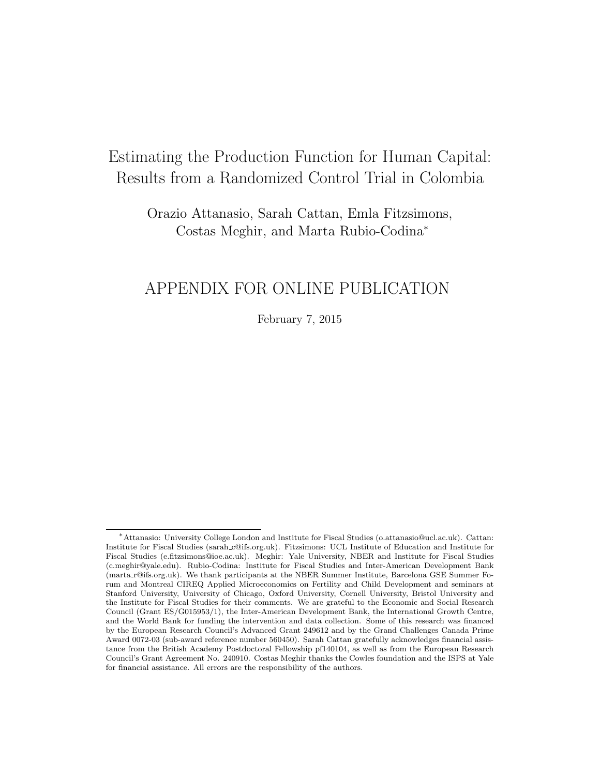# Estimating the Production Function for Human Capital: Results from a Randomized Control Trial in Colombia

Orazio Attanasio, Sarah Cattan, Emla Fitzsimons, Costas Meghir, and Marta Rubio-Codina<sup>∗</sup>

## APPENDIX FOR ONLINE PUBLICATION

February 7, 2015

<sup>∗</sup>Attanasio: University College London and Institute for Fiscal Studies (o.attanasio@ucl.ac.uk). Cattan: Institute for Fiscal Studies (sarah c@ifs.org.uk). Fitzsimons: UCL Institute of Education and Institute for Fiscal Studies (e.fitzsimons@ioe.ac.uk). Meghir: Yale University, NBER and Institute for Fiscal Studies (c.meghir@yale.edu). Rubio-Codina: Institute for Fiscal Studies and Inter-American Development Bank (marta r@ifs.org.uk). We thank participants at the NBER Summer Institute, Barcelona GSE Summer Forum and Montreal CIREQ Applied Microeconomics on Fertility and Child Development and seminars at Stanford University, University of Chicago, Oxford University, Cornell University, Bristol University and the Institute for Fiscal Studies for their comments. We are grateful to the Economic and Social Research Council (Grant ES/G015953/1), the Inter-American Development Bank, the International Growth Centre, and the World Bank for funding the intervention and data collection. Some of this research was financed by the European Research Council's Advanced Grant 249612 and by the Grand Challenges Canada Prime Award 0072-03 (sub-award reference number 560450). Sarah Cattan gratefully acknowledges financial assistance from the British Academy Postdoctoral Fellowship pf140104, as well as from the European Research Council's Grant Agreement No. 240910. Costas Meghir thanks the Cowles foundation and the ISPS at Yale for financial assistance. All errors are the responsibility of the authors.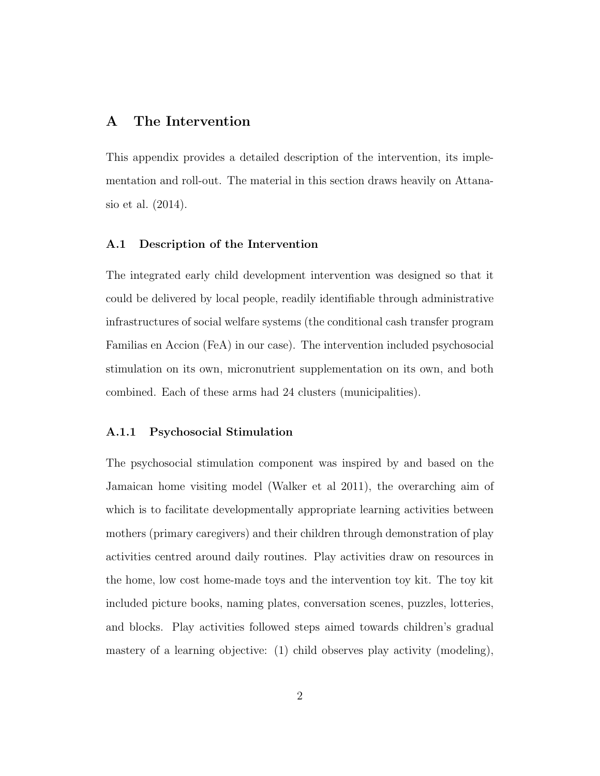### A The Intervention

This appendix provides a detailed description of the intervention, its implementation and roll-out. The material in this section draws heavily on [Attana](#page-90-0)[sio et al.](#page-90-0) [\(2014\)](#page-90-0).

### A.1 Description of the Intervention

The integrated early child development intervention was designed so that it could be delivered by local people, readily identifiable through administrative infrastructures of social welfare systems (the conditional cash transfer program Familias en Accion (FeA) in our case). The intervention included psychosocial stimulation on its own, micronutrient supplementation on its own, and both combined. Each of these arms had 24 clusters (municipalities).

### A.1.1 Psychosocial Stimulation

The psychosocial stimulation component was inspired by and based on the Jamaican home visiting model (Walker et al 2011), the overarching aim of which is to facilitate developmentally appropriate learning activities between mothers (primary caregivers) and their children through demonstration of play activities centred around daily routines. Play activities draw on resources in the home, low cost home-made toys and the intervention toy kit. The toy kit included picture books, naming plates, conversation scenes, puzzles, lotteries, and blocks. Play activities followed steps aimed towards children's gradual mastery of a learning objective: (1) child observes play activity (modeling),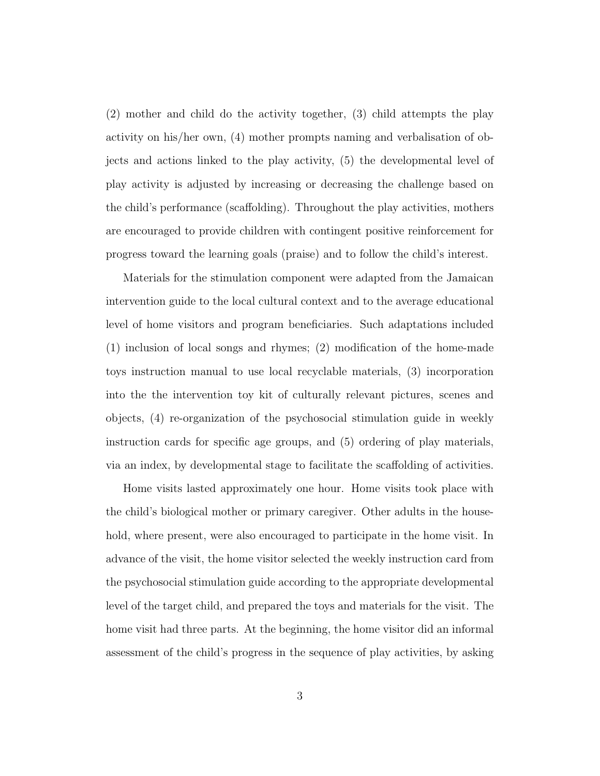(2) mother and child do the activity together, (3) child attempts the play activity on his/her own, (4) mother prompts naming and verbalisation of objects and actions linked to the play activity, (5) the developmental level of play activity is adjusted by increasing or decreasing the challenge based on the child's performance (scaffolding). Throughout the play activities, mothers are encouraged to provide children with contingent positive reinforcement for progress toward the learning goals (praise) and to follow the child's interest.

Materials for the stimulation component were adapted from the Jamaican intervention guide to the local cultural context and to the average educational level of home visitors and program beneficiaries. Such adaptations included (1) inclusion of local songs and rhymes; (2) modification of the home-made toys instruction manual to use local recyclable materials, (3) incorporation into the the intervention toy kit of culturally relevant pictures, scenes and objects, (4) re-organization of the psychosocial stimulation guide in weekly instruction cards for specific age groups, and (5) ordering of play materials, via an index, by developmental stage to facilitate the scaffolding of activities.

Home visits lasted approximately one hour. Home visits took place with the child's biological mother or primary caregiver. Other adults in the household, where present, were also encouraged to participate in the home visit. In advance of the visit, the home visitor selected the weekly instruction card from the psychosocial stimulation guide according to the appropriate developmental level of the target child, and prepared the toys and materials for the visit. The home visit had three parts. At the beginning, the home visitor did an informal assessment of the child's progress in the sequence of play activities, by asking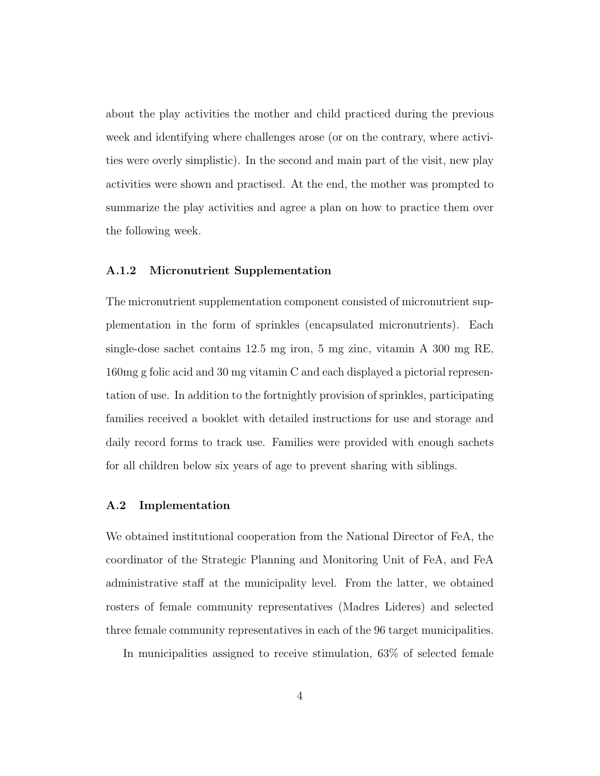about the play activities the mother and child practiced during the previous week and identifying where challenges arose (or on the contrary, where activities were overly simplistic). In the second and main part of the visit, new play activities were shown and practised. At the end, the mother was prompted to summarize the play activities and agree a plan on how to practice them over the following week.

#### A.1.2 Micronutrient Supplementation

The micronutrient supplementation component consisted of micronutrient supplementation in the form of sprinkles (encapsulated micronutrients). Each single-dose sachet contains 12.5 mg iron, 5 mg zinc, vitamin A 300 mg RE, 160mg g folic acid and 30 mg vitamin C and each displayed a pictorial representation of use. In addition to the fortnightly provision of sprinkles, participating families received a booklet with detailed instructions for use and storage and daily record forms to track use. Families were provided with enough sachets for all children below six years of age to prevent sharing with siblings.

### A.2 Implementation

We obtained institutional cooperation from the National Director of FeA, the coordinator of the Strategic Planning and Monitoring Unit of FeA, and FeA administrative staff at the municipality level. From the latter, we obtained rosters of female community representatives (Madres Lideres) and selected three female community representatives in each of the 96 target municipalities.

In municipalities assigned to receive stimulation, 63% of selected female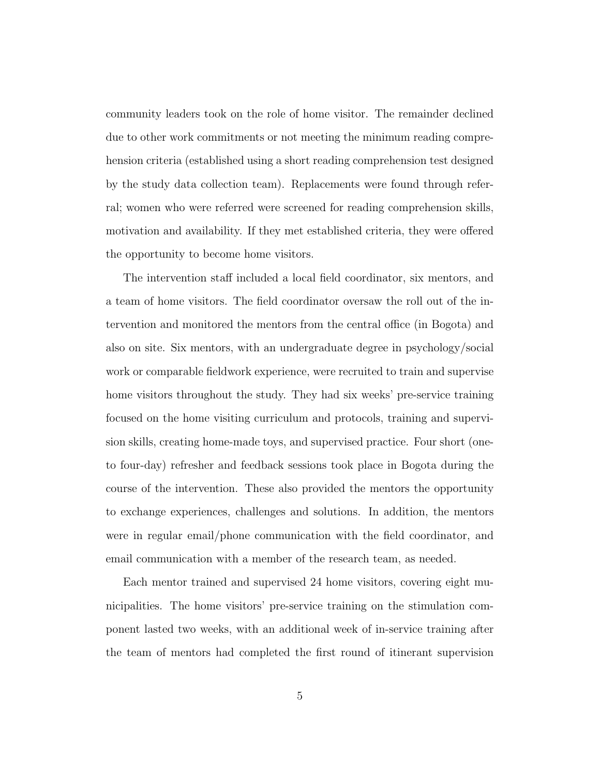community leaders took on the role of home visitor. The remainder declined due to other work commitments or not meeting the minimum reading comprehension criteria (established using a short reading comprehension test designed by the study data collection team). Replacements were found through referral; women who were referred were screened for reading comprehension skills, motivation and availability. If they met established criteria, they were offered the opportunity to become home visitors.

The intervention staff included a local field coordinator, six mentors, and a team of home visitors. The field coordinator oversaw the roll out of the intervention and monitored the mentors from the central office (in Bogota) and also on site. Six mentors, with an undergraduate degree in psychology/social work or comparable fieldwork experience, were recruited to train and supervise home visitors throughout the study. They had six weeks' pre-service training focused on the home visiting curriculum and protocols, training and supervision skills, creating home-made toys, and supervised practice. Four short (oneto four-day) refresher and feedback sessions took place in Bogota during the course of the intervention. These also provided the mentors the opportunity to exchange experiences, challenges and solutions. In addition, the mentors were in regular email/phone communication with the field coordinator, and email communication with a member of the research team, as needed.

Each mentor trained and supervised 24 home visitors, covering eight municipalities. The home visitors' pre-service training on the stimulation component lasted two weeks, with an additional week of in-service training after the team of mentors had completed the first round of itinerant supervision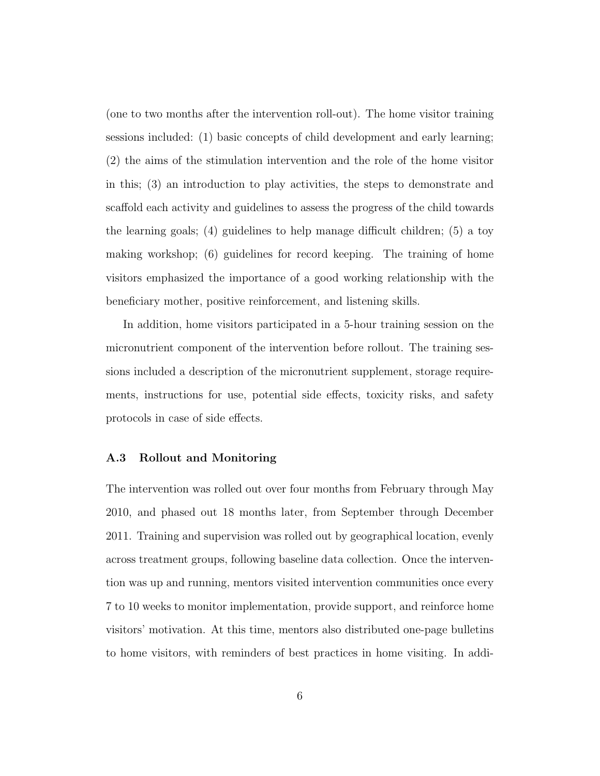(one to two months after the intervention roll-out). The home visitor training sessions included: (1) basic concepts of child development and early learning; (2) the aims of the stimulation intervention and the role of the home visitor in this; (3) an introduction to play activities, the steps to demonstrate and scaffold each activity and guidelines to assess the progress of the child towards the learning goals; (4) guidelines to help manage difficult children; (5) a toy making workshop; (6) guidelines for record keeping. The training of home visitors emphasized the importance of a good working relationship with the beneficiary mother, positive reinforcement, and listening skills.

In addition, home visitors participated in a 5-hour training session on the micronutrient component of the intervention before rollout. The training sessions included a description of the micronutrient supplement, storage requirements, instructions for use, potential side effects, toxicity risks, and safety protocols in case of side effects.

#### A.3 Rollout and Monitoring

The intervention was rolled out over four months from February through May 2010, and phased out 18 months later, from September through December 2011. Training and supervision was rolled out by geographical location, evenly across treatment groups, following baseline data collection. Once the intervention was up and running, mentors visited intervention communities once every 7 to 10 weeks to monitor implementation, provide support, and reinforce home visitors' motivation. At this time, mentors also distributed one-page bulletins to home visitors, with reminders of best practices in home visiting. In addi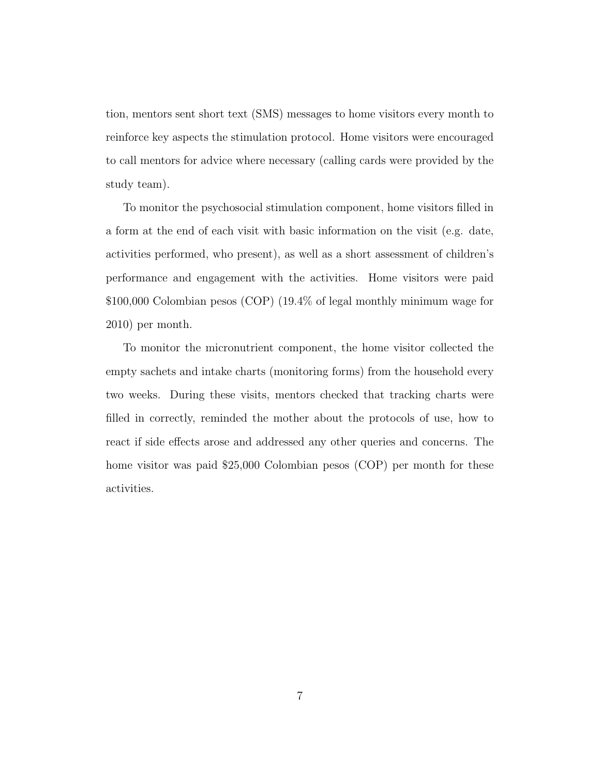tion, mentors sent short text (SMS) messages to home visitors every month to reinforce key aspects the stimulation protocol. Home visitors were encouraged to call mentors for advice where necessary (calling cards were provided by the study team).

To monitor the psychosocial stimulation component, home visitors filled in a form at the end of each visit with basic information on the visit (e.g. date, activities performed, who present), as well as a short assessment of children's performance and engagement with the activities. Home visitors were paid \$100,000 Colombian pesos (COP) (19.4% of legal monthly minimum wage for 2010) per month.

To monitor the micronutrient component, the home visitor collected the empty sachets and intake charts (monitoring forms) from the household every two weeks. During these visits, mentors checked that tracking charts were filled in correctly, reminded the mother about the protocols of use, how to react if side effects arose and addressed any other queries and concerns. The home visitor was paid \$25,000 Colombian pesos (COP) per month for these activities.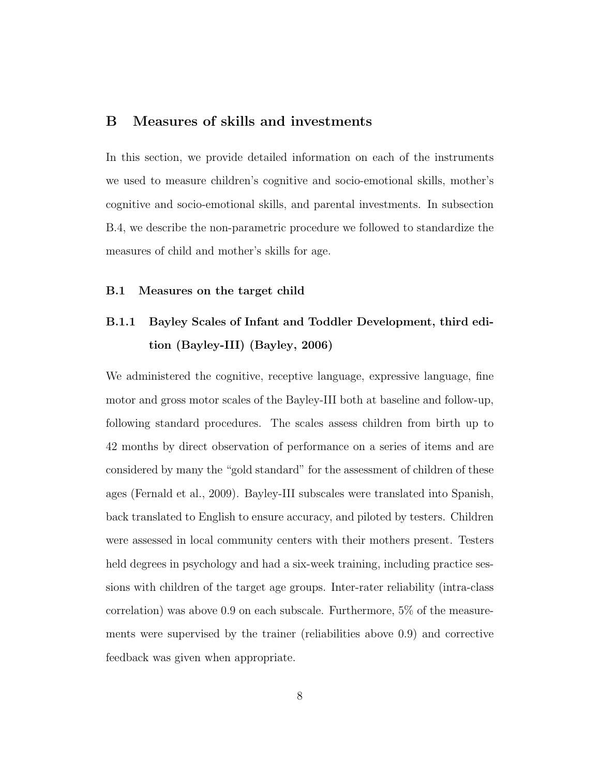### B Measures of skills and investments

In this section, we provide detailed information on each of the instruments we used to measure children's cognitive and socio-emotional skills, mother's cognitive and socio-emotional skills, and parental investments. In subsection B.4, we describe the non-parametric procedure we followed to standardize the measures of child and mother's skills for age.

### B.1 Measures on the target child

## B.1.1 Bayley Scales of Infant and Toddler Development, third edition (Bayley-III) [\(Bayley,](#page-90-1) [2006\)](#page-90-1)

We administered the cognitive, receptive language, expressive language, fine motor and gross motor scales of the Bayley-III both at baseline and follow-up, following standard procedures. The scales assess children from birth up to 42 months by direct observation of performance on a series of items and are considered by many the "gold standard" for the assessment of children of these ages [\(Fernald et al.,](#page-90-2) [2009\)](#page-90-2). Bayley-III subscales were translated into Spanish, back translated to English to ensure accuracy, and piloted by testers. Children were assessed in local community centers with their mothers present. Testers held degrees in psychology and had a six-week training, including practice sessions with children of the target age groups. Inter-rater reliability (intra-class correlation) was above 0.9 on each subscale. Furthermore, 5% of the measurements were supervised by the trainer (reliabilities above 0.9) and corrective feedback was given when appropriate.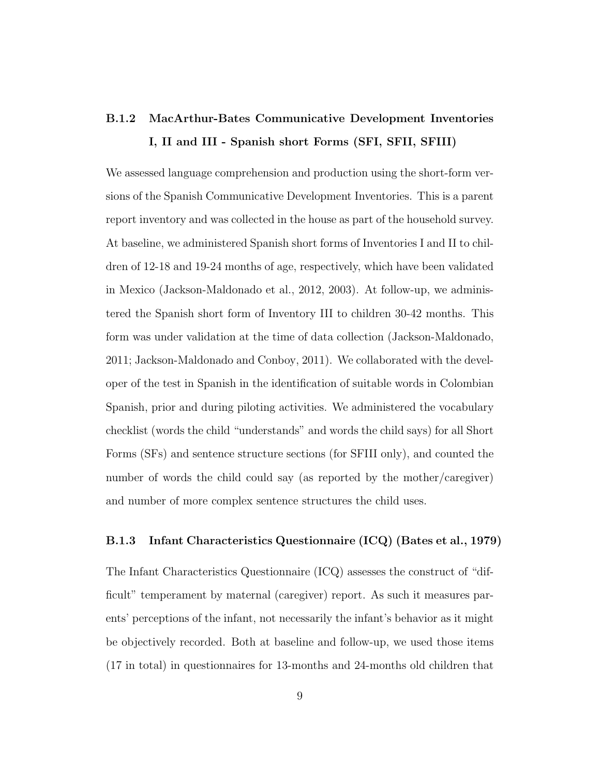## B.1.2 MacArthur-Bates Communicative Development Inventories I, II and III - Spanish short Forms (SFI, SFII, SFIII)

We assessed language comprehension and production using the short-form versions of the Spanish Communicative Development Inventories. This is a parent report inventory and was collected in the house as part of the household survey. At baseline, we administered Spanish short forms of Inventories I and II to children of 12-18 and 19-24 months of age, respectively, which have been validated in Mexico [\(Jackson-Maldonado et al.,](#page-91-0) [2012,](#page-91-0) [2003\)](#page-91-1). At follow-up, we administered the Spanish short form of Inventory III to children 30-42 months. This form was under validation at the time of data collection [\(Jackson-Maldonado,](#page-91-2) [2011;](#page-91-2) [Jackson-Maldonado and Conboy,](#page-91-3) [2011\)](#page-91-3). We collaborated with the developer of the test in Spanish in the identification of suitable words in Colombian Spanish, prior and during piloting activities. We administered the vocabulary checklist (words the child "understands" and words the child says) for all Short Forms (SFs) and sentence structure sections (for SFIII only), and counted the number of words the child could say (as reported by the mother/caregiver) and number of more complex sentence structures the child uses.

### B.1.3 Infant Characteristics Questionnaire (ICQ) [\(Bates et al.,](#page-90-3) [1979\)](#page-90-3)

The Infant Characteristics Questionnaire (ICQ) assesses the construct of "difficult" temperament by maternal (caregiver) report. As such it measures parents' perceptions of the infant, not necessarily the infant's behavior as it might be objectively recorded. Both at baseline and follow-up, we used those items (17 in total) in questionnaires for 13-months and 24-months old children that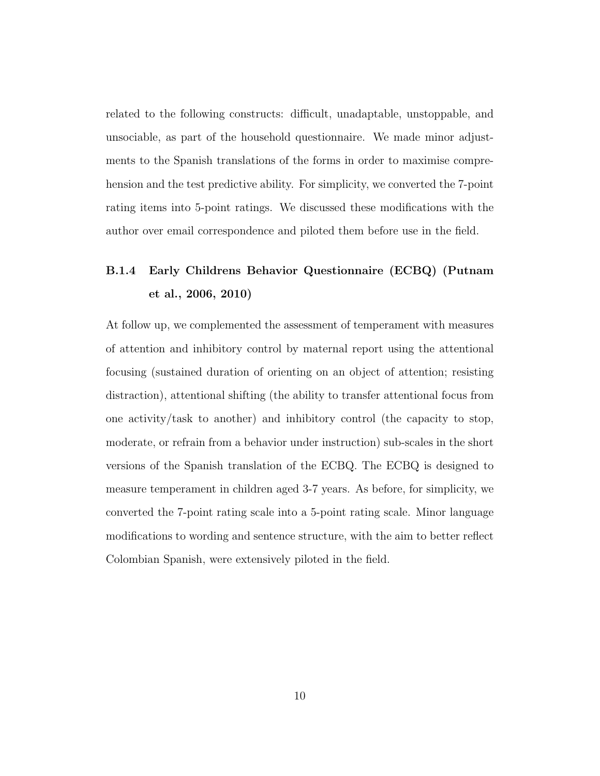related to the following constructs: difficult, unadaptable, unstoppable, and unsociable, as part of the household questionnaire. We made minor adjustments to the Spanish translations of the forms in order to maximise comprehension and the test predictive ability. For simplicity, we converted the 7-point rating items into 5-point ratings. We discussed these modifications with the author over email correspondence and piloted them before use in the field.

### B.1.4 Early Childrens Behavior Questionnaire (ECBQ) [\(Putnam](#page-91-4) [et al.,](#page-91-4) [2006,](#page-91-4) [2010\)](#page-91-5)

At follow up, we complemented the assessment of temperament with measures of attention and inhibitory control by maternal report using the attentional focusing (sustained duration of orienting on an object of attention; resisting distraction), attentional shifting (the ability to transfer attentional focus from one activity/task to another) and inhibitory control (the capacity to stop, moderate, or refrain from a behavior under instruction) sub-scales in the short versions of the Spanish translation of the ECBQ. The ECBQ is designed to measure temperament in children aged 3-7 years. As before, for simplicity, we converted the 7-point rating scale into a 5-point rating scale. Minor language modifications to wording and sentence structure, with the aim to better reflect Colombian Spanish, were extensively piloted in the field.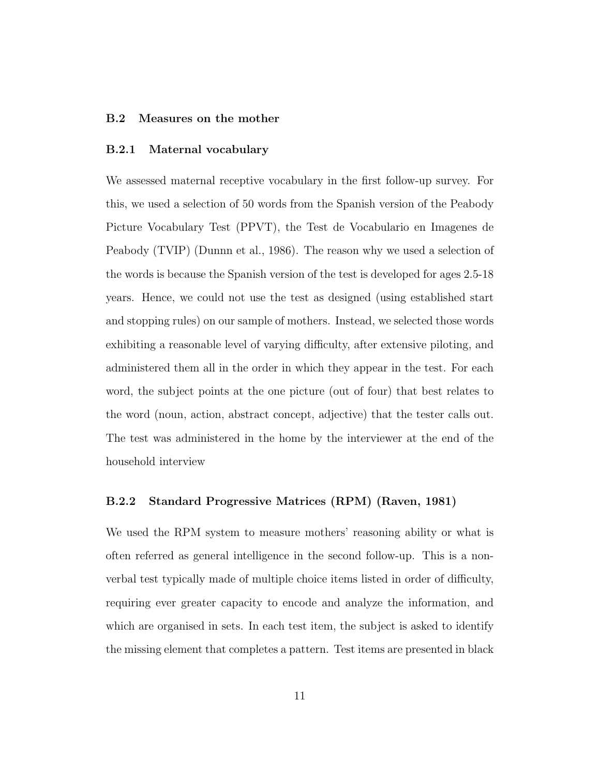#### B.2 Measures on the mother

#### B.2.1 Maternal vocabulary

We assessed maternal receptive vocabulary in the first follow-up survey. For this, we used a selection of 50 words from the Spanish version of the Peabody Picture Vocabulary Test (PPVT), the Test de Vocabulario en Imagenes de Peabody (TVIP) [\(Dunnn et al.,](#page-90-4) [1986\)](#page-90-4). The reason why we used a selection of the words is because the Spanish version of the test is developed for ages 2.5-18 years. Hence, we could not use the test as designed (using established start and stopping rules) on our sample of mothers. Instead, we selected those words exhibiting a reasonable level of varying difficulty, after extensive piloting, and administered them all in the order in which they appear in the test. For each word, the subject points at the one picture (out of four) that best relates to the word (noun, action, abstract concept, adjective) that the tester calls out. The test was administered in the home by the interviewer at the end of the household interview

### B.2.2 Standard Progressive Matrices (RPM) [\(Raven,](#page-92-0) [1981\)](#page-92-0)

We used the RPM system to measure mothers' reasoning ability or what is often referred as general intelligence in the second follow-up. This is a nonverbal test typically made of multiple choice items listed in order of difficulty, requiring ever greater capacity to encode and analyze the information, and which are organised in sets. In each test item, the subject is asked to identify the missing element that completes a pattern. Test items are presented in black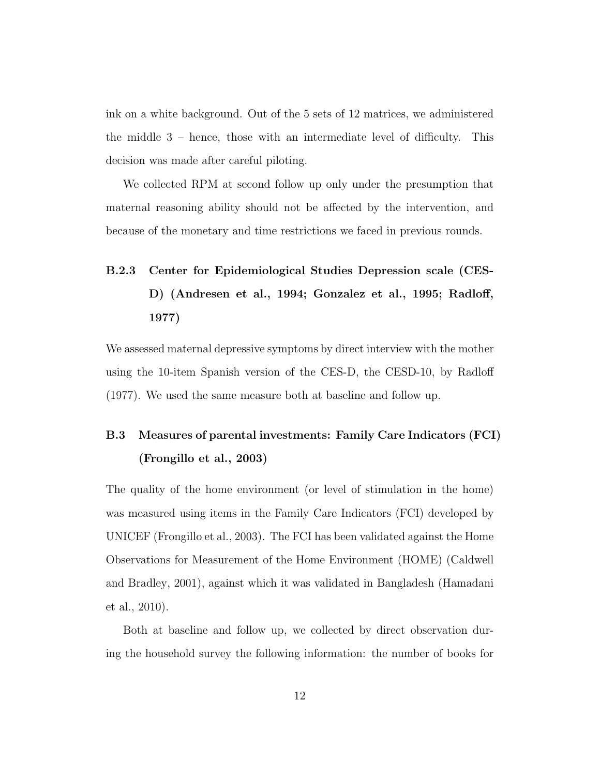ink on a white background. Out of the 5 sets of 12 matrices, we administered the middle 3 – hence, those with an intermediate level of difficulty. This decision was made after careful piloting.

We collected RPM at second follow up only under the presumption that maternal reasoning ability should not be affected by the intervention, and because of the monetary and time restrictions we faced in previous rounds.

# B.2.3 Center for Epidemiological Studies Depression scale (CES-D) [\(Andresen et al.,](#page-90-5) [1994;](#page-90-5) [Gonzalez et al.,](#page-90-6) [1995;](#page-90-6) [Radloff,](#page-91-6) [1977\)](#page-91-6)

We assessed maternal depressive symptoms by direct interview with the mother using the 10-item Spanish version of the CES-D, the CESD-10, by [Radloff](#page-91-6) [\(1977\)](#page-91-6). We used the same measure both at baseline and follow up.

## B.3 Measures of parental investments: Family Care Indicators (FCI) [\(Frongillo et al.,](#page-90-7) [2003\)](#page-90-7)

The quality of the home environment (or level of stimulation in the home) was measured using items in the Family Care Indicators (FCI) developed by UNICEF [\(Frongillo et al.,](#page-90-7) [2003\)](#page-90-7). The FCI has been validated against the Home Observations for Measurement of the Home Environment (HOME) [\(Caldwell](#page-90-8) [and Bradley,](#page-90-8) [2001\)](#page-90-8), against which it was validated in Bangladesh [\(Hamadani](#page-91-7) [et al.,](#page-91-7) [2010\)](#page-91-7).

Both at baseline and follow up, we collected by direct observation during the household survey the following information: the number of books for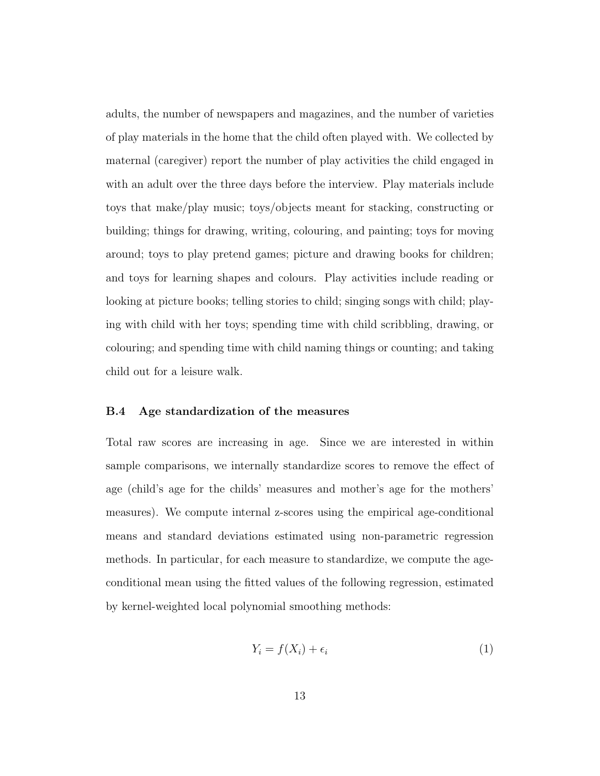adults, the number of newspapers and magazines, and the number of varieties of play materials in the home that the child often played with. We collected by maternal (caregiver) report the number of play activities the child engaged in with an adult over the three days before the interview. Play materials include toys that make/play music; toys/objects meant for stacking, constructing or building; things for drawing, writing, colouring, and painting; toys for moving around; toys to play pretend games; picture and drawing books for children; and toys for learning shapes and colours. Play activities include reading or looking at picture books; telling stories to child; singing songs with child; playing with child with her toys; spending time with child scribbling, drawing, or colouring; and spending time with child naming things or counting; and taking child out for a leisure walk.

#### B.4 Age standardization of the measures

Total raw scores are increasing in age. Since we are interested in within sample comparisons, we internally standardize scores to remove the effect of age (child's age for the childs' measures and mother's age for the mothers' measures). We compute internal z-scores using the empirical age-conditional means and standard deviations estimated using non-parametric regression methods. In particular, for each measure to standardize, we compute the ageconditional mean using the fitted values of the following regression, estimated by kernel-weighted local polynomial smoothing methods:

<span id="page-65-0"></span>
$$
Y_i = f(X_i) + \epsilon_i \tag{1}
$$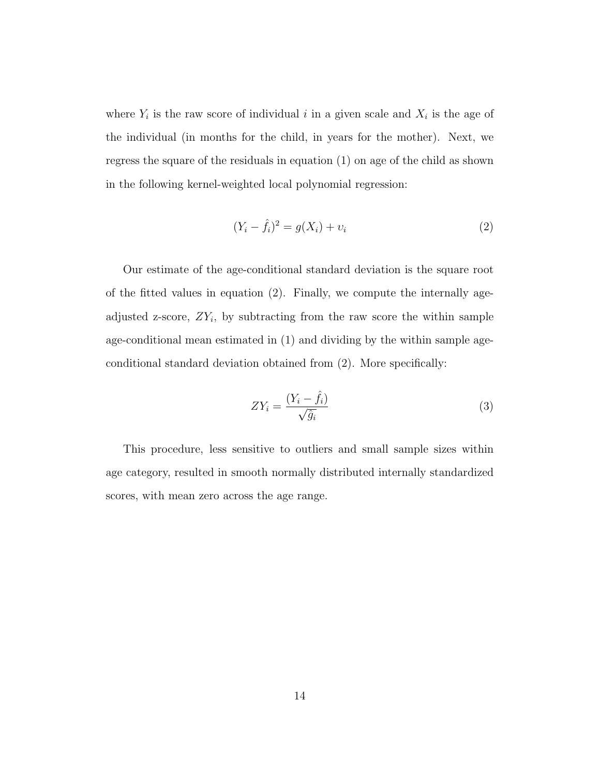where  $Y_i$  is the raw score of individual i in a given scale and  $X_i$  is the age of the individual (in months for the child, in years for the mother). Next, we regress the square of the residuals in equation [\(1\)](#page-65-0) on age of the child as shown in the following kernel-weighted local polynomial regression:

<span id="page-66-0"></span>
$$
(Y_i - \hat{f}_i)^2 = g(X_i) + v_i \tag{2}
$$

Our estimate of the age-conditional standard deviation is the square root of the fitted values in equation [\(2\)](#page-66-0). Finally, we compute the internally ageadjusted z-score,  $ZY_i$ , by subtracting from the raw score the within sample age-conditional mean estimated in [\(1\)](#page-65-0) and dividing by the within sample ageconditional standard deviation obtained from [\(2\)](#page-66-0). More specifically:

$$
ZY_i = \frac{(Y_i - \hat{f}_i)}{\sqrt{\hat{g}_i}}\tag{3}
$$

This procedure, less sensitive to outliers and small sample sizes within age category, resulted in smooth normally distributed internally standardized scores, with mean zero across the age range.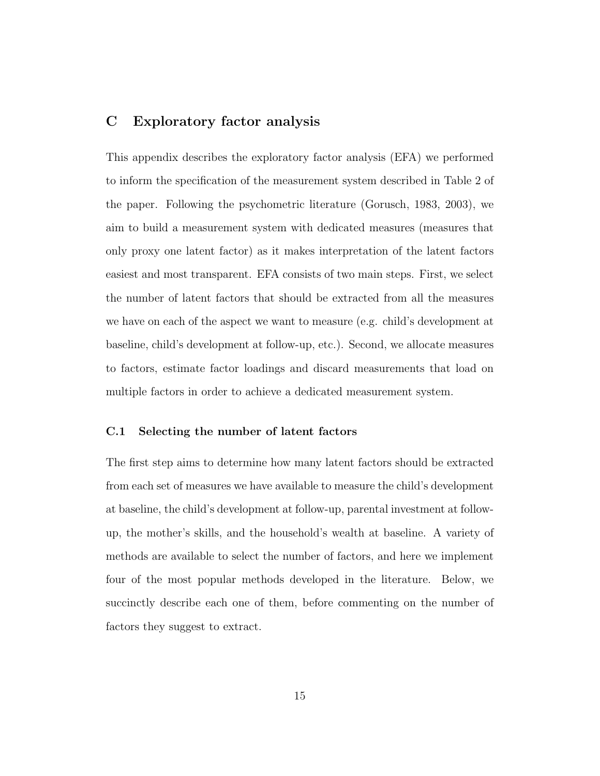### C Exploratory factor analysis

This appendix describes the exploratory factor analysis (EFA) we performed to inform the specification of the measurement system described in Table 2 of the paper. Following the psychometric literature [\(Gorusch,](#page-90-9) [1983,](#page-90-9) [2003\)](#page-91-8), we aim to build a measurement system with dedicated measures (measures that only proxy one latent factor) as it makes interpretation of the latent factors easiest and most transparent. EFA consists of two main steps. First, we select the number of latent factors that should be extracted from all the measures we have on each of the aspect we want to measure (e.g. child's development at baseline, child's development at follow-up, etc.). Second, we allocate measures to factors, estimate factor loadings and discard measurements that load on multiple factors in order to achieve a dedicated measurement system.

### C.1 Selecting the number of latent factors

The first step aims to determine how many latent factors should be extracted from each set of measures we have available to measure the child's development at baseline, the child's development at follow-up, parental investment at followup, the mother's skills, and the household's wealth at baseline. A variety of methods are available to select the number of factors, and here we implement four of the most popular methods developed in the literature. Below, we succinctly describe each one of them, before commenting on the number of factors they suggest to extract.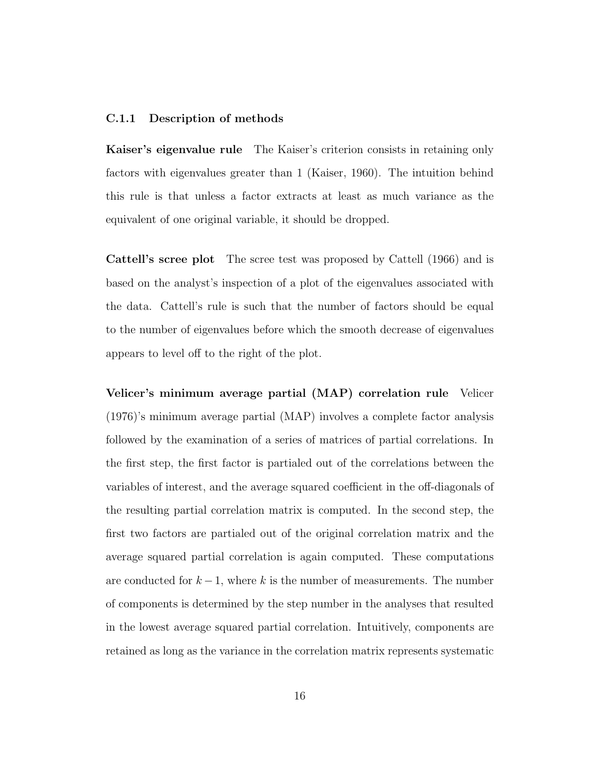### C.1.1 Description of methods

Kaiser's eigenvalue rule The Kaiser's criterion consists in retaining only factors with eigenvalues greater than 1 [\(Kaiser,](#page-91-9) [1960\)](#page-91-9). The intuition behind this rule is that unless a factor extracts at least as much variance as the equivalent of one original variable, it should be dropped.

Cattell's scree plot The scree test was proposed by [Cattell](#page-90-10) [\(1966\)](#page-90-10) and is based on the analyst's inspection of a plot of the eigenvalues associated with the data. Cattell's rule is such that the number of factors should be equal to the number of eigenvalues before which the smooth decrease of eigenvalues appears to level off to the right of the plot.

Velicer's minimum average partial (MAP) correlation rule [Velicer](#page-92-1) [\(1976\)](#page-92-1)'s minimum average partial (MAP) involves a complete factor analysis followed by the examination of a series of matrices of partial correlations. In the first step, the first factor is partialed out of the correlations between the variables of interest, and the average squared coefficient in the off-diagonals of the resulting partial correlation matrix is computed. In the second step, the first two factors are partialed out of the original correlation matrix and the average squared partial correlation is again computed. These computations are conducted for  $k-1$ , where k is the number of measurements. The number of components is determined by the step number in the analyses that resulted in the lowest average squared partial correlation. Intuitively, components are retained as long as the variance in the correlation matrix represents systematic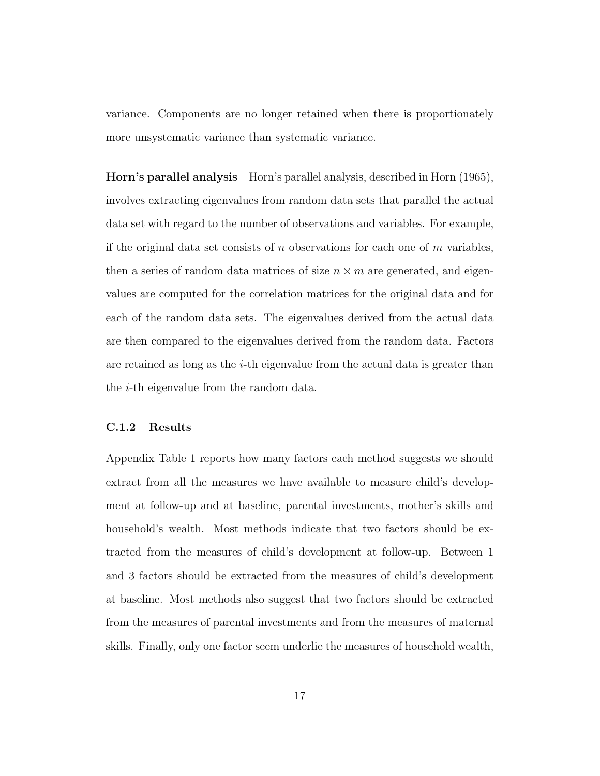variance. Components are no longer retained when there is proportionately more unsystematic variance than systematic variance.

Horn's parallel analysis Horn's parallel analysis, described in [Horn](#page-91-10) [\(1965\)](#page-91-10), involves extracting eigenvalues from random data sets that parallel the actual data set with regard to the number of observations and variables. For example, if the original data set consists of  $n$  observations for each one of  $m$  variables, then a series of random data matrices of size  $n \times m$  are generated, and eigenvalues are computed for the correlation matrices for the original data and for each of the random data sets. The eigenvalues derived from the actual data are then compared to the eigenvalues derived from the random data. Factors are retained as long as the  $i$ -th eigenvalue from the actual data is greater than the i-th eigenvalue from the random data.

### C.1.2 Results

Appendix Table 1 reports how many factors each method suggests we should extract from all the measures we have available to measure child's development at follow-up and at baseline, parental investments, mother's skills and household's wealth. Most methods indicate that two factors should be extracted from the measures of child's development at follow-up. Between 1 and 3 factors should be extracted from the measures of child's development at baseline. Most methods also suggest that two factors should be extracted from the measures of parental investments and from the measures of maternal skills. Finally, only one factor seem underlie the measures of household wealth,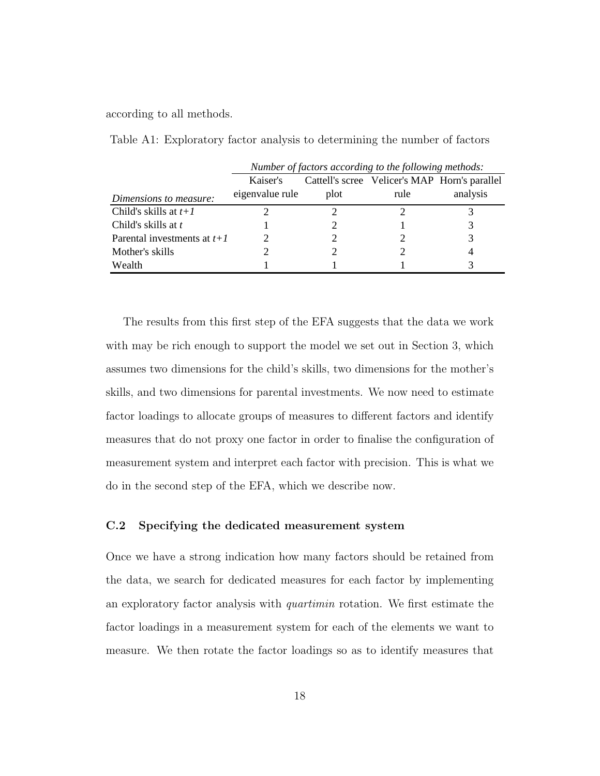according to all methods.

Table A1: Exploratory factor analysis to determining the number of factors

|                               | Number of factors according to the following methods: |      |                                               |          |
|-------------------------------|-------------------------------------------------------|------|-----------------------------------------------|----------|
|                               | Kaiser's                                              |      | Cattell's scree Velicer's MAP Horn's parallel |          |
| Dimensions to measure:        | eigenvalue rule                                       | plot | rule                                          | analysis |
| Child's skills at $t+1$       |                                                       |      |                                               |          |
| Child's skills at t           |                                                       |      |                                               |          |
| Parental investments at $t+1$ |                                                       |      |                                               |          |
| Mother's skills               |                                                       |      |                                               |          |
| Wealth                        |                                                       |      |                                               |          |

The results from this first step of the EFA suggests that the data we work with may be rich enough to support the model we set out in Section 3, which assumes two dimensions for the child's skills, two dimensions for the mother's skills, and two dimensions for parental investments. We now need to estimate factor loadings to allocate groups of measures to different factors and identify measures that do not proxy one factor in order to finalise the configuration of measurement system and interpret each factor with precision. This is what we do in the second step of the EFA, which we describe now.

#### C.2 Specifying the dedicated measurement system

Once we have a strong indication how many factors should be retained from the data, we search for dedicated measures for each factor by implementing an exploratory factor analysis with quartimin rotation. We first estimate the factor loadings in a measurement system for each of the elements we want to measure. We then rotate the factor loadings so as to identify measures that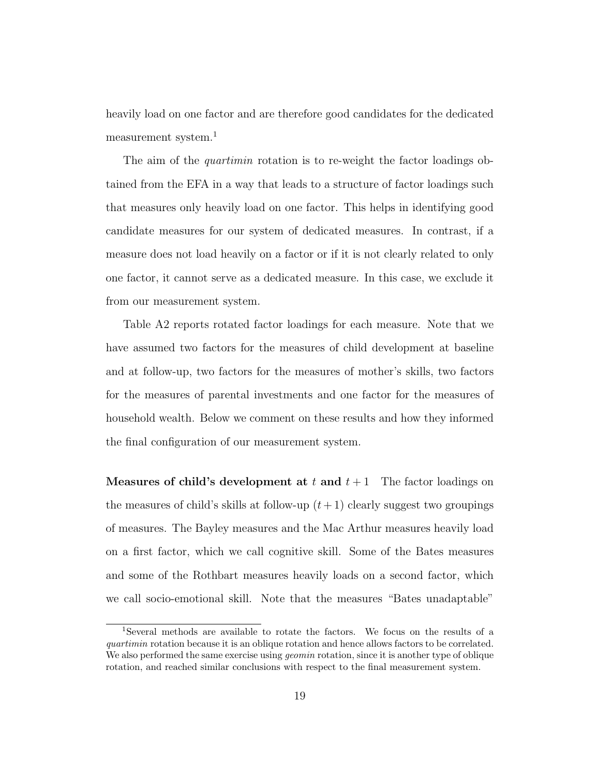heavily load on one factor and are therefore good candidates for the dedicated measurement system.<sup>1</sup>

The aim of the *quartimin* rotation is to re-weight the factor loadings obtained from the EFA in a way that leads to a structure of factor loadings such that measures only heavily load on one factor. This helps in identifying good candidate measures for our system of dedicated measures. In contrast, if a measure does not load heavily on a factor or if it is not clearly related to only one factor, it cannot serve as a dedicated measure. In this case, we exclude it from our measurement system.

Table A2 reports rotated factor loadings for each measure. Note that we have assumed two factors for the measures of child development at baseline and at follow-up, two factors for the measures of mother's skills, two factors for the measures of parental investments and one factor for the measures of household wealth. Below we comment on these results and how they informed the final configuration of our measurement system.

**Measures of child's development at t and**  $t + 1$  The factor loadings on the measures of child's skills at follow-up  $(t + 1)$  clearly suggest two groupings of measures. The Bayley measures and the Mac Arthur measures heavily load on a first factor, which we call cognitive skill. Some of the Bates measures and some of the Rothbart measures heavily loads on a second factor, which we call socio-emotional skill. Note that the measures "Bates unadaptable"

<sup>1</sup>Several methods are available to rotate the factors. We focus on the results of a quartimin rotation because it is an oblique rotation and hence allows factors to be correlated. We also performed the same exercise using *geomin* rotation, since it is another type of oblique rotation, and reached similar conclusions with respect to the final measurement system.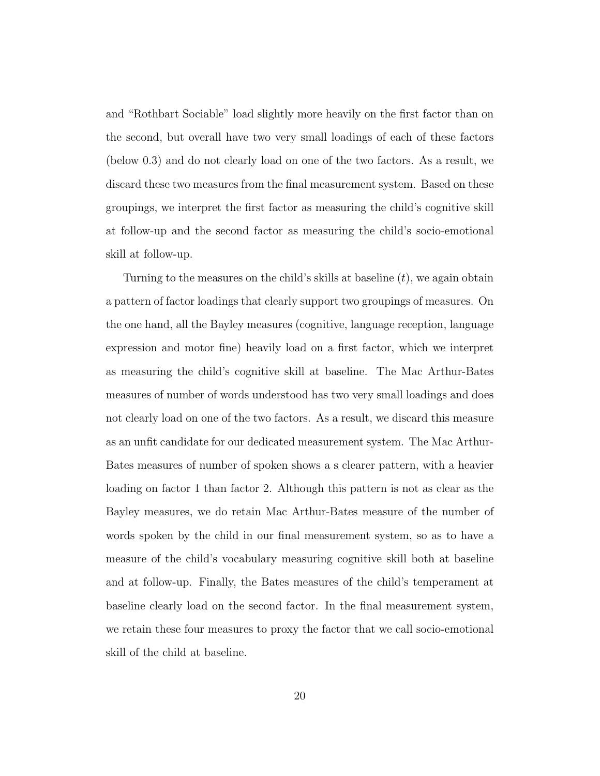and "Rothbart Sociable" load slightly more heavily on the first factor than on the second, but overall have two very small loadings of each of these factors (below 0.3) and do not clearly load on one of the two factors. As a result, we discard these two measures from the final measurement system. Based on these groupings, we interpret the first factor as measuring the child's cognitive skill at follow-up and the second factor as measuring the child's socio-emotional skill at follow-up.

Turning to the measures on the child's skills at baseline  $(t)$ , we again obtain a pattern of factor loadings that clearly support two groupings of measures. On the one hand, all the Bayley measures (cognitive, language reception, language expression and motor fine) heavily load on a first factor, which we interpret as measuring the child's cognitive skill at baseline. The Mac Arthur-Bates measures of number of words understood has two very small loadings and does not clearly load on one of the two factors. As a result, we discard this measure as an unfit candidate for our dedicated measurement system. The Mac Arthur-Bates measures of number of spoken shows a s clearer pattern, with a heavier loading on factor 1 than factor 2. Although this pattern is not as clear as the Bayley measures, we do retain Mac Arthur-Bates measure of the number of words spoken by the child in our final measurement system, so as to have a measure of the child's vocabulary measuring cognitive skill both at baseline and at follow-up. Finally, the Bates measures of the child's temperament at baseline clearly load on the second factor. In the final measurement system, we retain these four measures to proxy the factor that we call socio-emotional skill of the child at baseline.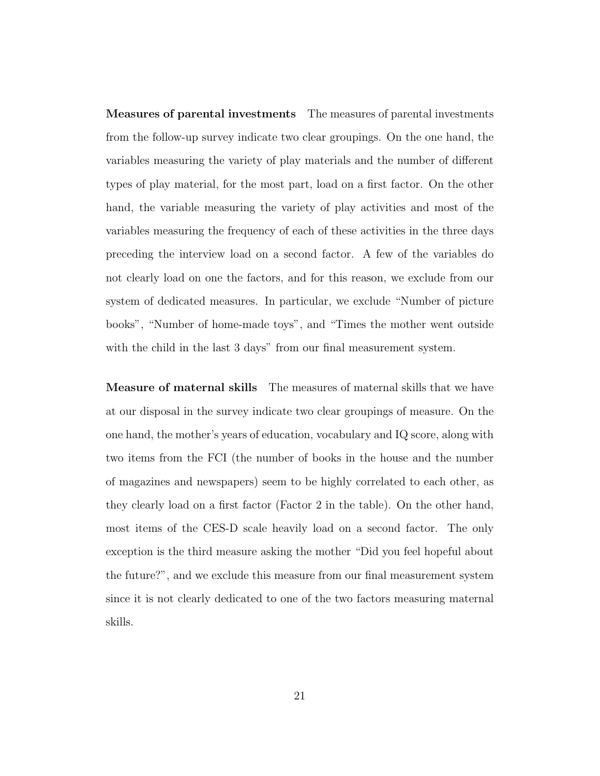Measures of parental investments The measures of parental investments from the follow-up survey indicate two clear groupings. On the one hand, the variables measuring the variety of play materials and the number of different types of play material, for the most part, load on a first factor. On the other hand, the variable measuring the variety of play activities and most of the variables measuring the frequency of each of these activities in the three days preceding the interview load on a second factor. A few of the variables do not clearly load on one the factors, and for this reason, we exclude from our system of dedicated measures. In particular, we exclude "Number of picture books", "Number of home-made toys", and "Times the mother went outside with the child in the last 3 days" from our final measurement system.

Measure of maternal skills The measures of maternal skills that we have at our disposal in the survey indicate two clear groupings of measure. On the one hand, the mother's years of education, vocabulary and IQ score, along with two items from the FCI (the number of books in the house and the number of magazines and newspapers) seem to be highly correlated to each other, as they clearly load on a first factor (Factor 2 in the table). On the other hand, most items of the CES-D scale heavily load on a second factor. The only exception is the third measure asking the mother "Did you feel hopeful about the future?", and we exclude this measure from our final measurement system since it is not clearly dedicated to one of the two factors measuring maternal skills.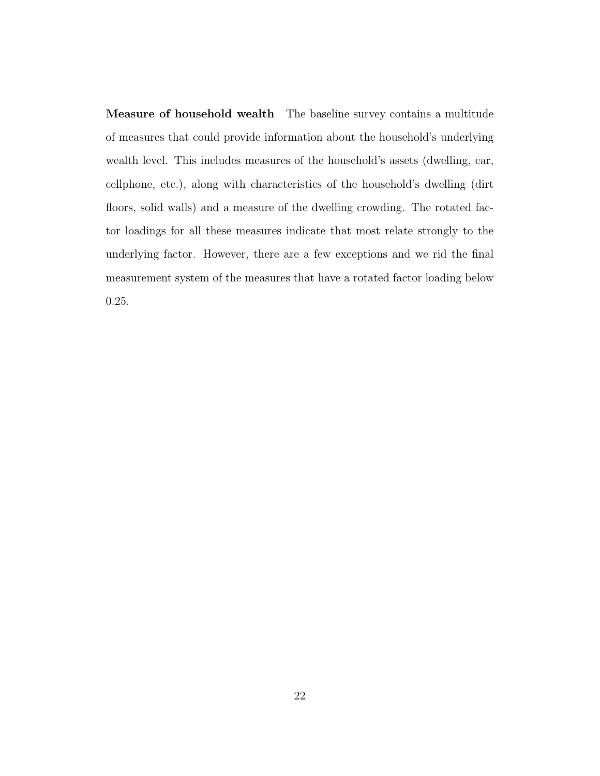Measure of household wealth The baseline survey contains a multitude of measures that could provide information about the household's underlying wealth level. This includes measures of the household's assets (dwelling, car, cellphone, etc.), along with characteristics of the household's dwelling (dirt floors, solid walls) and a measure of the dwelling crowding. The rotated factor loadings for all these measures indicate that most relate strongly to the underlying factor. However, there are a few exceptions and we rid the final measurement system of the measures that have a rotated factor loading below 0.25.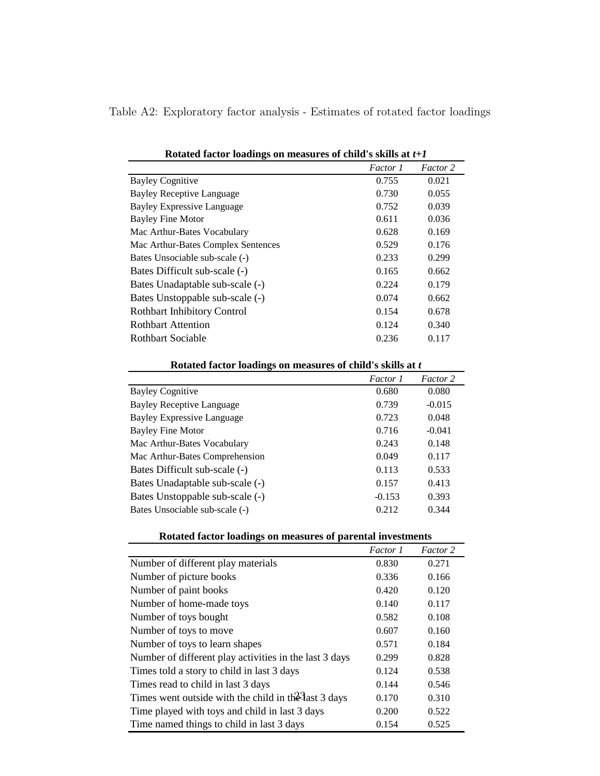| Table A2: Exploratory factor analysis - Estimates of rotated factor loadings |  |  |  |
|------------------------------------------------------------------------------|--|--|--|
|                                                                              |  |  |  |

|                                    | <i>Factor 1</i> | Factor 2 |
|------------------------------------|-----------------|----------|
| <b>Bayley Cognitive</b>            | 0.755           | 0.021    |
| Bayley Receptive Language          | 0.730           | 0.055    |
| <b>Bayley Expressive Language</b>  | 0.752           | 0.039    |
| Bayley Fine Motor                  | 0.611           | 0.036    |
| Mac Arthur-Bates Vocabulary        | 0.628           | 0.169    |
| Mac Arthur-Bates Complex Sentences | 0.529           | 0.176    |
| Bates Unsociable sub-scale (-)     | 0.233           | 0.299    |
| Bates Difficult sub-scale (-)      | 0.165           | 0.662    |
| Bates Unadaptable sub-scale (-)    | 0.224           | 0.179    |
| Bates Unstoppable sub-scale (-)    | 0.074           | 0.662    |
| <b>Rothbart Inhibitory Control</b> | 0.154           | 0.678    |
| <b>Rothbart Attention</b>          | 0.124           | 0.340    |
| Rothbart Sociable                  | 0.236           | 0.117    |

| Rotated factor loadings on measures of child's skills at t |          |          |
|------------------------------------------------------------|----------|----------|
|                                                            | Factor 1 | Factor 2 |
| <b>Bayley Cognitive</b>                                    | 0.680    | 0.080    |
| <b>Bayley Receptive Language</b>                           | 0.739    | $-0.015$ |
| <b>Bayley Expressive Language</b>                          | 0.723    | 0.048    |
| Bayley Fine Motor                                          | 0.716    | $-0.041$ |
| Mac Arthur-Bates Vocabulary                                | 0.243    | 0.148    |
| Mac Arthur-Bates Comprehension                             | 0.049    | 0.117    |
| Bates Difficult sub-scale (-)                              | 0.113    | 0.533    |
| Bates Unadaptable sub-scale (-)                            | 0.157    | 0.413    |
| Bates Unstoppable sub-scale (-)                            | $-0.153$ | 0.393    |
| Bates Unsociable sub-scale (-)                             | 0.212    | 0.344    |

| Rotated factor loadings on measures of parental investments |
|-------------------------------------------------------------|
|                                                             |

|                                                        | Factor 1 | Factor 2 |
|--------------------------------------------------------|----------|----------|
| Number of different play materials                     | 0.830    | 0.271    |
| Number of picture books                                | 0.336    | 0.166    |
| Number of paint books                                  | 0.420    | 0.120    |
| Number of home-made toys                               | 0.140    | 0.117    |
| Number of toys bought                                  | 0.582    | 0.108    |
| Number of toys to move                                 | 0.607    | 0.160    |
| Number of toys to learn shapes                         | 0.571    | 0.184    |
| Number of different play activities in the last 3 days | 0.299    | 0.828    |
| Times told a story to child in last 3 days             | 0.124    | 0.538    |
| Times read to child in last 3 days                     | 0.144    | 0.546    |
| Times went outside with the child in the last 3 days   | 0.170    | 0.310    |
| Time played with toys and child in last 3 days         | 0.200    | 0.522    |
| Time named things to child in last 3 days              | 0.154    | 0.525    |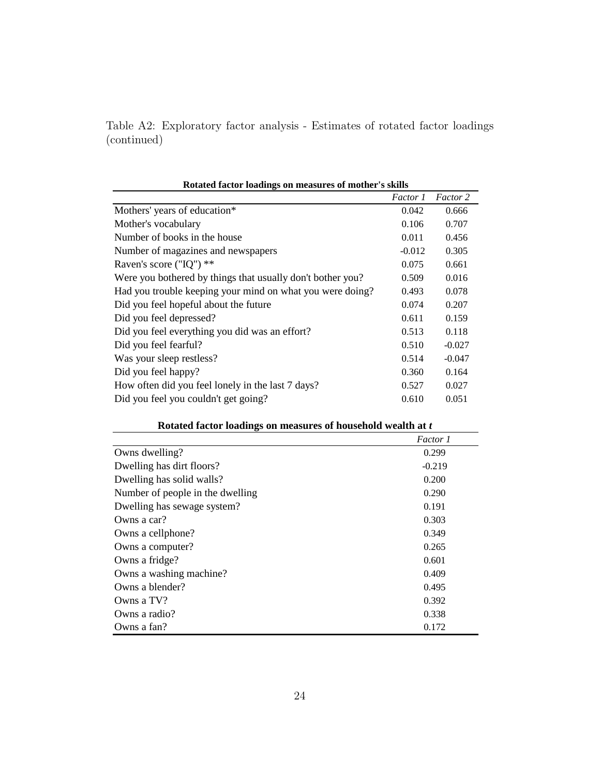Table A2: Exploratory factor analysis - Estimates of rotated factor loadings (continued)

| Rotated factor loadings on measures of mother's skills     |          |          |
|------------------------------------------------------------|----------|----------|
|                                                            | Factor 1 | Factor 2 |
| Mothers' years of education*                               | 0.042    | 0.666    |
| Mother's vocabulary                                        | 0.106    | 0.707    |
| Number of books in the house                               | 0.011    | 0.456    |
| Number of magazines and newspapers                         | $-0.012$ | 0.305    |
| Raven's score ("IQ") $**$                                  | 0.075    | 0.661    |
| Were you bothered by things that usually don't bother you? | 0.509    | 0.016    |
| Had you trouble keeping your mind on what you were doing?  | 0.493    | 0.078    |
| Did you feel hopeful about the future                      | 0.074    | 0.207    |
| Did you feel depressed?                                    | 0.611    | 0.159    |
| Did you feel everything you did was an effort?             | 0.513    | 0.118    |
| Did you feel fearful?                                      | 0.510    | $-0.027$ |
| Was your sleep restless?                                   | 0.514    | $-0.047$ |
| Did you feel happy?                                        | 0.360    | 0.164    |
| How often did you feel lonely in the last 7 days?          | 0.527    | 0.027    |
| Did you feel you couldn't get going?                       | 0.610    | 0.051    |

| Rotated factor loadings on measures of household wealth at t |  |  |  |  |
|--------------------------------------------------------------|--|--|--|--|
|--------------------------------------------------------------|--|--|--|--|

|                                  | Factor 1 |
|----------------------------------|----------|
| Owns dwelling?                   | 0.299    |
| Dwelling has dirt floors?        | $-0.219$ |
| Dwelling has solid walls?        | 0.200    |
| Number of people in the dwelling | 0.290    |
| Dwelling has sewage system?      | 0.191    |
| Owns a car?                      | 0.303    |
| Owns a cellphone?                | 0.349    |
| Owns a computer?                 | 0.265    |
| Owns a fridge?                   | 0.601    |
| Owns a washing machine?          | 0.409    |
| Owns a blender?                  | 0.495    |
| Owns a $TV$ ?                    | 0.392    |
| Owns a radio?                    | 0.338    |
| Owns a fan?                      | 0.172    |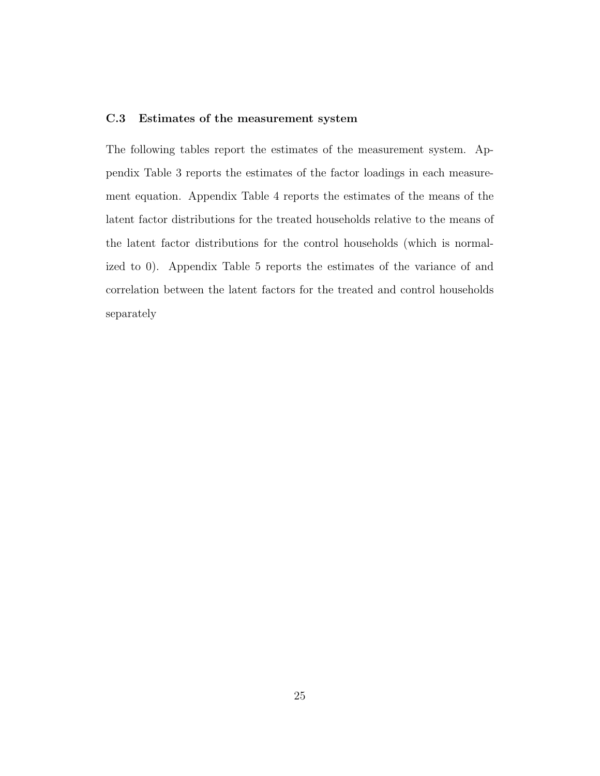## C.3 Estimates of the measurement system

The following tables report the estimates of the measurement system. Appendix Table 3 reports the estimates of the factor loadings in each measurement equation. Appendix Table 4 reports the estimates of the means of the latent factor distributions for the treated households relative to the means of the latent factor distributions for the control households (which is normalized to 0). Appendix Table 5 reports the estimates of the variance of and correlation between the latent factors for the treated and control households separately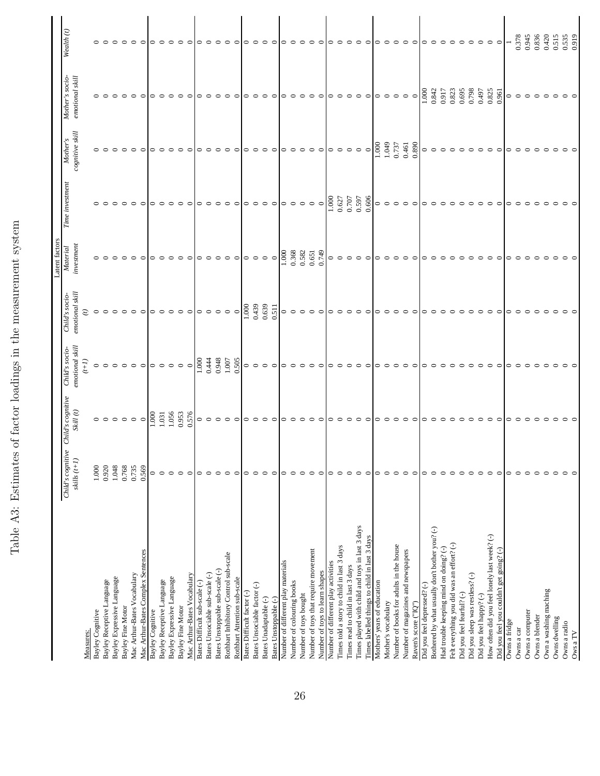|   | )<br>Canada<br>)<br>I<br>I |  |
|---|----------------------------|--|
|   | シュート こうしょう                 |  |
|   |                            |  |
|   | <br> <br> <br>             |  |
|   |                            |  |
|   | i<br>j                     |  |
|   | l                          |  |
| I | j                          |  |

|                                                                        |                                     |                                        |                                   |                                   | Latent factors         |                 |                             |                                    |                 |
|------------------------------------------------------------------------|-------------------------------------|----------------------------------------|-----------------------------------|-----------------------------------|------------------------|-----------------|-----------------------------|------------------------------------|-----------------|
|                                                                        | Child's cognitive<br>skills $(t+I)$ | Child's cognitive<br>$\it Skill$ $(t)$ | emotional skill<br>Child's socio- | emotional skill<br>Child's socio- | investment<br>Material | Time investment | cognitive skill<br>Mother's | Mother's socio-<br>emotional skill | Wealth (t)      |
| Measures:                                                              |                                     |                                        | $(1+i)$                           |                                   |                        |                 |                             |                                    |                 |
|                                                                        |                                     |                                        |                                   |                                   |                        |                 |                             |                                    |                 |
| Bayley Cognitive                                                       | 1.000                               | $\circ$ $\circ$                        | $\circ$                           | $\circ$                           |                        |                 | $\circ$ $\circ$             |                                    |                 |
| Bayley Receptive Language                                              | 0.920                               |                                        | $\circ$                           | $\circ$                           |                        |                 |                             |                                    |                 |
| Bayley Expressive Language                                             | 1.048                               | $\circ$                                | $\circ$                           | $\circ$                           |                        | $\circ$         |                             |                                    |                 |
| Bayley Fine Motor                                                      | 0.768                               | $\circ$                                | $\circ$                           | $\circ$                           |                        | $\circ$         | $\circ \circ \circ$         |                                    |                 |
| Mac Arthur-Bates Vocabulary                                            | 0.735                               | $\circ$                                | $\circ$                           | $\circ$                           |                        | $\circ$         |                             | $\circ$                            | $\circ$         |
| Mac Arthur-Bates Complex Sentences                                     | 0.569                               | $\circ$                                | $\circ$                           | $\circ$                           | $\circ$                | $\circ$         | $\circ$                     | $\circ$                            | $\circ$         |
| <b>Bayley Cognitive</b>                                                | $\circ$                             | 000                                    | $\circ$                           | $\circ$                           |                        |                 | $\circ$                     | $\circ$                            |                 |
| Bayley Receptive Language                                              | $\circ$                             | 1.031                                  | $\circ$                           | $\circ$                           |                        | $\circ$         | $\circ$                     |                                    |                 |
| Bayley Expressive Language                                             | $\circ$                             | 1.056                                  | $\circ$                           | $\circ$                           |                        | $\circ$         | $\circ$                     |                                    |                 |
| Bayley Fine Motor                                                      | $\circ$                             | 0.953                                  | $\circ$                           | $\circ$                           |                        | $\circ$         | $\circ$                     | ≏                                  | $\circ$         |
| Mac Arthur-Bates Vocabulary                                            | $\circ$                             | 0.576                                  | $\circ$                           | $\subset$                         |                        |                 | $\subset$                   | ⊂                                  |                 |
| Bates Difficult sub-scale (-)                                          | 0                                   |                                        | $\overline{1000}$                 |                                   |                        |                 | 0                           | っ                                  |                 |
| Bates Unsociable sub-scale (-)                                         | $\circ$                             | $\circ$ $\circ$                        | 0.444                             | $\circ$ $\circ$                   |                        |                 | $\circ$                     |                                    |                 |
| Bates Unstoppable sub-scale (-)                                        | $\circ$                             | $\circ$                                | 0.948                             | $\circ$                           |                        |                 | $\circ$                     |                                    |                 |
| Rothbart Inhibitory Control sub-scale                                  | $\circ$                             | $\circ$                                | 1.007                             |                                   |                        | ∘               | $\circ$                     |                                    |                 |
| Rothbart Attention sub-scale                                           | 0                                   | ○                                      | 0.505                             | $\circ$ $\circ$                   |                        |                 | $\circ$                     |                                    |                 |
| Bates Difficult factor (-)                                             | 0                                   | $\circ$                                | $\circ$                           | 1.000                             |                        | 0               | $\circ$                     | 0                                  | $\circ$         |
| Bates Unsociable factor (-)                                            | $\circ$                             | ᅌ                                      | $\circ$                           | 0.439                             | $\circ$                | $\circ$         | $\circ$                     | $\circ$                            | $\circ$         |
| Bates Unadaptable (-)                                                  | $\circ$                             | ᅌ                                      | $\circ$                           | 0.639                             | $\circ$                | $\circ$         | $\circ$                     | $\circ$                            | $\circ$         |
| Bates Unstoppable (-)                                                  |                                     |                                        |                                   | 0.511                             | $\circ$                |                 | $\circ$                     |                                    |                 |
|                                                                        |                                     |                                        |                                   |                                   | 1.000                  |                 |                             |                                    |                 |
| Number of different play materials<br>Number of colouring books        | 0<br>$\subset$                      |                                        | $\circ$                           | $\circ$<br>$\circ$                | 0.368                  |                 | $\circ$<br>$\circ$          |                                    |                 |
| Number of toys bought                                                  |                                     |                                        | $\circ$                           | $\circ$                           | 0.582                  | $\circ$         | $\circ$                     |                                    |                 |
|                                                                        |                                     |                                        |                                   |                                   | 0.651                  | $\circ$         | $\circ$                     |                                    |                 |
| Number of toys that require movement<br>Number of toys to learn shapes |                                     |                                        |                                   | $\circ$ $\circ$                   | 0.749                  | $\circ$         |                             |                                    |                 |
|                                                                        |                                     |                                        |                                   |                                   |                        |                 |                             |                                    |                 |
| Number of different play activities                                    | 0                                   |                                        | っ                                 | $\circ$                           | 0<br>$\circ$           | 1.000           | $\circ$                     | っ                                  |                 |
| Times told a story to child in last 3 days                             | $\circ$                             |                                        | $\circ$                           | $\circ$                           |                        | 0.627           | $\circ$                     |                                    |                 |
| Times read to child in last 3 days                                     | 0                                   |                                        | $\circ$                           | $\circ$                           | $\circ$                | 0.707           | $\circ$                     |                                    |                 |
| Times played with child and toys in last 3 days                        | $\circ$                             |                                        | $\circ$                           | $\circ$                           | $\circ$                | 0.597           | $\circ$                     |                                    |                 |
| Times labelled things to child in last 3 days                          | $\circ$                             | ○                                      | $\circ$                           | $\circ$                           | $\circ$                | 0.606           | $\circ$                     | ⊂                                  | $\circ$         |
| Mothers' years of education                                            | 0                                   | ○                                      |                                   | $\circ$                           | っ                      | $\circ$         | $\frac{1000}{\pi}$          | 0                                  |                 |
| Mother's vocabulary                                                    | $\circ$                             |                                        | $\circ$                           | $\circ$                           |                        | $\circ$         | 0.049                       | $\circ$                            |                 |
| Number of books for adults in the house                                | $\circ$                             |                                        | $\circ$                           | $\circ$                           |                        | $\circ$         | 0.737                       |                                    |                 |
| Number of magazines and newspapers                                     | $\circ$                             | ≏                                      | $\circ$                           | $\circ$                           |                        | $\circ$         | 0.461                       | $\circ$                            |                 |
| Raven's score ("IQ")                                                   | ⊂                                   |                                        |                                   | ⊂                                 |                        | ⊂               | 0.890                       | $\circ$                            |                 |
| Did you feel depressed? (-)                                            | 0                                   |                                        |                                   | $\circ$                           |                        |                 | $\circ$                     | 1.000                              |                 |
| Bothered by what usually don't bother you? (-)                         |                                     |                                        |                                   | $\circ$                           |                        |                 | $\circ$                     | 0.842                              |                 |
| Had trouble keeping mind on doing? (-)                                 |                                     |                                        |                                   | $\circ$                           |                        |                 | $\circ$                     | 0.917                              |                 |
| Felt everything you did was an effort? (-)                             |                                     |                                        |                                   | $\circ$                           |                        |                 | $\circ$                     | 0.823                              |                 |
| Did you feel fearful? (-)                                              |                                     |                                        |                                   | $\circ$                           |                        |                 | $\circ$                     | 0.695                              |                 |
| Did you sleep was restless? (-)                                        |                                     |                                        |                                   | $\circ$                           |                        |                 | $\circ$                     | 0.798                              |                 |
| Did you feel happy? (-)                                                |                                     |                                        |                                   | $\circ$                           |                        |                 | $\circ$                     | 0.497                              |                 |
| How often did you feel lonely last week? (-)                           | 0                                   | ⊂                                      |                                   | $\circ$                           |                        | $\circ$         | $\circ$                     | 0.825                              | $\circ$ $\circ$ |
| Did you feel you couldn't get going? (-)                               | ⊂                                   |                                        |                                   | ⊂                                 |                        |                 | ⊂                           | 0.961                              |                 |
| Owns a fridge                                                          | 0                                   |                                        |                                   | 0                                 |                        |                 |                             | $\circ$                            |                 |
| Owns a car                                                             |                                     |                                        |                                   |                                   |                        |                 |                             | $\circ$                            | 0.378           |
| Owns a computer                                                        |                                     |                                        |                                   |                                   |                        |                 |                             |                                    | 0.945           |
| Owns a blender                                                         |                                     |                                        |                                   |                                   |                        |                 |                             |                                    | 0.836           |
| Own a washing maching                                                  |                                     |                                        |                                   |                                   |                        |                 |                             |                                    | 0.420           |
| Owns dwelling                                                          |                                     |                                        |                                   |                                   |                        |                 |                             |                                    | 0.515           |
| Owns a radio                                                           |                                     |                                        |                                   |                                   |                        |                 |                             |                                    | 0.535           |
| Ows a TV                                                               |                                     |                                        |                                   |                                   |                        |                 |                             |                                    | 0.919           |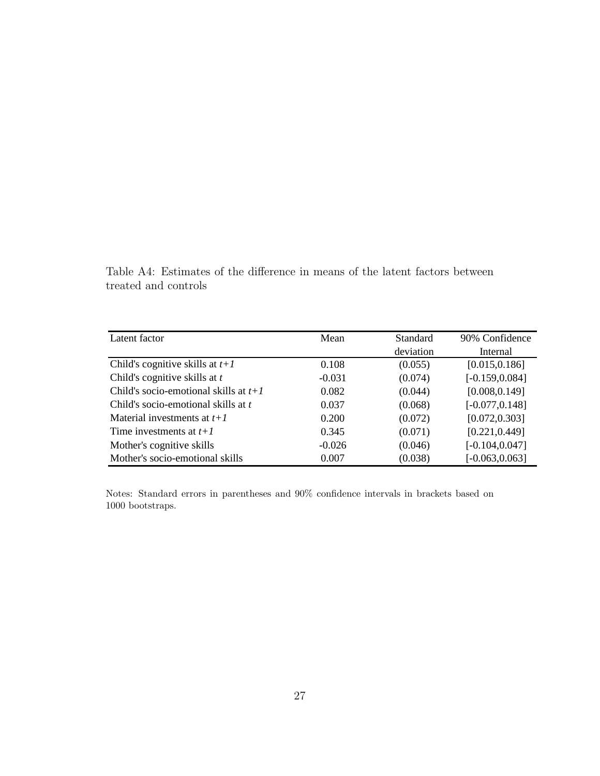Table A4: Estimates of the difference in means of the latent factors between treated and controls

| Latent factor                           | Mean     | <b>Standard</b> | 90% Confidence    |
|-----------------------------------------|----------|-----------------|-------------------|
|                                         |          | deviation       | Internal          |
| Child's cognitive skills at $t+1$       | 0.108    | (0.055)         | [0.015, 0.186]    |
| Child's cognitive skills at $t$         | $-0.031$ | (0.074)         | $[-0.159, 0.084]$ |
| Child's socio-emotional skills at $t+1$ | 0.082    | (0.044)         | [0.008, 0.149]    |
| Child's socio-emotional skills at t     | 0.037    | (0.068)         | $[-0.077, 0.148]$ |
| Material investments at $t+1$           | 0.200    | (0.072)         | [0.072, 0.303]    |
| Time investments at $t+1$               | 0.345    | (0.071)         | [0.221, 0.449]    |
| Mother's cognitive skills               | $-0.026$ | (0.046)         | $[-0.104, 0.047]$ |
| Mother's socio-emotional skills         | 0.007    | (0.038)         | $[-0.063, 0.063]$ |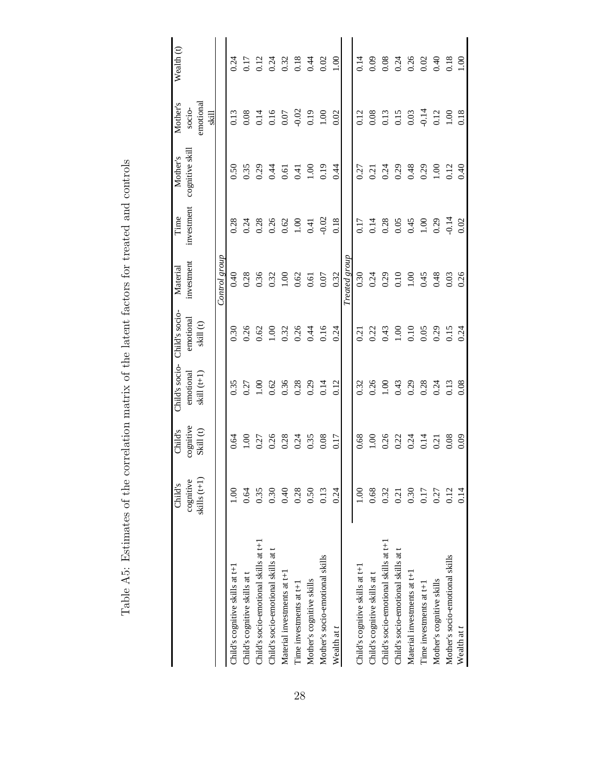|                                       | Child's                     | Child's               | Child's socio-             | Child's socio-         | Material       | Time       | Mother's        | Mother's                     | Wealth (t)                   |
|---------------------------------------|-----------------------------|-----------------------|----------------------------|------------------------|----------------|------------|-----------------|------------------------------|------------------------------|
|                                       | skills $(t+1)$<br>cognitive | cognitive<br>Skill(t) | emotional<br>skill $(t+1)$ | emotional<br>skill (t) | investment     | investment | cognitive skill | emotional<br>socio-<br>उँद्र |                              |
|                                       |                             |                       |                            |                        | Control group  |            |                 |                              |                              |
| Child's cognitive skills at $t+1$     | 00 <sub>1</sub>             | 0.64                  | 0.35                       | 0.30                   | 0.40           | 0.28       | 0.50            | 0.13                         | 0.24                         |
| Child's cognitive skills at t         | 0.64                        | $\overline{00}$       | 0.27                       | 0.26                   | 0.28           | 0.24       | 0.35            | 0.08                         | 0.17                         |
| Child's socio-emotional skills at t+1 | 0.35                        | 0.27                  | 0.100                      | 0.62                   | 0.36           | 0.28       | 0.29            | 0.14                         |                              |
| Child's socio-emotional skills at t   | 0.30                        | 0.26                  | 0.62                       | 00.1                   | 0.32           | 0.26       | 0.44            | 0.16                         | 0.12<br>0.24<br>0.32<br>0.18 |
| Material investments at t+1           | 0.40                        | 0.28                  | 0.36                       | 0.32                   | 00.1           | 0.62       | 0.61            | $0.07$                       |                              |
| Time investments at t+1               | 0.28                        | 0.24                  | 0.28                       | 0.26                   | 0.62           | 00.1       | 0.41            | $-0.02$                      |                              |
| Mother's cognitive skills             | 0.50                        | 0.35                  | 0.29                       | 0.44                   | 0.61           | 0.41       | 0.001           | 0.19                         | 0.44                         |
| Mother's socio-emotional skills       | 0.13                        | 0.08                  | 0.14                       | 0.16                   | 0.07           | $-0.02$    | 0.19            | 00.1                         | 0.02                         |
| Wealth at t                           | 0.24                        | 0.17                  | 0.12                       | 0.24                   | 0.32           | 0.18       | 0.44            | 0.02                         | 00.1                         |
|                                       |                             |                       |                            |                        | Treated group  |            |                 |                              |                              |
| Child's cognitive skills at t+1       | 00.1                        | 0.68                  | 0.32                       | 0.21                   | 0.30           | 0.17       | 0.27            | 0.12                         | 0.14                         |
| Child's cognitive skills at t         | 0.68                        | $\frac{8}{100}$       | 0.26                       | 0.22                   | 0.24           | 0.14       | 0.21            | 0.08                         | 0.09                         |
| Child's socio-emotional skills at t+1 | 0.32                        | 0.26                  | 00.1                       | 0.43                   | 0.29           | 0.28       | 0.24            | 0.13                         | 0.08                         |
| Child's socio-emotional skills at t   | 0.21                        | 0.22                  | 0.43                       | 00.1                   | 0.10           | 0.05       | 0.29            | 0.15                         | 0.24                         |
| Material investments at t+1           | 0.30                        | 0.24                  | 0.29                       | 0.10                   | $\overline{0}$ | 0.45       | 0.48            | 0.03                         | $0.26$<br>$0.02$<br>$0.40$   |
| Time investments at t+1               | 0.17                        | 0.14                  | 0.28                       | 0.05                   | 0.45           | 00.1       | 0.29            | $-0.14$                      |                              |
| Mother's cognitive skills             | 0.27                        | 0.21                  | 0.24                       | 0.29                   | 0.48           | 0.29       | 00.1            | 0.12                         |                              |
| Mother's socio-emotional skills       | 0.12                        | 0.08                  | 0.13                       | 0.15                   | 0.03           | $-0.14$    | 0.12            | $\frac{8}{100}$              | 0.18                         |
| Wealth at t                           | 0.14                        | 0.09                  | 0.08                       | 0.24                   | 0.26           | 0.02       | 0.40            | 0.18                         | 00.1                         |

Table A5: Estimates of the correlation matrix of the latent factors for treated and controls Table A5: Estimates of the correlation matrix of the latent factors for treated and controls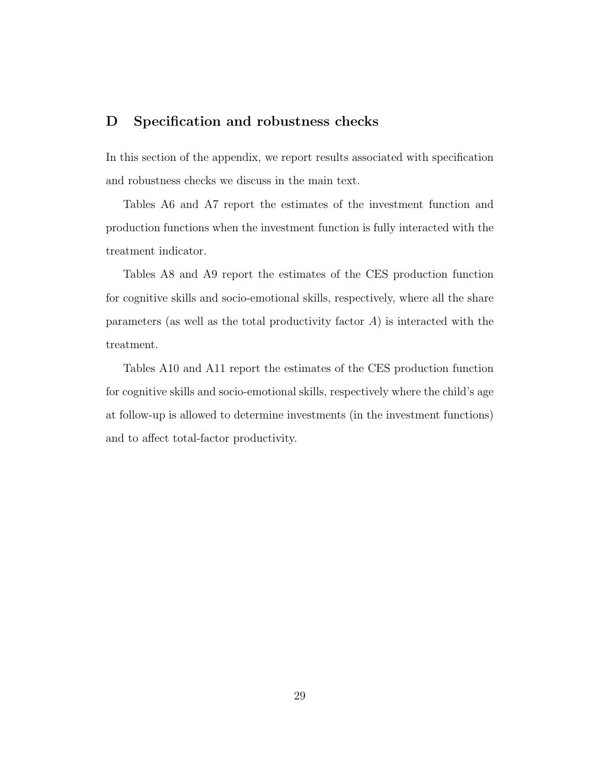## D Specification and robustness checks

In this section of the appendix, we report results associated with specification and robustness checks we discuss in the main text.

Tables A6 and A7 report the estimates of the investment function and production functions when the investment function is fully interacted with the treatment indicator.

Tables A8 and A9 report the estimates of the CES production function for cognitive skills and socio-emotional skills, respectively, where all the share parameters (as well as the total productivity factor  $A$ ) is interacted with the treatment.

Tables A10 and A11 report the estimates of the CES production function for cognitive skills and socio-emotional skills, respectively where the child's age at follow-up is allowed to determine investments (in the investment functions) and to affect total-factor productivity.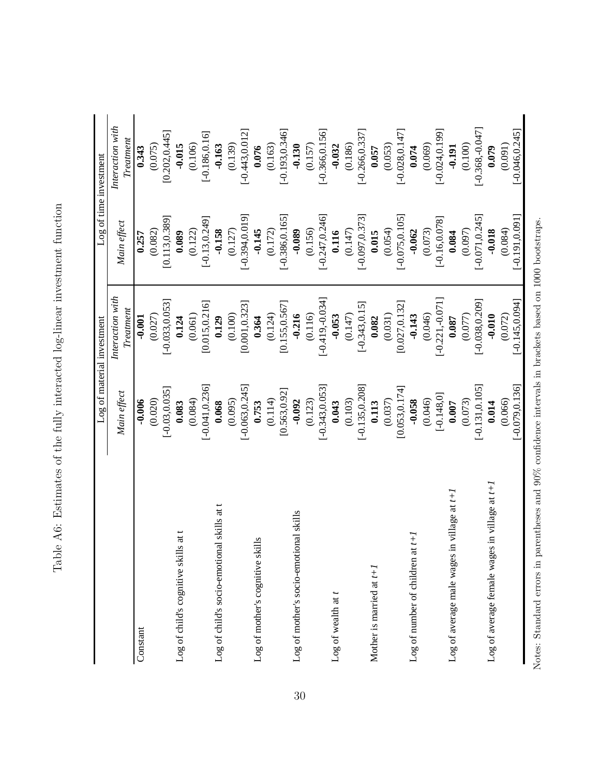|                                                 |                   | Log of material investment    | Log of time investment |                               |
|-------------------------------------------------|-------------------|-------------------------------|------------------------|-------------------------------|
|                                                 | Main effect       | Interaction with<br>Treatment | Main effect            | Interaction with<br>Treatment |
| Constant                                        | $-0.006$          | $-0.001$                      | 0.257                  | 0.343                         |
|                                                 | (0.020)           | (0.027)                       | (0.082)                | (0.075)                       |
|                                                 | $[-0.03, 0.035]$  | $[-0.033, 0.053]$             | [0.113, 0.389]         | [0.202, 0.445]                |
| $ls$ at t<br>Log of child's cognitive skil      | 0.083             | 0.124                         | 0.089                  | $-0.015$                      |
|                                                 | (0.084)           | (0.061)                       | (0.122)                | (0.106)                       |
|                                                 | $[-0.041, 0.236]$ | [0.015, 0.216]                | $[-0.13, 0.249]$       | $[-0.186, 0.16]$              |
| al skills at t<br>Log of child's socio-emotion  | 0.068             | 0.129                         | $-0.158$               | $-0.163$                      |
|                                                 | (0.095)           | (0.100)                       | (0.127)                | (0.139)                       |
|                                                 | $[-0.063, 0.245]$ | [0.001, 0.323]                | [0.00, 0.019]          | $[-0.443, 0.012]$             |
| Log of mother's cognitive skills                | 0.753             | 0.364                         | $-0.145$               | 0.076                         |
|                                                 | (0.114)           | (0.124)                       | (0.172)                | (0.163)                       |
|                                                 | [0.563, 0.92]     | [0.155, 0.567]                | $-0.386, 0.165$        | $[-0.193, 0.346]$             |
| Log of mother's socio-emotional skills          | $-0.092$          | $-0.216$                      | $-0.089$               | $-0.130$                      |
|                                                 | (0.123)           | (0.116)                       | (0.156)                | (0.157)                       |
|                                                 | $[-0.343, 0.053]$ | $[-0.419, 0.034]$             | $[-0.247, 0.246]$      | $[-0.366, 0.156]$             |
| Log of wealth at t                              | 0.043             | $-0.053$                      | 0.116                  | $-0.032$                      |
|                                                 | (0.103)           | (0.147)                       | (0.147)                | (0.186)                       |
|                                                 | $[-0.135, 0.208]$ | $[-0.343, 0.15]$              | $[-0.097, 0.373]$      | $[-0.266, 0.337]$             |
| Mother is married at $t+1$                      | 0.113             | 0.082                         | 0.015                  | 0.057                         |
|                                                 | (0.037)           | (0.031)                       | (0.054)                | (0.053)                       |
|                                                 | [0.053, 0.174]    | [0.027, 0.132]                | $[-0.075, 0.105]$      | $[-0.028, 0.147]$             |
| $\overline{t}$<br>Log of number of children at  | $-0.058$          | $-0.143$                      | $-0.062$               | 0.074                         |
|                                                 | (0.046)           | (0.046)                       | (0.073)                | (0.069)                       |
|                                                 | $[-0.148, 0]$     | $[-0.221, -0.071]$            | $[-0.16, 0.078]$       | $[-0.024, 0.199]$             |
| n village at t+.<br>Log of average male wages i | $0.007$           | $0.087$                       | 0.084                  | $-0.191$                      |
|                                                 | (0.073)           | (0.077)                       | (0.097)                | (0.100)                       |
|                                                 | $[-0.131, 0.105]$ | $[-0.038, 0.209]$             | $[-0.071, 0.245]$      | $[-0.368, 0.047]$             |
| Log of average female wages in village at t+1   | 0.014             | $-0.010$                      | $-0.018$               | 0.079                         |
|                                                 | (0.066)           | (0.072)                       | (0.084)                | (0.091)                       |
|                                                 | $[-0.079, 0.136]$ | $[-0.145, 0.094]$             | $[-0.191, 0.091]$      | $[-0.046, 0.245]$             |

Notes: Standard errors in parentheses and  $90\%$  confidence intervals in brackets based on 1000 bootstraps.

Table A6: Estimates of the fully interacted log-linear investment function Table A6: Estimates of the fully interacted log-linear investment function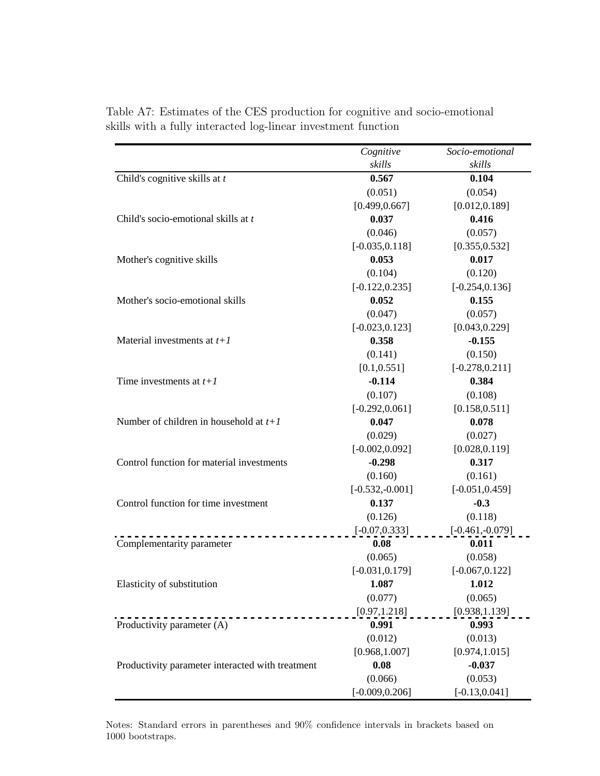|                                                  | Cognitive         | Socio-emotional   |
|--------------------------------------------------|-------------------|-------------------|
|                                                  | skills            | skills            |
| Child's cognitive skills at $t$                  | 0.567             | 0.104             |
|                                                  | (0.051)           | (0.054)           |
|                                                  | [0.499, 0.667]    | [0.012, 0.189]    |
| Child's socio-emotional skills at t              | 0.037             | 0.416             |
|                                                  | (0.046)           | (0.057)           |
|                                                  | $[-0.035, 0.118]$ | [0.355, 0.532]    |
| Mother's cognitive skills                        | 0.053             | 0.017             |
|                                                  | (0.104)           | (0.120)           |
|                                                  | $[-0.122, 0.235]$ | $[-0.254, 0.136]$ |
| Mother's socio-emotional skills                  | 0.052             | 0.155             |
|                                                  | (0.047)           | (0.057)           |
|                                                  | $[-0.023, 0.123]$ | [0.043, 0.229]    |
| Material investments at $t+1$                    | 0.358             | $-0.155$          |
|                                                  | (0.141)           | (0.150)           |
|                                                  | [0.1, 0.551]      | $[-0.278, 0.211]$ |
| Time investments at $t+1$                        | $-0.114$          | 0.384             |
|                                                  | (0.107)           | (0.108)           |
|                                                  | $[-0.292, 0.061]$ | [0.158, 0.511]    |
| Number of children in household at $t+1$         | 0.047             | 0.078             |
|                                                  | (0.029)           | (0.027)           |
|                                                  | $[-0.002, 0.092]$ | [0.028, 0.119]    |
| Control function for material investments        | $-0.298$          | 0.317             |
|                                                  | (0.160)           | (0.161)           |
|                                                  | $[-0.532,-0.001]$ | $[-0.051, 0.459]$ |
| Control function for time investment             | 0.137             | $-0.3$            |
|                                                  | (0.126)           | (0.118)           |
|                                                  | $[-0.07, 0.333]$  | $[-0.461,-0.079]$ |
| Complementarity parameter                        | 0.08              | 0.011             |
|                                                  | (0.065)           | (0.058)           |
|                                                  | $[-0.031, 0.179]$ | $[-0.067, 0.122]$ |
| Elasticity of substitution                       | 1.087             | 1.012             |
|                                                  | (0.077)           | (0.065)           |
|                                                  | [0.97, 1.218]     | [0.938, 1.139]    |
| Productivity parameter (A)                       | 0.991             | 0.993             |
|                                                  | (0.012)           | (0.013)           |
|                                                  | [0.968, 1.007]    | [0.974, 1.015]    |
| Productivity parameter interacted with treatment | 0.08              | $-0.037$          |
|                                                  | (0.066)           | (0.053)           |
|                                                  | $[-0.009, 0.206]$ | $[-0.13, 0.041]$  |

Table A7: Estimates of the CES production for cognitive and socio-emotional skills with a fully interacted log-linear investment function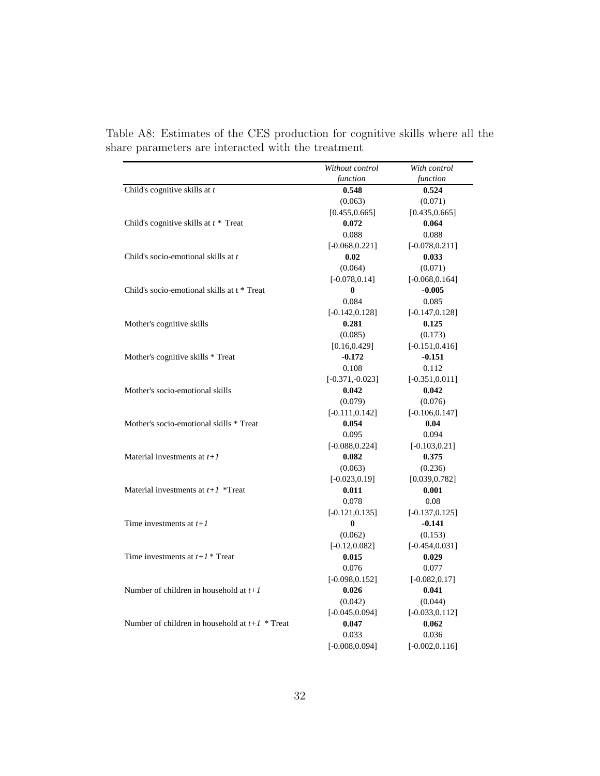|                                                  | Without control   | With control      |
|--------------------------------------------------|-------------------|-------------------|
|                                                  | function          | function          |
| Child's cognitive skills at $t$                  | 0.548             | 0.524             |
|                                                  | (0.063)           | (0.071)           |
|                                                  | [0.455, 0.665]    | [0.435, 0.665]    |
| Child's cognitive skills at $t^*$ Treat          | 0.072             | 0.064             |
|                                                  | 0.088             | 0.088             |
|                                                  | $[-0.068, 0.221]$ | $[-0.078, 0.211]$ |
| Child's socio-emotional skills at t              | 0.02              | 0.033             |
|                                                  | (0.064)           | (0.071)           |
|                                                  | $[-0.078, 0.14]$  | $[-0.068, 0.164]$ |
| Child's socio-emotional skills at t * Treat      | 0                 | $-0.005$          |
|                                                  | 0.084             | 0.085             |
|                                                  | $[-0.142, 0.128]$ | $[-0.147, 0.128]$ |
| Mother's cognitive skills                        | 0.281             | 0.125             |
|                                                  | (0.085)           | (0.173)           |
|                                                  | [0.16, 0.429]     | $[-0.151, 0.416]$ |
| Mother's cognitive skills * Treat                | $-0.172$          | $-0.151$          |
|                                                  | 0.108             | 0.112             |
|                                                  | $[-0.371,-0.023]$ | $[-0.351, 0.011]$ |
| Mother's socio-emotional skills                  | 0.042             | 0.042             |
|                                                  | (0.079)           | (0.076)           |
|                                                  | $[-0.111, 0.142]$ | $[-0.106, 0.147]$ |
| Mother's socio-emotional skills * Treat          | 0.054             | 0.04              |
|                                                  | 0.095             | 0.094             |
|                                                  | $[-0.088, 0.224]$ | $[-0.103, 0.21]$  |
| Material investments at $t+1$                    | 0.082             | 0.375             |
|                                                  | (0.063)           | (0.236)           |
|                                                  | $[-0.023, 0.19]$  | [0.039, 0.782]    |
| Material investments at $t+1$ *Treat             | 0.011             | 0.001             |
|                                                  | 0.078             | 0.08              |
|                                                  | $[-0.121, 0.135]$ | $[-0.137, 0.125]$ |
| Time investments at $t+1$                        | $\bf{0}$          | $-0.141$          |
|                                                  | (0.062)           | (0.153)           |
|                                                  | $[-0.12, 0.082]$  | $[-0.454, 0.031]$ |
| Time investments at $t+1$ <sup>*</sup> Treat     | 0.015             | 0.029             |
|                                                  | 0.076             | 0.077             |
|                                                  | $[-0.098, 0.152]$ | $[-0.082, 0.17]$  |
| Number of children in household at $t+1$         | 0.026             | 0.041             |
|                                                  | (0.042)           | (0.044)           |
|                                                  | $[-0.045, 0.094]$ | $[-0.033, 0.112]$ |
| Number of children in household at $t+1$ * Treat | 0.047             | 0.062             |
|                                                  | 0.033             | 0.036             |
|                                                  | $[-0.008, 0.094]$ | $[-0.002, 0.116]$ |

Table A8: Estimates of the CES production for cognitive skills where all the share parameters are interacted with the treatment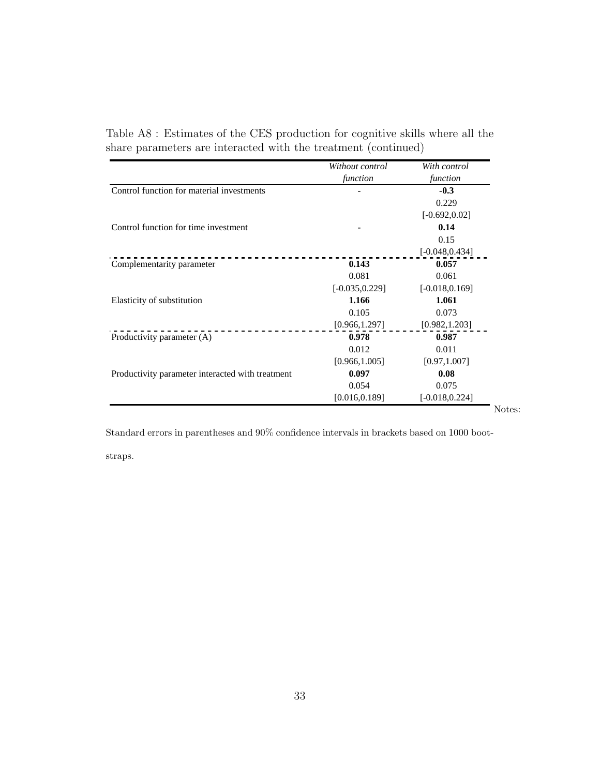|                                                  | Without control<br>function | With control<br>function |
|--------------------------------------------------|-----------------------------|--------------------------|
| Control function for material investments        |                             | $-0.3$                   |
|                                                  |                             | 0.229                    |
|                                                  |                             | $[-0.692, 0.02]$         |
| Control function for time investment             |                             | 0.14                     |
|                                                  |                             | 0.15                     |
|                                                  |                             | $[-0.048, 0.434]$        |
| Complementarity parameter                        | 0.143                       | 0.057                    |
|                                                  | 0.081                       | 0.061                    |
|                                                  | $[-0.035, 0.229]$           | $[-0.018, 0.169]$        |
| Elasticity of substitution                       | 1.166                       | 1.061                    |
|                                                  | 0.105                       | 0.073                    |
|                                                  | [0.966, 1.297]              | [0.982, 1.203]           |
| Productivity parameter (A)                       | 0.978                       | 0.987                    |
|                                                  | 0.012                       | 0.011                    |
|                                                  | [0.966, 1.005]              | [0.97, 1.007]            |
| Productivity parameter interacted with treatment | 0.097                       | 0.08                     |
|                                                  | 0.054                       | 0.075                    |
|                                                  | [0.016, 0.189]              | $[-0.018, 0.224]$        |
|                                                  |                             | Notes:                   |

Table A8 : Estimates of the CES production for cognitive skills where all the share parameters are interacted with the treatment (continued)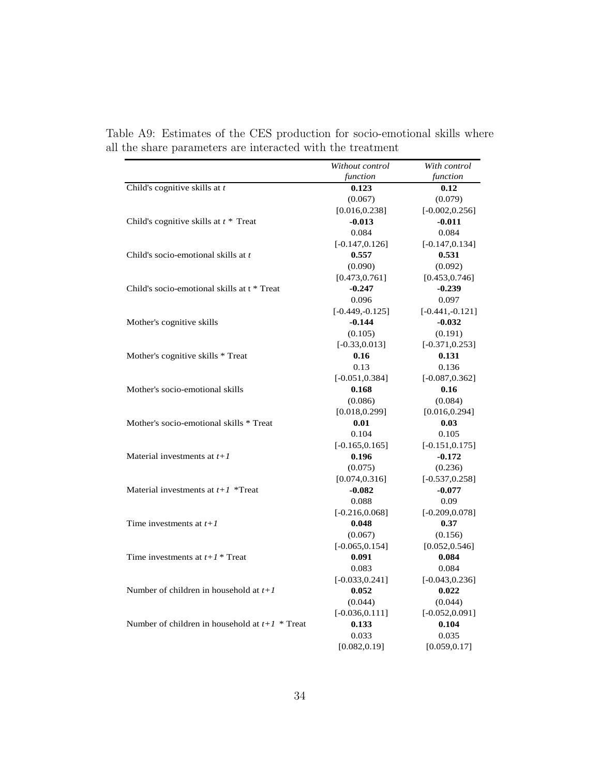|                                                  | Without control   | With control      |
|--------------------------------------------------|-------------------|-------------------|
|                                                  | function          | function          |
| Child's cognitive skills at $t$                  | 0.123             | 0.12              |
|                                                  | (0.067)           | (0.079)           |
|                                                  | [0.016, 0.238]    | $[-0.002, 0.256]$ |
| Child's cognitive skills at $t *$ Treat          | $-0.013$          | $-0.011$          |
|                                                  | 0.084             | 0.084             |
|                                                  | $[-0.147, 0.126]$ | $[-0.147, 0.134]$ |
| Child's socio-emotional skills at t              | 0.557             | 0.531             |
|                                                  | (0.090)           | (0.092)           |
|                                                  | [0.473, 0.761]    | [0.453, 0.746]    |
| Child's socio-emotional skills at t * Treat      | $-0.247$          | $-0.239$          |
|                                                  | 0.096             | 0.097             |
|                                                  | $[-0.449,-0.125]$ | $[-0.441,-0.121]$ |
| Mother's cognitive skills                        | $-0.144$          | $-0.032$          |
|                                                  | (0.105)           | (0.191)           |
|                                                  | $[-0.33, 0.013]$  | $[-0.371, 0.253]$ |
| Mother's cognitive skills * Treat                | 0.16              | 0.131             |
|                                                  | 0.13              | 0.136             |
|                                                  | $[-0.051, 0.384]$ | $[-0.087, 0.362]$ |
| Mother's socio-emotional skills                  | 0.168             | 0.16              |
|                                                  | (0.086)           | (0.084)           |
|                                                  | [0.018, 0.299]    | [0.016, 0.294]    |
| Mother's socio-emotional skills * Treat          | 0.01              | 0.03              |
|                                                  | 0.104             | 0.105             |
|                                                  | $[-0.165, 0.165]$ | $[-0.151, 0.175]$ |
| Material investments at $t+1$                    | 0.196             | $-0.172$          |
|                                                  | (0.075)           | (0.236)           |
|                                                  | [0.074, 0.316]    | $[-0.537, 0.258]$ |
| Material investments at $t+1$ *Treat             | $-0.082$          | $-0.077$          |
|                                                  | 0.088             | 0.09              |
|                                                  | $[-0.216, 0.068]$ | $[-0.209, 0.078]$ |
| Time investments at $t+1$                        | 0.048             | 0.37              |
|                                                  | (0.067)           | (0.156)           |
|                                                  | $[-0.065, 0.154]$ | [0.052, 0.546]    |
| Time investments at $t+1$ <sup>*</sup> Treat     | 0.091             | 0.084             |
|                                                  | 0.083             | 0.084             |
|                                                  | $[-0.033, 0.241]$ | $[-0.043, 0.236]$ |
| Number of children in household at $t+1$         | 0.052             | 0.022             |
|                                                  | (0.044)           | (0.044)           |
|                                                  | $[-0.036, 0.111]$ | $[-0.052, 0.091]$ |
| Number of children in household at $t+1$ * Treat | 0.133             | 0.104             |
|                                                  | 0.033             | 0.035             |
|                                                  | [0.082, 0.19]     | [0.059, 0.17]     |

Table A9: Estimates of the CES production for socio-emotional skills where all the share parameters are interacted with the treatment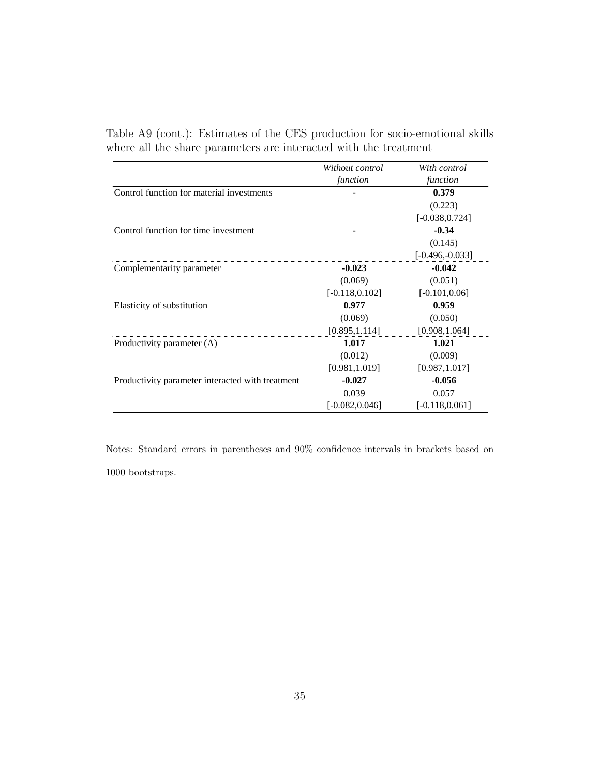|                                                  | Without control   | With control      |
|--------------------------------------------------|-------------------|-------------------|
|                                                  | function          | function          |
| Control function for material investments        |                   | 0.379             |
|                                                  |                   | (0.223)           |
|                                                  |                   | $[-0.038, 0.724]$ |
| Control function for time investment             |                   | $-0.34$           |
|                                                  |                   | (0.145)           |
|                                                  |                   | $[-0.496,-0.033]$ |
| Complementarity parameter                        | $-0.023$          | $-0.042$          |
|                                                  | (0.069)           | (0.051)           |
|                                                  | $[-0.118, 0.102]$ | $[-0.101, 0.06]$  |
| Elasticity of substitution                       | 0.977             | 0.959             |
|                                                  | (0.069)           | (0.050)           |
|                                                  | [0.895, 1.114]    | [0.908, 1.064]    |
| Productivity parameter (A)                       | 1.017             | 1.021             |
|                                                  | (0.012)           | (0.009)           |
|                                                  | [0.981, 1.019]    | [0.987, 1.017]    |
| Productivity parameter interacted with treatment | $-0.027$          | $-0.056$          |
|                                                  | 0.039             | 0.057             |
|                                                  | $[-0.082, 0.046]$ | $[-0.118, 0.061]$ |

Table A9 (cont.): Estimates of the CES production for socio-emotional skills where all the share parameters are interacted with the treatment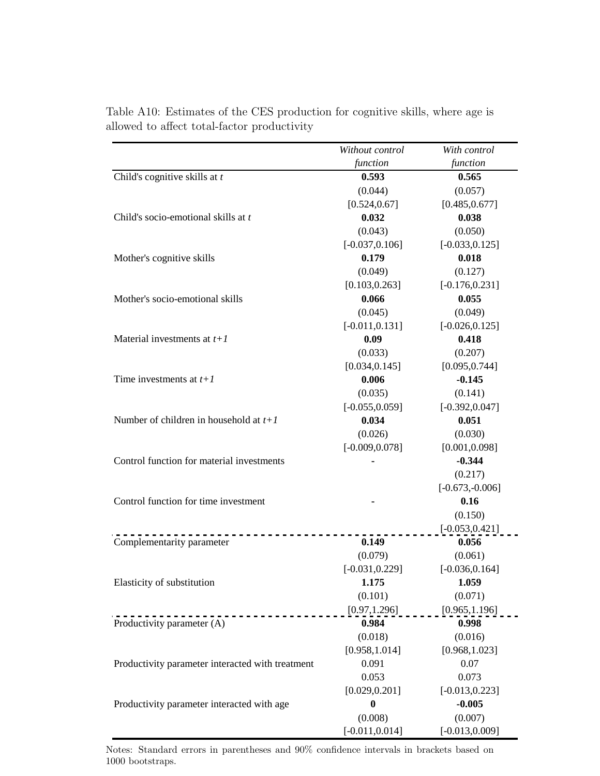|                                                  | Without control   | With control      |
|--------------------------------------------------|-------------------|-------------------|
|                                                  | function          | function          |
| Child's cognitive skills at $t$                  | 0.593             | 0.565             |
|                                                  | (0.044)           | (0.057)           |
|                                                  | [0.524, 0.67]     | [0.485, 0.677]    |
| Child's socio-emotional skills at t              | 0.032             | 0.038             |
|                                                  | (0.043)           | (0.050)           |
|                                                  | $[-0.037, 0.106]$ | $[-0.033, 0.125]$ |
| Mother's cognitive skills                        | 0.179             | 0.018             |
|                                                  | (0.049)           | (0.127)           |
|                                                  | [0.103, 0.263]    | $[-0.176, 0.231]$ |
| Mother's socio-emotional skills                  | 0.066             | 0.055             |
|                                                  | (0.045)           | (0.049)           |
|                                                  | $[-0.011, 0.131]$ | $[-0.026, 0.125]$ |
| Material investments at $t+1$                    | 0.09              | 0.418             |
|                                                  | (0.033)           | (0.207)           |
|                                                  | [0.034, 0.145]    | [0.095, 0.744]    |
| Time investments at $t+1$                        | 0.006             | $-0.145$          |
|                                                  | (0.035)           | (0.141)           |
|                                                  | $[-0.055, 0.059]$ | $[-0.392, 0.047]$ |
| Number of children in household at $t+1$         | 0.034             | 0.051             |
|                                                  | (0.026)           | (0.030)           |
|                                                  | $[-0.009, 0.078]$ | [0.001, 0.098]    |
| Control function for material investments        |                   | $-0.344$          |
|                                                  |                   | (0.217)           |
|                                                  |                   | $[-0.673,-0.006]$ |
| Control function for time investment             |                   | 0.16              |
|                                                  |                   | (0.150)           |
|                                                  |                   | $[-0.053, 0.421]$ |
| Complementarity parameter                        | 0.149             | 0.056             |
|                                                  | (0.079)           | (0.061)           |
|                                                  | $[-0.031, 0.229]$ | $[-0.036, 0.164]$ |
| Elasticity of substitution                       | 1.175             | 1.059             |
|                                                  | (0.101)           | (0.071)           |
| . <u>.</u>                                       | [0.97, 1.296]     | [0.965, 1.196]    |
| Productivity parameter (A)                       | 0.984             | 0.998             |
|                                                  | (0.018)           | (0.016)           |
|                                                  | [0.958, 1.014]    | [0.968, 1.023]    |
| Productivity parameter interacted with treatment | 0.091             | 0.07              |
|                                                  | 0.053             | 0.073             |
|                                                  | [0.029, 0.201]    | $[-0.013, 0.223]$ |
| Productivity parameter interacted with age       | $\bf{0}$          | $-0.005$          |
|                                                  | (0.008)           | (0.007)           |
|                                                  | $[-0.011, 0.014]$ | $[-0.013, 0.009]$ |

Table A10: Estimates of the CES production for cognitive skills, where age is allowed to affect total-factor productivity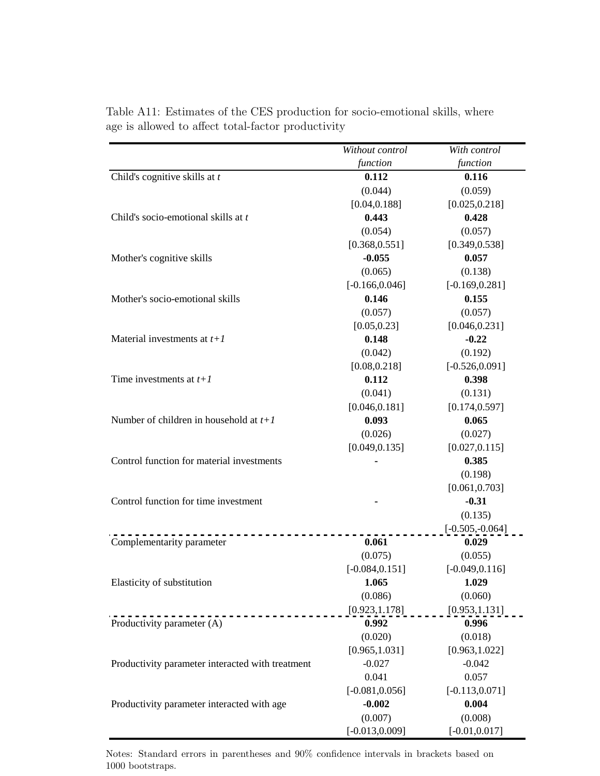|                                                  | Without control   | With control       |
|--------------------------------------------------|-------------------|--------------------|
|                                                  | function          | function           |
| Child's cognitive skills at $t$                  | 0.112             | 0.116              |
|                                                  | (0.044)           | (0.059)            |
|                                                  | [0.04, 0.188]     | [0.025, 0.218]     |
| Child's socio-emotional skills at t              | 0.443             | 0.428              |
|                                                  | (0.054)           | (0.057)            |
|                                                  | [0.368, 0.551]    | [0.349, 0.538]     |
| Mother's cognitive skills                        | $-0.055$          | 0.057              |
|                                                  | (0.065)           | (0.138)            |
|                                                  | $[-0.166, 0.046]$ | $[-0.169, 0.281]$  |
| Mother's socio-emotional skills                  | 0.146             | 0.155              |
|                                                  | (0.057)           | (0.057)            |
|                                                  | [0.05, 0.23]      | [0.046, 0.231]     |
| Material investments at $t+1$                    | 0.148             | $-0.22$            |
|                                                  | (0.042)           | (0.192)            |
|                                                  | [0.08, 0.218]     | $[-0.526, 0.091]$  |
| Time investments at $t+1$                        | 0.112             | 0.398              |
|                                                  | (0.041)           | (0.131)            |
|                                                  | [0.046, 0.181]    | [0.174, 0.597]     |
| Number of children in household at $t+1$         | 0.093             | 0.065              |
|                                                  | (0.026)           | (0.027)            |
|                                                  | [0.049, 0.135]    | [0.027, 0.115]     |
| Control function for material investments        |                   | 0.385              |
|                                                  |                   | (0.198)            |
|                                                  |                   | [0.061, 0.703]     |
| Control function for time investment             |                   | $-0.31$            |
|                                                  |                   | (0.135)            |
|                                                  |                   | $[-0.505, -0.064]$ |
| Complementarity parameter                        | 0.061             | 0.029              |
|                                                  | (0.075)           | (0.055)            |
|                                                  | $[-0.084, 0.151]$ | $[-0.049, 0.116]$  |
| Elasticity of substitution                       | 1.065             | 1.029              |
|                                                  | (0.086)           | (0.060)            |
|                                                  | [0.923, 1.178]    | [0.953, 1.131]     |
| Productivity parameter (A)                       | 0.992             | 0.996              |
|                                                  | (0.020)           | (0.018)            |
|                                                  | [0.965, 1.031]    | [0.963, 1.022]     |
| Productivity parameter interacted with treatment | $-0.027$          | $-0.042$           |
|                                                  | 0.041             | 0.057              |
|                                                  | $[-0.081, 0.056]$ | $[-0.113, 0.071]$  |
| Productivity parameter interacted with age       | $-0.002$          | 0.004              |
|                                                  | (0.007)           | (0.008)            |
|                                                  | $[-0.013, 0.009]$ | $[-0.01, 0.017]$   |

Table A11: Estimates of the CES production for socio-emotional skills, where age is allowed to affect total-factor productivity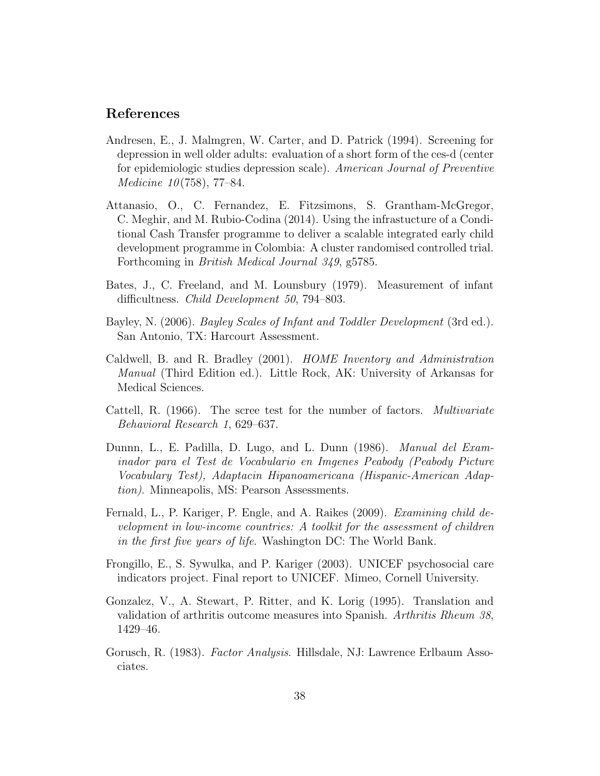## References

- Andresen, E., J. Malmgren, W. Carter, and D. Patrick (1994). Screening for depression in well older adults: evaluation of a short form of the ces-d (center for epidemiologic studies depression scale). American Journal of Preventive *Medicine* 10(758), 77–84.
- Attanasio, O., C. Fernandez, E. Fitzsimons, S. Grantham-McGregor, C. Meghir, and M. Rubio-Codina (2014). Using the infrastucture of a Conditional Cash Transfer programme to deliver a scalable integrated early child development programme in Colombia: A cluster randomised controlled trial. Forthcoming in British Medical Journal 349, g5785.
- Bates, J., C. Freeland, and M. Lounsbury (1979). Measurement of infant difficultness. Child Development 50, 794–803.
- Bayley, N. (2006). *Bayley Scales of Infant and Toddler Development* (3rd ed.). San Antonio, TX: Harcourt Assessment.
- Caldwell, B. and R. Bradley (2001). HOME Inventory and Administration Manual (Third Edition ed.). Little Rock, AK: University of Arkansas for Medical Sciences.
- Cattell, R. (1966). The scree test for the number of factors. *Multivariate* Behavioral Research 1, 629–637.
- Dunnn, L., E. Padilla, D. Lugo, and L. Dunn (1986). Manual del Examinador para el Test de Vocabulario en Imgenes Peabody (Peabody Picture Vocabulary Test), Adaptacin Hipanoamericana (Hispanic-American Adaption). Minneapolis, MS: Pearson Assessments.
- Fernald, L., P. Kariger, P. Engle, and A. Raikes (2009). Examining child development in low-income countries: A toolkit for the assessment of children in the first five years of life. Washington DC: The World Bank.
- Frongillo, E., S. Sywulka, and P. Kariger (2003). UNICEF psychosocial care indicators project. Final report to UNICEF. Mimeo, Cornell University.
- Gonzalez, V., A. Stewart, P. Ritter, and K. Lorig (1995). Translation and validation of arthritis outcome measures into Spanish. Arthritis Rheum 38, 1429–46.
- Gorusch, R. (1983). *Factor Analysis*. Hillsdale, NJ: Lawrence Erlbaum Associates.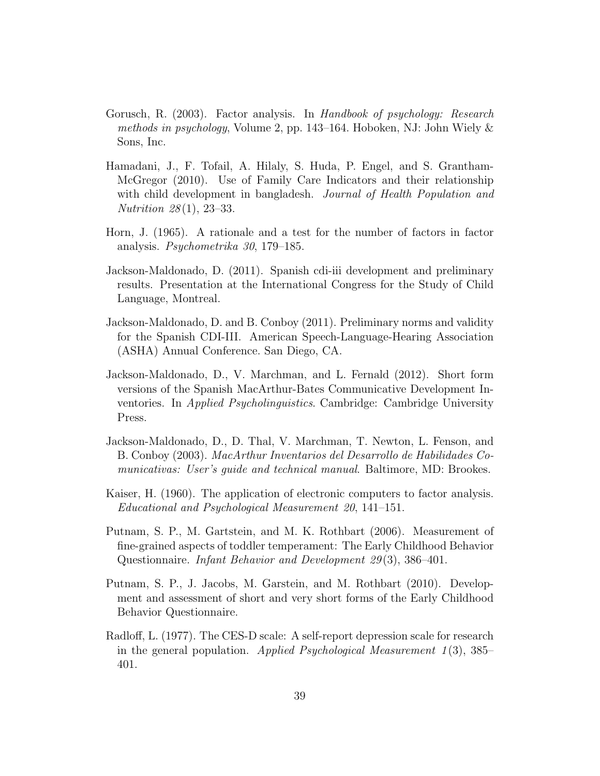- Gorusch, R. (2003). Factor analysis. In Handbook of psychology: Research methods in psychology, Volume 2, pp. 143–164. Hoboken, NJ: John Wiely & Sons, Inc.
- Hamadani, J., F. Tofail, A. Hilaly, S. Huda, P. Engel, and S. Grantham-McGregor (2010). Use of Family Care Indicators and their relationship with child development in bangladesh. Journal of Health Population and Nutrition 28 (1), 23–33.
- Horn, J. (1965). A rationale and a test for the number of factors in factor analysis. Psychometrika 30, 179–185.
- Jackson-Maldonado, D. (2011). Spanish cdi-iii development and preliminary results. Presentation at the International Congress for the Study of Child Language, Montreal.
- Jackson-Maldonado, D. and B. Conboy (2011). Preliminary norms and validity for the Spanish CDI-III. American Speech-Language-Hearing Association (ASHA) Annual Conference. San Diego, CA.
- Jackson-Maldonado, D., V. Marchman, and L. Fernald (2012). Short form versions of the Spanish MacArthur-Bates Communicative Development Inventories. In Applied Psycholinguistics. Cambridge: Cambridge University Press.
- Jackson-Maldonado, D., D. Thal, V. Marchman, T. Newton, L. Fenson, and B. Conboy (2003). MacArthur Inventarios del Desarrollo de Habilidades Comunicativas: User's guide and technical manual. Baltimore, MD: Brookes.
- Kaiser, H. (1960). The application of electronic computers to factor analysis. Educational and Psychological Measurement 20, 141–151.
- Putnam, S. P., M. Gartstein, and M. K. Rothbart (2006). Measurement of fine-grained aspects of toddler temperament: The Early Childhood Behavior Questionnaire. Infant Behavior and Development 29 (3), 386–401.
- Putnam, S. P., J. Jacobs, M. Garstein, and M. Rothbart (2010). Development and assessment of short and very short forms of the Early Childhood Behavior Questionnaire.
- Radloff, L. (1977). The CES-D scale: A self-report depression scale for research in the general population. Applied Psychological Measurement  $1(3)$ , 385– 401.